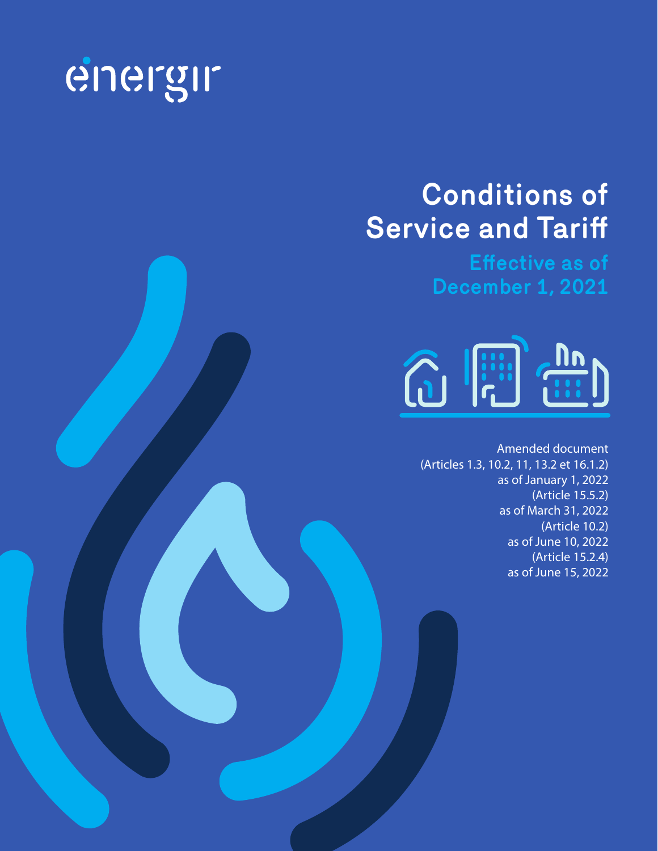# energir

# **Conditions of Service and Tari**

**Effective as of December 1, 2021**



Amended document (Articles 1.3, 10.2, 11, 13.2 et 16.1.2) as of January 1, 2022 (Article 15.5.2) as of March 31, 2022 (Article 10.2) as of June 10, 2022 (Article 15.2.4) as of June 15, 2022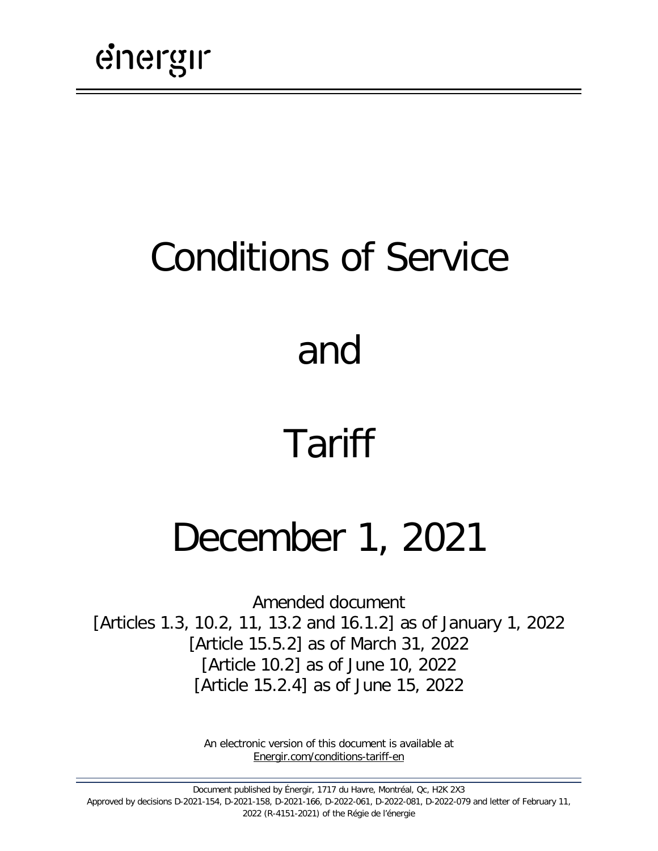# Conditions of Service

# and

# Tariff

# December 1, 2021

Amended document

[Articles 1.3, 10.2, 11, 13.2 and 16.1.2] as of January 1, 2022 [Article 15.5.2] as of March 31, 2022 [Article 10.2] as of June 10, 2022 [Article 15.2.4] as of June 15, 2022

> An electronic version of this document is available at [Energir.com/conditions-tariff-en](https://www.energir.com/en/residential/customer-centre/billing-and-pricing/pricing/)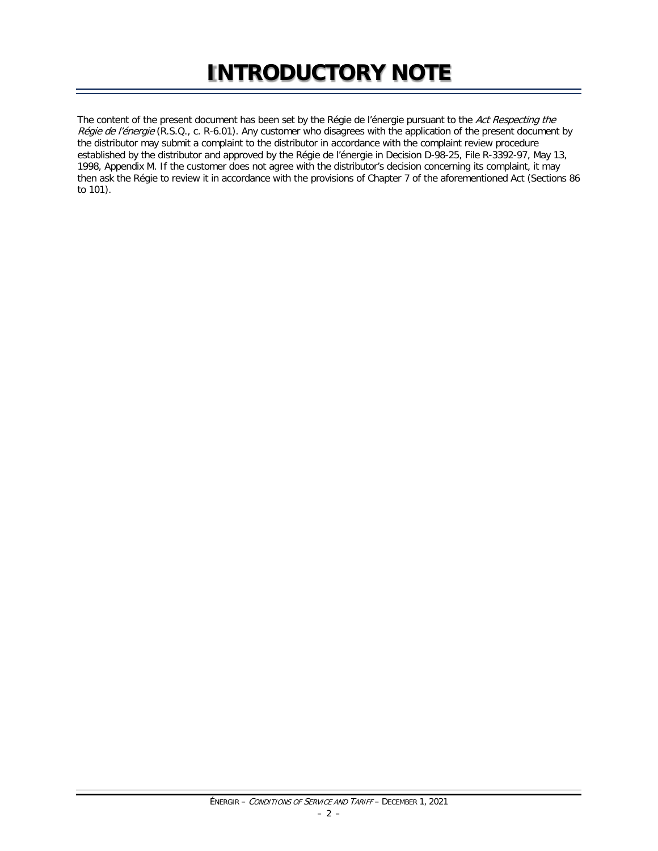# **INTRODUCTORY NOTE**

The content of the present document has been set by the Régie de l'énergie pursuant to the Act Respecting the Régie de l'énergie (R.S.Q., c. R-6.01). Any customer who disagrees with the application of the present document by the distributor may submit a complaint to the distributor in accordance with the complaint review procedure established by the distributor and approved by the Régie de l'énergie in Decision D-98-25, File R-3392-97, May 13, 1998, Appendix M. If the customer does not agree with the distributor's decision concerning its complaint, it may then ask the Régie to review it in accordance with the provisions of Chapter 7 of the aforementioned Act (Sections 86 to 101).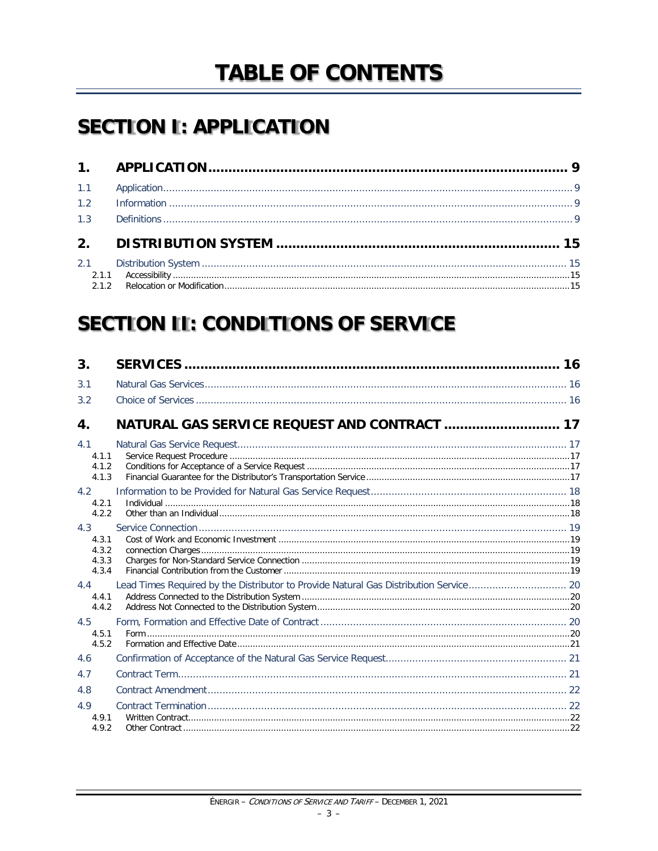# **TABLE OF CONTENTS**

# **SECTION I: APPLICATION**

| 1.1 |  |
|-----|--|
| 1.2 |  |
|     |  |
|     |  |
|     |  |
|     |  |

# **SECTION II: CONDITIONS OF SERVICE**

| 3.                                      |                                              |  |
|-----------------------------------------|----------------------------------------------|--|
| 3.1                                     |                                              |  |
| 3.2                                     |                                              |  |
| 4.                                      | NATURAL GAS SERVICE REQUEST AND CONTRACT  17 |  |
| 4.1<br>4.1.1<br>4.1.2<br>4.1.3          |                                              |  |
| 4.2<br>4.2.1<br>4.2.2                   |                                              |  |
| 4.3<br>4.3.1<br>4.3.2<br>4.3.3<br>4.3.4 |                                              |  |
| 4.4<br>4.4.1<br>4.4.2                   |                                              |  |
| 4.5<br>4.5.1<br>4.5.2                   |                                              |  |
| 4.6                                     |                                              |  |
| 4.7                                     |                                              |  |
| 4.8                                     |                                              |  |
| 4.9<br>4.9.1<br>4.9.2                   |                                              |  |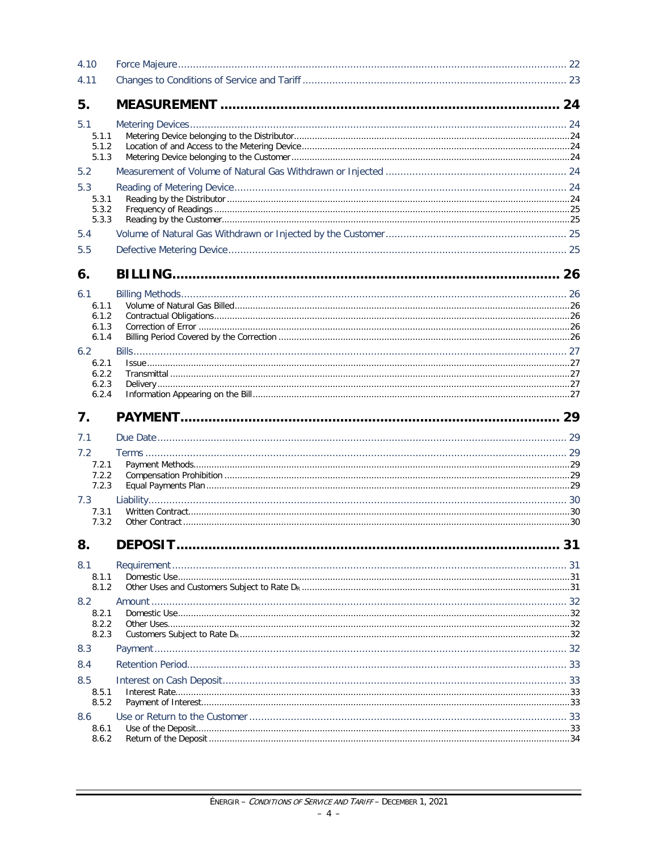| 4.10                                                                      |                |    |
|---------------------------------------------------------------------------|----------------|----|
| 4.11                                                                      |                |    |
| 5.                                                                        |                |    |
| 5.1<br>5.1.1<br>5.1.2<br>5.1.3                                            |                |    |
| 5.2                                                                       |                |    |
| 5.3<br>5.3.1<br>5.3.2<br>5.3.3                                            |                |    |
| 5.4                                                                       |                |    |
| 5.5                                                                       |                |    |
| 6.                                                                        |                |    |
| 6.1<br>6.1.1<br>6.1.2<br>6.1.3<br>6.1.4<br>6.2<br>6.2.1<br>6.2.2<br>6.2.3 |                |    |
| 6.2.4                                                                     |                |    |
| 7.                                                                        |                |    |
| 7.1                                                                       |                |    |
| 7.2                                                                       |                |    |
| 7.2.1<br>7.2.2<br>7.2.3                                                   |                |    |
| 7.3<br>7.3.1<br>7.3.2                                                     |                |    |
| 8.                                                                        | <b>DEPOSIT</b> | 31 |
| 8.1<br>8.1.1<br>8.1.2                                                     |                |    |
| 8.2<br>8.2.1<br>8.2.2<br>8.2.3                                            |                |    |
| 8.3                                                                       |                |    |
| 8.4                                                                       |                |    |
| 8.5<br>8.5.1<br>8.5.2                                                     |                |    |
| 8.6<br>8.6.1<br>8.6.2                                                     |                |    |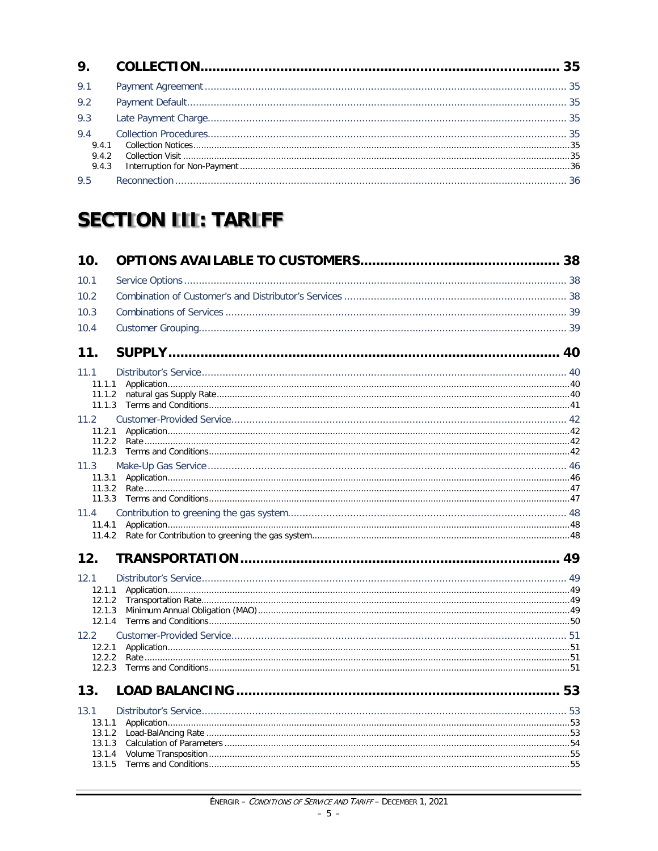| 9.1                            |  |
|--------------------------------|--|
| 9.2                            |  |
| 9.3                            |  |
| 9.4<br>9.4.1<br>9.4.2<br>9.4.3 |  |
| 9.5                            |  |

# **SECTION III: TARIFF**

| 10.              |  |
|------------------|--|
| 10.1             |  |
| 10.2             |  |
| 10.3             |  |
| 10.4             |  |
| 11.              |  |
| 11.1             |  |
| 11.1.1           |  |
| 11.1.2           |  |
| 11.2             |  |
| 11.2.1           |  |
|                  |  |
| 11.2.3           |  |
| 11.3<br>11.3.1   |  |
| 11.3.2           |  |
|                  |  |
| 11.4             |  |
| 11.4.1           |  |
| 12.              |  |
|                  |  |
| 12.1<br>12.1.1   |  |
| 12.1.2           |  |
| 12.1.3<br>12.1.4 |  |
| 12.2             |  |
| 12.2.1           |  |
|                  |  |
| 12.2.3           |  |
| 13.              |  |
| 13.1             |  |
| 13.1.1           |  |
| 13.1.2<br>13.1.3 |  |
| 13.1.4           |  |
| 13.1.5           |  |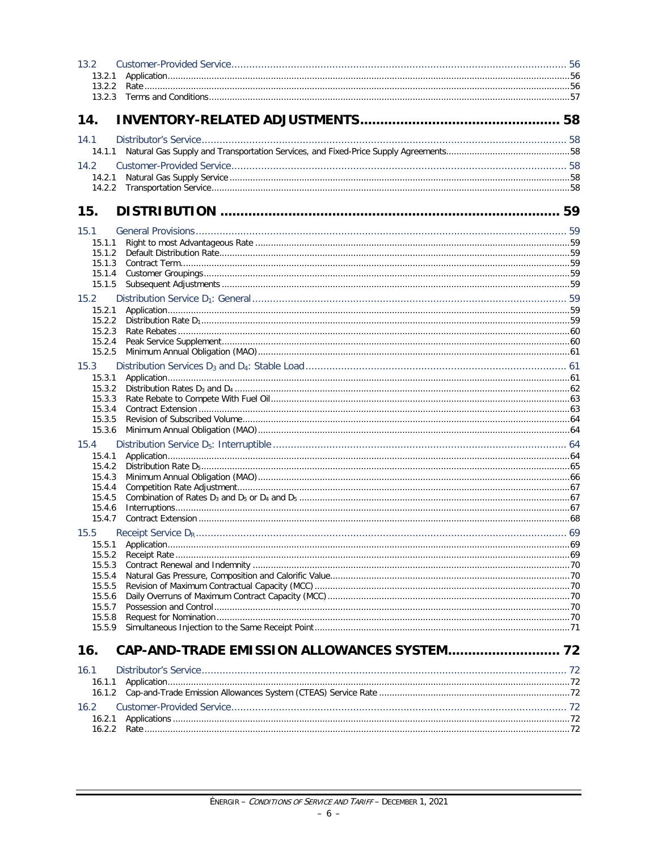| 13.2             |  |
|------------------|--|
| 13.2.1           |  |
|                  |  |
| 13.2.3           |  |
| 14.              |  |
| 14.1             |  |
|                  |  |
| 14.2             |  |
|                  |  |
|                  |  |
| 15.              |  |
|                  |  |
| 15.1             |  |
| 15.1.1<br>15.1.2 |  |
| 15.1.3           |  |
| 15.1.4           |  |
| 15.1.5           |  |
| 15.2             |  |
| 15.2.1           |  |
| 15.2.2<br>15.2.3 |  |
| 15.2.4           |  |
| 15.2.5           |  |
| 15.3             |  |
| 15.3.1           |  |
| 15.3.2<br>15.3.3 |  |
| 15.3.4           |  |
| 15.3.5           |  |
| 15.3.6           |  |
| 15.4             |  |
| 15.4.1           |  |
| 15.4.2<br>15.4.3 |  |
| 15.4.4           |  |
| 15.4.5           |  |
| 15.4.6<br>15.4.7 |  |
|                  |  |
| 15.5<br>15.5.1   |  |
| 15.5.2           |  |
| 15.5.3           |  |
| 15.5.4           |  |
| 15.5.5<br>15.5.6 |  |
| 15.5.7           |  |
| 15.5.8           |  |
| 15.5.9           |  |
| 16.              |  |
| 16.1             |  |
| 16.1.1           |  |
| 16.1.2           |  |
| 16.2             |  |
| 16.2.1<br>16.2.2 |  |
|                  |  |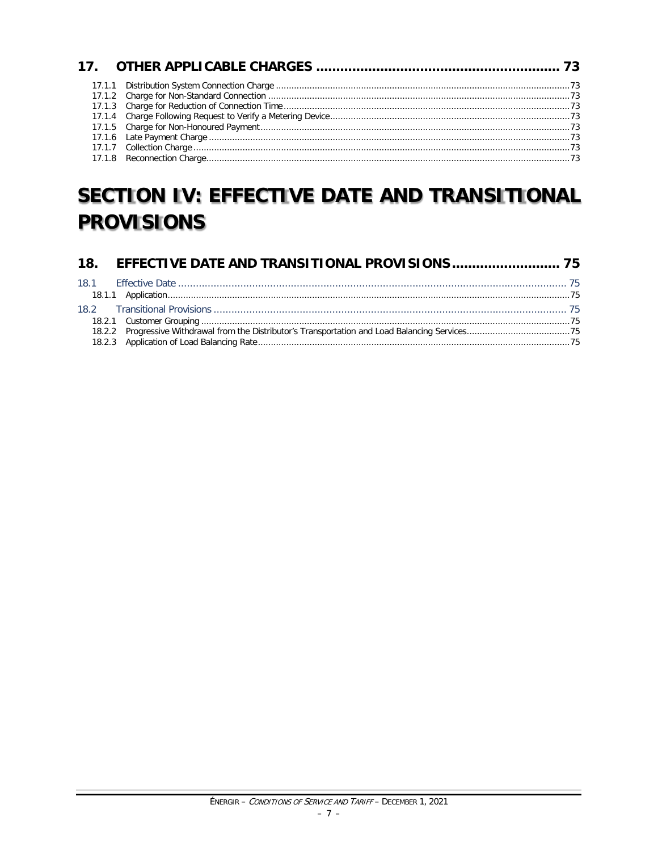# SECTION IV: EFFECTIVE DATE AND TRANSITIONAL **PROVISIONS**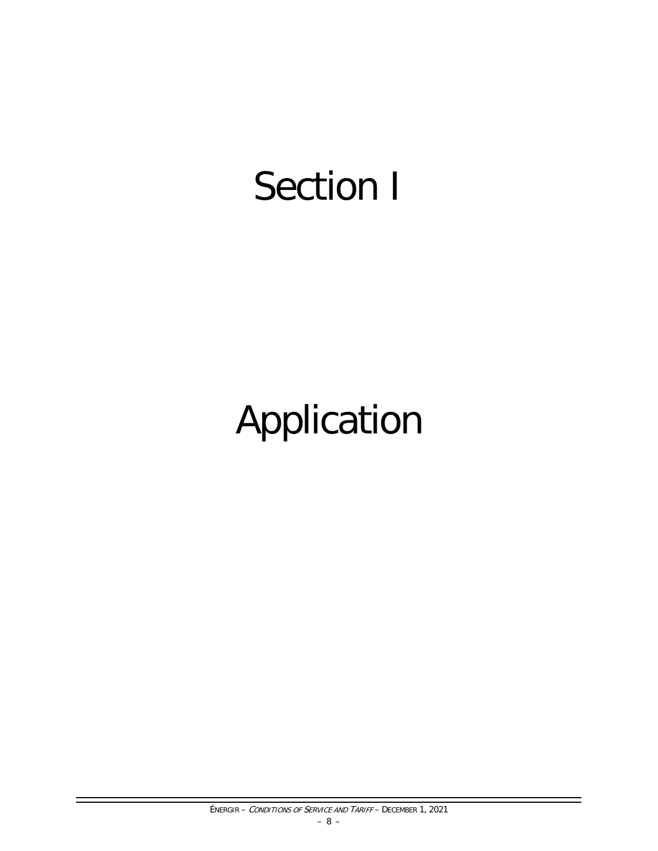# Section I

# Application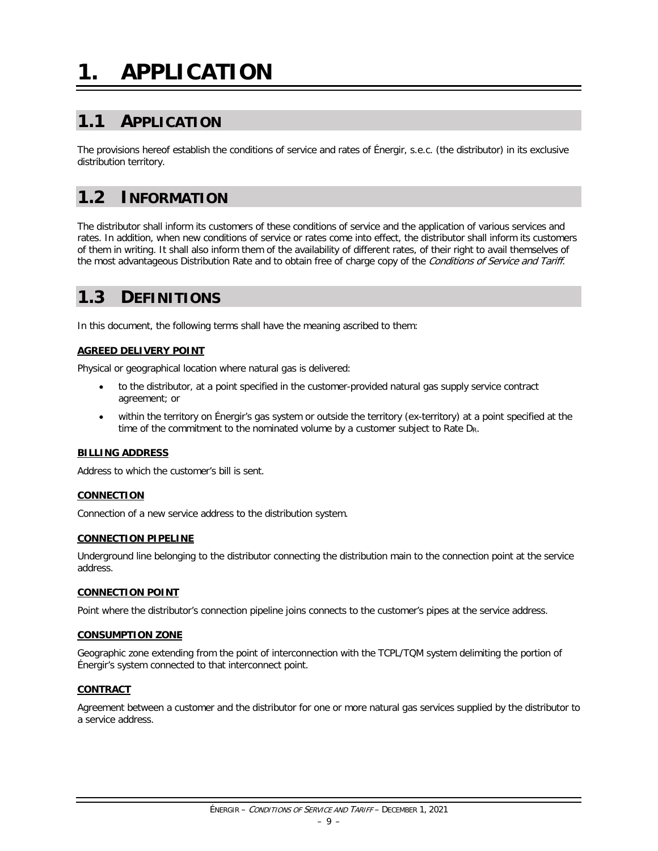# <span id="page-10-0"></span>**1. APPLICATION**

## <span id="page-10-1"></span>**1.1 APPLICATION**

The provisions hereof establish the conditions of service and rates of Énergir, s.e.c. (the distributor) in its exclusive distribution territory.

### <span id="page-10-2"></span>**1.2 INFORMATION**

The distributor shall inform its customers of these conditions of service and the application of various services and rates. In addition, when new conditions of service or rates come into effect, the distributor shall inform its customers of them in writing. It shall also inform them of the availability of different rates, of their right to avail themselves of the most advantageous Distribution Rate and to obtain free of charge copy of the Conditions of Service and Tariff.

# <span id="page-10-3"></span>**1.3 DEFINITIONS**

In this document, the following terms shall have the meaning ascribed to them:

#### **AGREED DELIVERY POINT**

Physical or geographical location where natural gas is delivered:

- to the distributor, at a point specified in the customer-provided natural gas supply service contract agreement; or
- within the territory on Énergir's gas system or outside the territory (ex-territory) at a point specified at the time of the commitment to the nominated volume by a customer subject to Rate  $D_R$ .

#### **BILLING ADDRESS**

Address to which the customer's bill is sent.

#### **CONNECTION**

Connection of a new service address to the distribution system.

#### **CONNECTION PIPELINE**

Underground line belonging to the distributor connecting the distribution main to the connection point at the service address.

#### **CONNECTION POINT**

Point where the distributor's connection pipeline joins connects to the customer's pipes at the service address.

#### **CONSUMPTION ZONE**

Geographic zone extending from the point of interconnection with the TCPL/TQM system delimiting the portion of Énergir's system connected to that interconnect point.

#### **CONTRACT**

Agreement between a customer and the distributor for one or more natural gas services supplied by the distributor to a service address.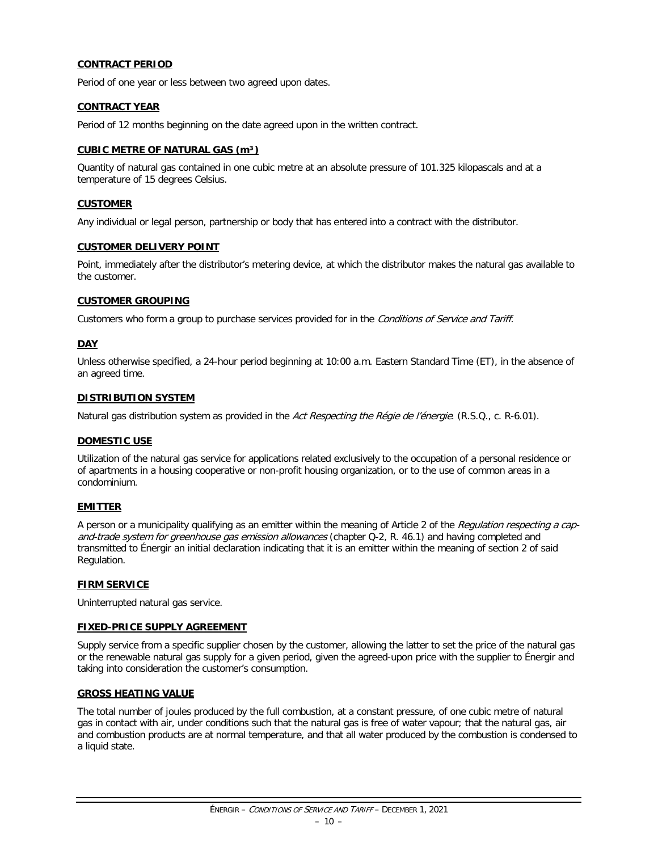#### **CONTRACT PERIOD**

Period of one year or less between two agreed upon dates.

#### **CONTRACT YEAR**

Period of 12 months beginning on the date agreed upon in the written contract.

#### **CUBIC METRE OF NATURAL GAS (m³)**

Quantity of natural gas contained in one cubic metre at an absolute pressure of 101.325 kilopascals and at a temperature of 15 degrees Celsius.

#### **CUSTOMER**

Any individual or legal person, partnership or body that has entered into a contract with the distributor.

#### **CUSTOMER DELIVERY POINT**

Point, immediately after the distributor's metering device, at which the distributor makes the natural gas available to the customer.

#### **CUSTOMER GROUPING**

Customers who form a group to purchase services provided for in the Conditions of Service and Tariff.

#### **DAY**

Unless otherwise specified, a 24-hour period beginning at 10:00 a.m. Eastern Standard Time (ET), in the absence of an agreed time.

#### **DISTRIBUTION SYSTEM**

Natural gas distribution system as provided in the Act Respecting the Régie de l'énergie. (R.S.Q., c. R-6.01).

#### **DOMESTIC USE**

Utilization of the natural gas service for applications related exclusively to the occupation of a personal residence or of apartments in a housing cooperative or non-profit housing organization, or to the use of common areas in a condominium.

#### **EMITTER**

A person or a municipality qualifying as an emitter within the meaning of Article 2 of the Requlation respecting a capand-trade system for greenhouse gas emission allowances (chapter Q-2, R. 46.1) and having completed and transmitted to Énergir an initial declaration indicating that it is an emitter within the meaning of section 2 of said Regulation.

#### **FIRM SERVICE**

Uninterrupted natural gas service.

#### **FIXED-PRICE SUPPLY AGREEMENT**

Supply service from a specific supplier chosen by the customer, allowing the latter to set the price of the natural gas or the renewable natural gas supply for a given period, given the agreed-upon price with the supplier to Énergir and taking into consideration the customer's consumption.

#### **GROSS HEATING VALUE**

The total number of joules produced by the full combustion, at a constant pressure, of one cubic metre of natural gas in contact with air, under conditions such that the natural gas is free of water vapour; that the natural gas, air and combustion products are at normal temperature, and that all water produced by the combustion is condensed to a liquid state.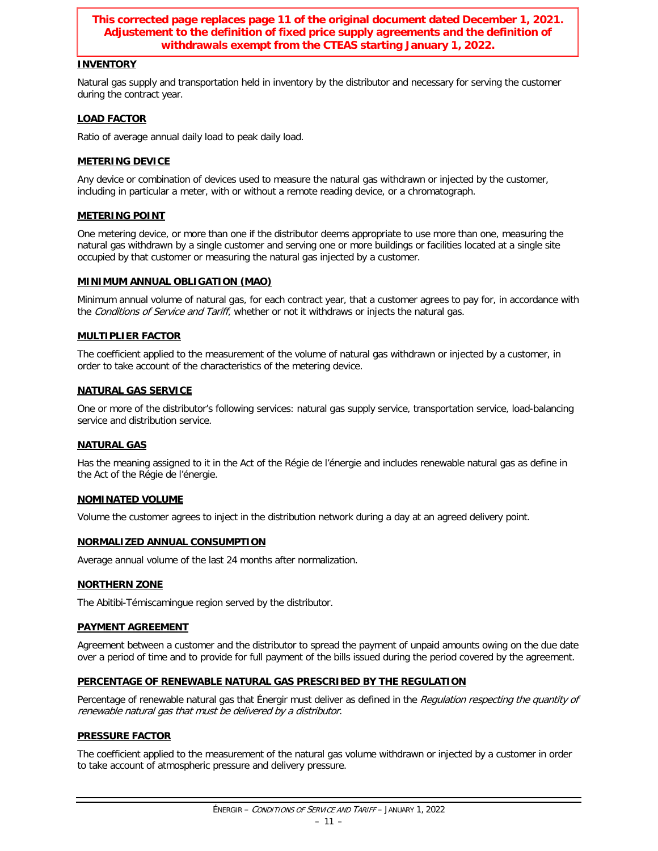#### **This corrected page replaces page 11 of the original document dated December 1, 2021. Adjustement to the definition of fixed price supply agreements and the definition of withdrawals exempt from the CTEAS starting January 1, 2022.**

#### **INVENTORY**

Natural gas supply and transportation held in inventory by the distributor and necessary for serving the customer during the contract year.

#### **LOAD FACTOR**

Ratio of average annual daily load to peak daily load.

#### **METERING DEVICE**

Any device or combination of devices used to measure the natural gas withdrawn or injected by the customer, including in particular a meter, with or without a remote reading device, or a chromatograph.

#### **METERING POINT**

One metering device, or more than one if the distributor deems appropriate to use more than one, measuring the natural gas withdrawn by a single customer and serving one or more buildings or facilities located at a single site occupied by that customer or measuring the natural gas injected by a customer.

#### **MINIMUM ANNUAL OBLIGATION (MAO)**

Minimum annual volume of natural gas, for each contract year, that a customer agrees to pay for, in accordance with the Conditions of Service and Tariff, whether or not it withdraws or injects the natural gas.

#### **MULTIPLIER FACTOR**

The coefficient applied to the measurement of the volume of natural gas withdrawn or injected by a customer, in order to take account of the characteristics of the metering device.

#### **NATURAL GAS SERVICE**

One or more of the distributor's following services: natural gas supply service, transportation service, load-balancing service and distribution service.

#### **NATURAL GAS**

Has the meaning assigned to it in the Act of the Régie de l'énergie and includes renewable natural gas as define in the Act of the Régie de l'énergie.

#### **NOMINATED VOLUME**

Volume the customer agrees to inject in the distribution network during a day at an agreed delivery point.

#### **NORMALIZED ANNUAL CONSUMPTION**

Average annual volume of the last 24 months after normalization.

#### **NORTHERN ZONE**

The Abitibi-Témiscamingue region served by the distributor.

#### **PAYMENT AGREEMENT**

Agreement between a customer and the distributor to spread the payment of unpaid amounts owing on the due date over a period of time and to provide for full payment of the bills issued during the period covered by the agreement.

#### **PERCENTAGE OF RENEWABLE NATURAL GAS PRESCRIBED BY THE REGULATION**

Percentage of renewable natural gas that Énergir must deliver as defined in the Regulation respecting the quantity of renewable natural gas that must be delivered by a distributor.

#### **PRESSURE FACTOR**

The coefficient applied to the measurement of the natural gas volume withdrawn or injected by a customer in order to take account of atmospheric pressure and delivery pressure.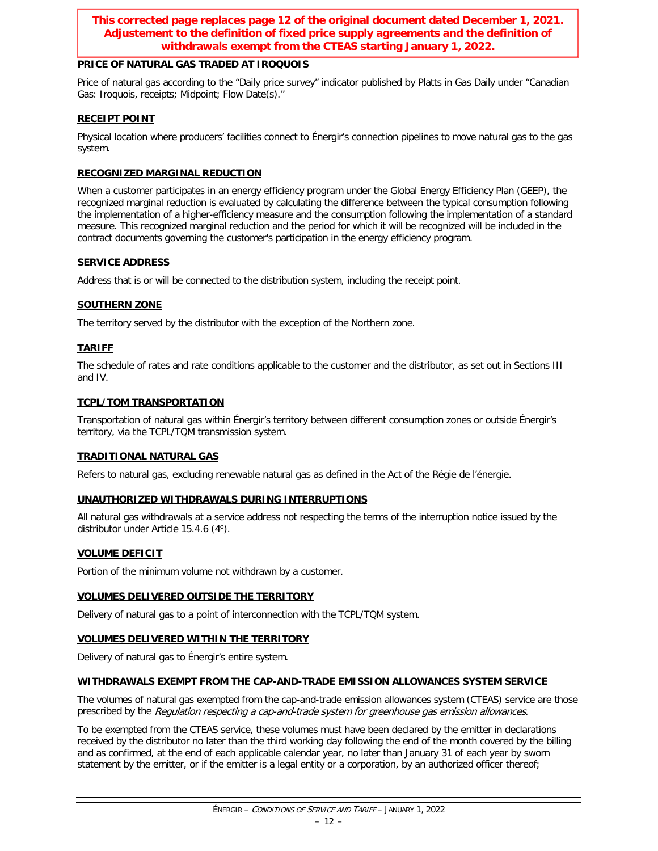#### **This corrected page replaces page 12 of the original document dated December 1, 2021. Adjustement to the definition of fixed price supply agreements and the definition of withdrawals exempt from the CTEAS starting January 1, 2022.**

#### **PRICE OF NATURAL GAS TRADED AT IROQUOIS**

Price of natural gas according to the "Daily price survey" indicator published by Platts in Gas Daily under "Canadian Gas: Iroquois, receipts; Midpoint; Flow Date(s)."

#### **RECEIPT POINT**

Physical location where producers' facilities connect to Énergir's connection pipelines to move natural gas to the gas system.

#### **RECOGNIZED MARGINAL REDUCTION**

When a customer participates in an energy efficiency program under the Global Energy Efficiency Plan (GEEP), the recognized marginal reduction is evaluated by calculating the difference between the typical consumption following the implementation of a higher-efficiency measure and the consumption following the implementation of a standard measure. This recognized marginal reduction and the period for which it will be recognized will be included in the contract documents governing the customer's participation in the energy efficiency program.

#### **SERVICE ADDRESS**

Address that is or will be connected to the distribution system, including the receipt point.

#### **SOUTHERN ZONE**

The territory served by the distributor with the exception of the Northern zone.

#### **TARIFF**

The schedule of rates and rate conditions applicable to the customer and the distributor, as set out in Sections III and IV.

#### **TCPL/TQM TRANSPORTATION**

Transportation of natural gas within Énergir's territory between different consumption zones or outside Énergir's territory, via the TCPL/TQM transmission system.

#### **TRADITIONAL NATURAL GAS**

Refers to natural gas, excluding renewable natural gas as defined in the Act of the Régie de l'énergie.

#### **UNAUTHORIZED WITHDRAWALS DURING INTERRUPTIONS**

All natural gas withdrawals at a service address not respecting the terms of the interruption notice issued by the distributor under Article 15.4.6 (4°).

#### **VOLUME DEFICIT**

Portion of the minimum volume not withdrawn by a customer.

#### **VOLUMES DELIVERED OUTSIDE THE TERRITORY**

Delivery of natural gas to a point of interconnection with the TCPL/TQM system.

#### **VOLUMES DELIVERED WITHIN THE TERRITORY**

Delivery of natural gas to Énergir's entire system.

#### **WITHDRAWALS EXEMPT FROM THE CAP-AND-TRADE EMISSION ALLOWANCES SYSTEM SERVICE**

The volumes of natural gas exempted from the cap-and-trade emission allowances system (CTEAS) service are those prescribed by the Regulation respecting a cap-and-trade system for greenhouse gas emission allowances.

To be exempted from the CTEAS service, these volumes must have been declared by the emitter in declarations received by the distributor no later than the third working day following the end of the month covered by the billing and as confirmed, at the end of each applicable calendar year, no later than January 31 of each year by sworn statement by the emitter, or if the emitter is a legal entity or a corporation, by an authorized officer thereof;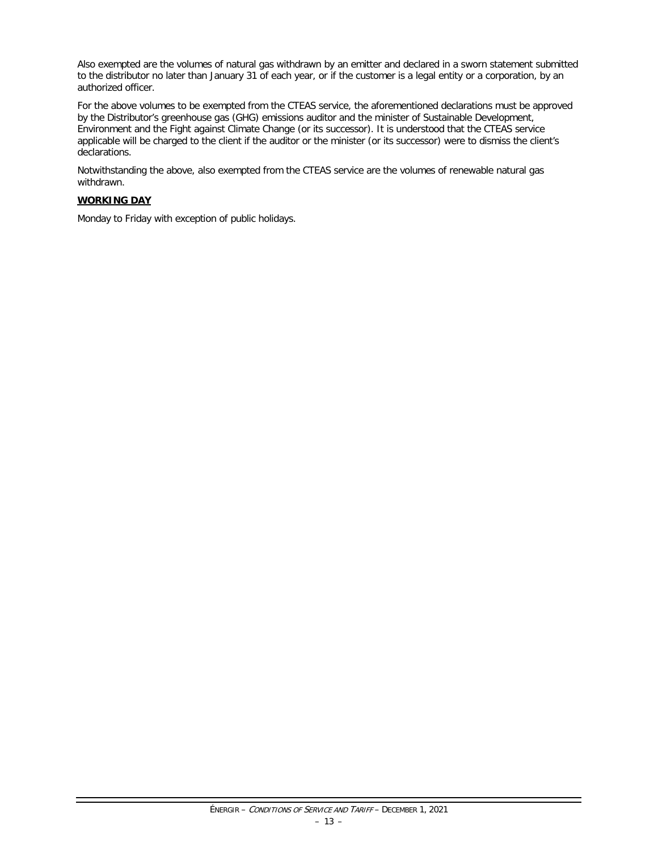Also exempted are the volumes of natural gas withdrawn by an emitter and declared in a sworn statement submitted to the distributor no later than January 31 of each year, or if the customer is a legal entity or a corporation, by an authorized officer.

For the above volumes to be exempted from the CTEAS service, the aforementioned declarations must be approved by the Distributor's greenhouse gas (GHG) emissions auditor and the minister of Sustainable Development, Environment and the Fight against Climate Change (or its successor). It is understood that the CTEAS service applicable will be charged to the client if the auditor or the minister (or its successor) were to dismiss the client's declarations.

Notwithstanding the above, also exempted from the CTEAS service are the volumes of renewable natural gas withdrawn.

#### **WORKING DAY**

Monday to Friday with exception of public holidays.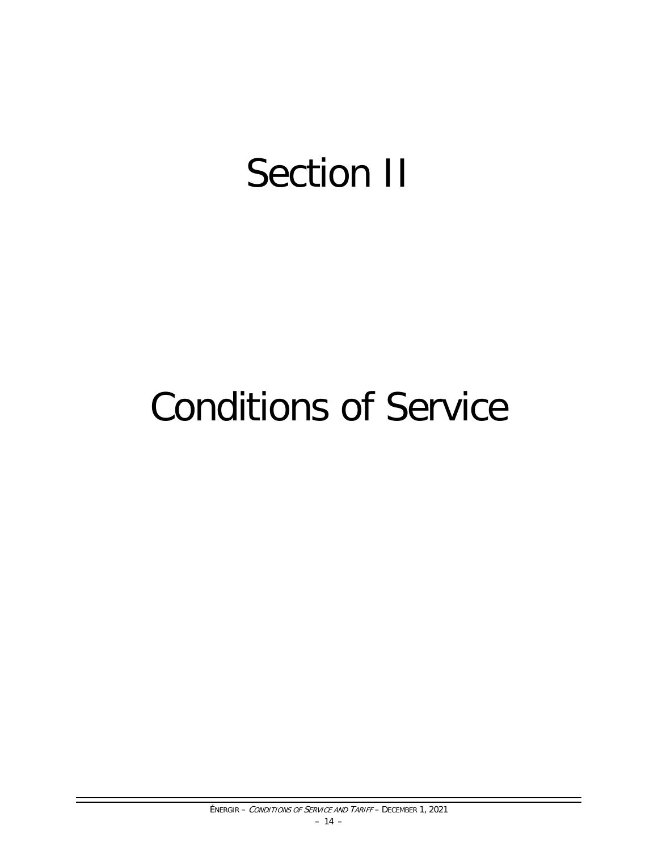# Section II

# Conditions of Service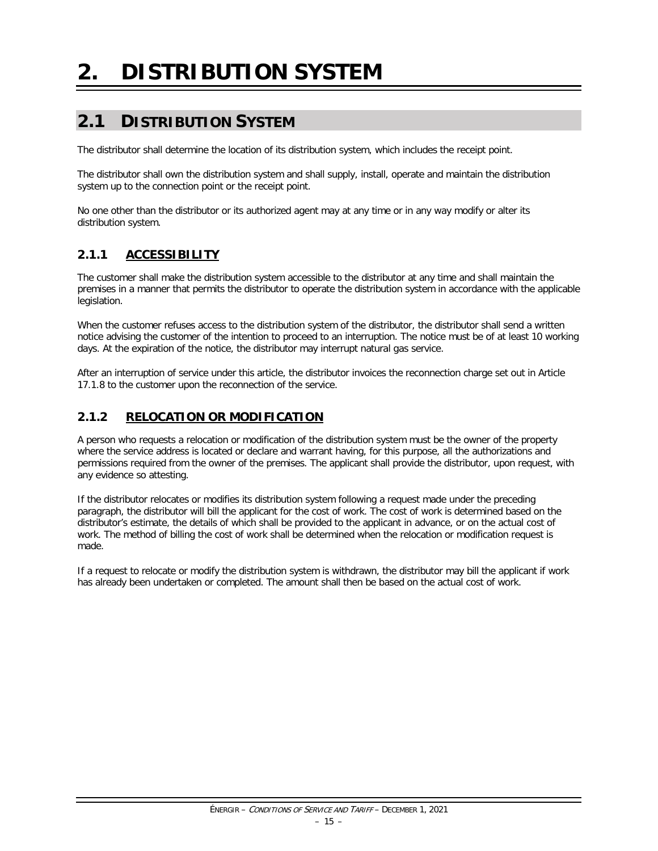# <span id="page-16-0"></span>**2. DISTRIBUTION SYSTEM**

# <span id="page-16-1"></span>**2.1 DISTRIBUTION SYSTEM**

The distributor shall determine the location of its distribution system, which includes the receipt point.

The distributor shall own the distribution system and shall supply, install, operate and maintain the distribution system up to the connection point or the receipt point.

No one other than the distributor or its authorized agent may at any time or in any way modify or alter its distribution system.

#### <span id="page-16-2"></span>**2.1.1 ACCESSIBILITY**

The customer shall make the distribution system accessible to the distributor at any time and shall maintain the premises in a manner that permits the distributor to operate the distribution system in accordance with the applicable legislation.

When the customer refuses access to the distribution system of the distributor, the distributor shall send a written notice advising the customer of the intention to proceed to an interruption. The notice must be of at least 10 working days. At the expiration of the notice, the distributor may interrupt natural gas service.

After an interruption of service under this article, the distributor invoices the reconnection charge set out in Article 17.1.8 to the customer upon the reconnection of the service.

#### <span id="page-16-3"></span>**2.1.2 RELOCATION OR MODIFICATION**

A person who requests a relocation or modification of the distribution system must be the owner of the property where the service address is located or declare and warrant having, for this purpose, all the authorizations and permissions required from the owner of the premises. The applicant shall provide the distributor, upon request, with any evidence so attesting.

If the distributor relocates or modifies its distribution system following a request made under the preceding paragraph, the distributor will bill the applicant for the cost of work. The cost of work is determined based on the distributor's estimate, the details of which shall be provided to the applicant in advance, or on the actual cost of work. The method of billing the cost of work shall be determined when the relocation or modification request is made.

If a request to relocate or modify the distribution system is withdrawn, the distributor may bill the applicant if work has already been undertaken or completed. The amount shall then be based on the actual cost of work.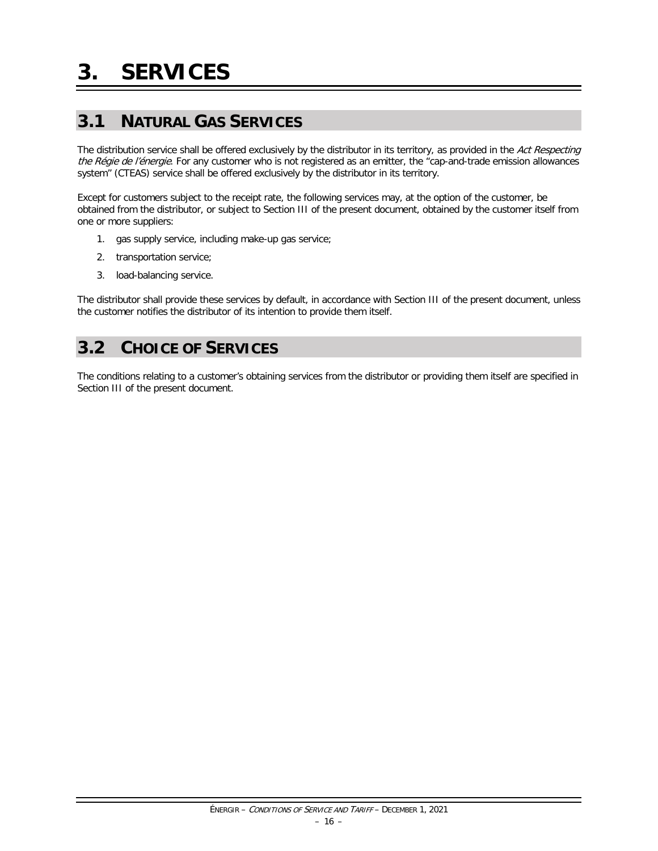# <span id="page-17-1"></span><span id="page-17-0"></span>**3.1 NATURAL GAS SERVICES**

The distribution service shall be offered exclusively by the distributor in its territory, as provided in the Act Respecting the Régie de l'énergie. For any customer who is not registered as an emitter, the "cap-and-trade emission allowances system" (CTEAS) service shall be offered exclusively by the distributor in its territory.

Except for customers subject to the receipt rate, the following services may, at the option of the customer, be obtained from the distributor, or subject to Section III of the present document, obtained by the customer itself from one or more suppliers:

- 1. gas supply service, including make-up gas service;
- 2. transportation service;
- 3. load-balancing service.

The distributor shall provide these services by default, in accordance with Section III of the present document, unless the customer notifies the distributor of its intention to provide them itself.

## <span id="page-17-2"></span>**3.2 CHOICE OF SERVICES**

The conditions relating to a customer's obtaining services from the distributor or providing them itself are specified in Section III of the present document.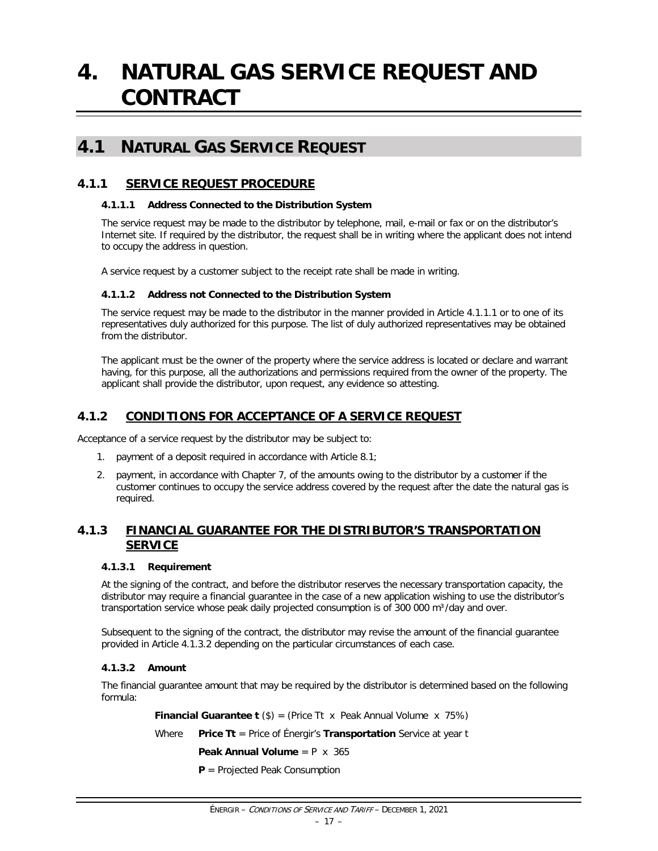# <span id="page-18-0"></span>**4. NATURAL GAS SERVICE REQUEST AND CONTRACT**

### <span id="page-18-1"></span>**4.1 NATURAL GAS SERVICE REQUEST**

#### <span id="page-18-2"></span>**4.1.1 SERVICE REQUEST PROCEDURE**

#### **4.1.1.1 Address Connected to the Distribution System**

The service request may be made to the distributor by telephone, mail, e-mail or fax or on the distributor's Internet site. If required by the distributor, the request shall be in writing where the applicant does not intend to occupy the address in question.

A service request by a customer subject to the receipt rate shall be made in writing.

#### **4.1.1.2 Address not Connected to the Distribution System**

The service request may be made to the distributor in the manner provided in Article 4.1.1.1 or to one of its representatives duly authorized for this purpose. The list of duly authorized representatives may be obtained from the distributor.

The applicant must be the owner of the property where the service address is located or declare and warrant having, for this purpose, all the authorizations and permissions required from the owner of the property. The applicant shall provide the distributor, upon request, any evidence so attesting.

#### <span id="page-18-3"></span>**4.1.2 CONDITIONS FOR ACCEPTANCE OF A SERVICE REQUEST**

Acceptance of a service request by the distributor may be subject to:

- 1. payment of a deposit required in accordance with Article 8.1;
- 2. payment, in accordance with Chapter 7, of the amounts owing to the distributor by a customer if the customer continues to occupy the service address covered by the request after the date the natural gas is required.

#### <span id="page-18-4"></span>**4.1.3 FINANCIAL GUARANTEE FOR THE DISTRIBUTOR'S TRANSPORTATION SERVICE**

#### **4.1.3.1 Requirement**

At the signing of the contract, and before the distributor reserves the necessary transportation capacity, the distributor may require a financial guarantee in the case of a new application wishing to use the distributor's transportation service whose peak daily projected consumption is of 300 000 m<sup>3</sup>/day and over.

Subsequent to the signing of the contract, the distributor may revise the amount of the financial guarantee provided in Article 4.1.3.2 depending on the particular circumstances of each case.

#### **4.1.3.2 Amount**

The financial guarantee amount that may be required by the distributor is determined based on the following formula:

**Financial Guarantee t** (\$) = (Price Tt x Peak Annual Volume x 75%)

Where **Price Tt** = Price of Énergir's **Transportation** Service at year t

**Peak Annual Volume** = P x 365

**P** = Projected Peak Consumption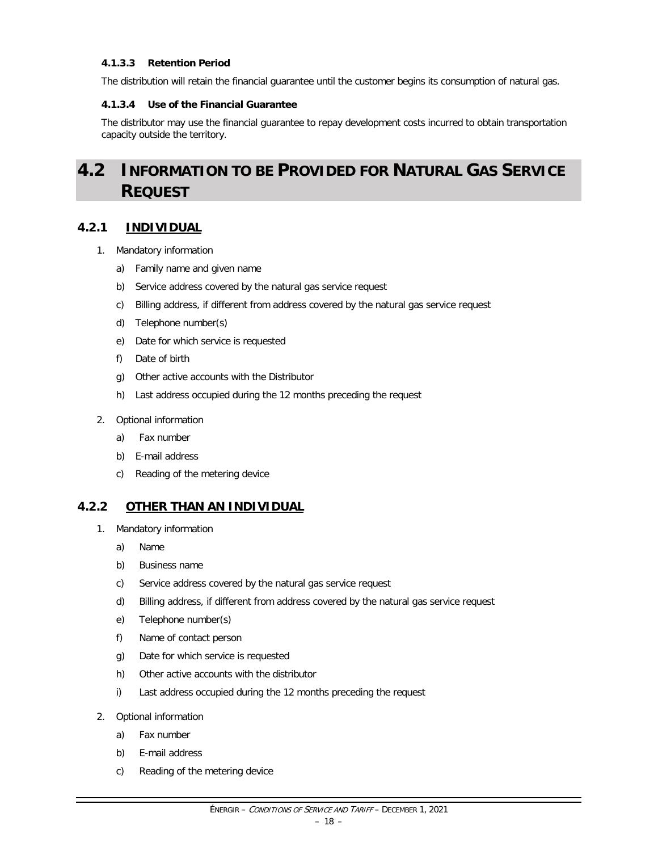#### **4.1.3.3 Retention Period**

The distribution will retain the financial guarantee until the customer begins its consumption of natural gas.

#### **4.1.3.4 Use of the Financial Guarantee**

The distributor may use the financial guarantee to repay development costs incurred to obtain transportation capacity outside the territory.

## <span id="page-19-0"></span>**4.2 INFORMATION TO BE PROVIDED FOR NATURAL GAS SERVICE REQUEST**

#### <span id="page-19-1"></span>**4.2.1 INDIVIDUAL**

- 1. Mandatory information
	- a) Family name and given name
	- b) Service address covered by the natural gas service request
	- c) Billing address, if different from address covered by the natural gas service request
	- d) Telephone number(s)
	- e) Date for which service is requested
	- f) Date of birth
	- g) Other active accounts with the Distributor
	- h) Last address occupied during the 12 months preceding the request
- 2. Optional information
	- a) Fax number
	- b) E-mail address
	- c) Reading of the metering device

#### <span id="page-19-2"></span>**4.2.2 OTHER THAN AN INDIVIDUAL**

- 1. Mandatory information
	- a) Name
	- b) Business name
	- c) Service address covered by the natural gas service request
	- d) Billing address, if different from address covered by the natural gas service request
	- e) Telephone number(s)
	- f) Name of contact person
	- g) Date for which service is requested
	- h) Other active accounts with the distributor
	- i) Last address occupied during the 12 months preceding the request
- 2. Optional information
	- a) Fax number
	- b) E-mail address
	- c) Reading of the metering device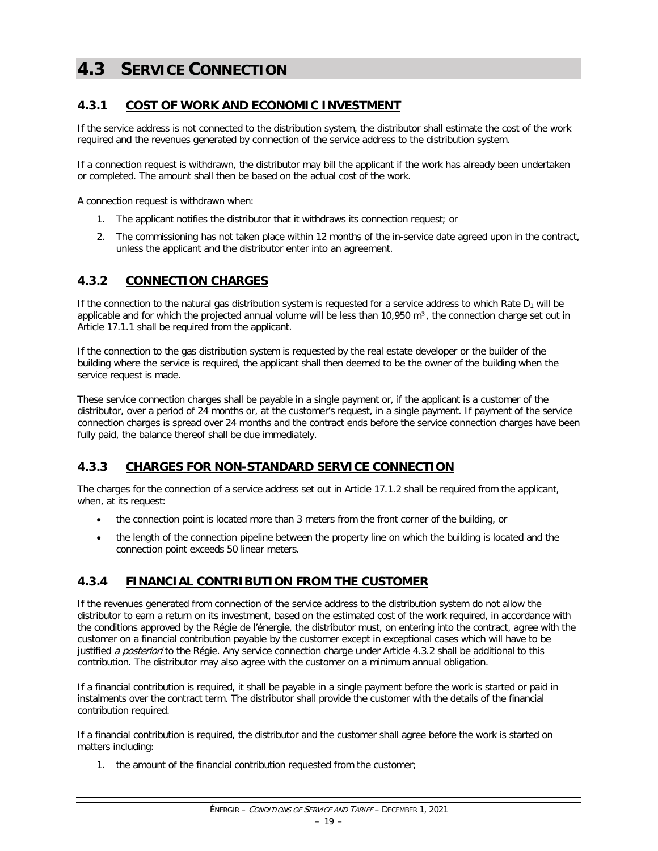## <span id="page-20-0"></span>**4.3 SERVICE CONNECTION**

#### <span id="page-20-1"></span>**4.3.1 COST OF WORK AND ECONOMIC INVESTMENT**

If the service address is not connected to the distribution system, the distributor shall estimate the cost of the work required and the revenues generated by connection of the service address to the distribution system.

If a connection request is withdrawn, the distributor may bill the applicant if the work has already been undertaken or completed. The amount shall then be based on the actual cost of the work.

A connection request is withdrawn when:

- 1. The applicant notifies the distributor that it withdraws its connection request; or
- 2. The commissioning has not taken place within 12 months of the in-service date agreed upon in the contract, unless the applicant and the distributor enter into an agreement.

#### <span id="page-20-2"></span>**4.3.2 CONNECTION CHARGES**

If the connection to the natural gas distribution system is requested for a service address to which Rate  $D_1$  will be applicable and for which the projected annual volume will be less than  $10,950$  m<sup>3</sup>, the connection charge set out in Article 17.1.1 shall be required from the applicant.

If the connection to the gas distribution system is requested by the real estate developer or the builder of the building where the service is required, the applicant shall then deemed to be the owner of the building when the service request is made.

These service connection charges shall be payable in a single payment or, if the applicant is a customer of the distributor, over a period of 24 months or, at the customer's request, in a single payment. If payment of the service connection charges is spread over 24 months and the contract ends before the service connection charges have been fully paid, the balance thereof shall be due immediately.

#### <span id="page-20-3"></span>**4.3.3 CHARGES FOR NON-STANDARD SERVICE CONNECTION**

The charges for the connection of a service address set out in Article 17.1.2 shall be required from the applicant, when, at its request:

- the connection point is located more than 3 meters from the front corner of the building, or
- the length of the connection pipeline between the property line on which the building is located and the connection point exceeds 50 linear meters.

#### <span id="page-20-4"></span>**4.3.4 FINANCIAL CONTRIBUTION FROM THE CUSTOMER**

If the revenues generated from connection of the service address to the distribution system do not allow the distributor to earn a return on its investment, based on the estimated cost of the work required, in accordance with the conditions approved by the Régie de l'énergie, the distributor must, on entering into the contract, agree with the customer on a financial contribution payable by the customer except in exceptional cases which will have to be justified a posteriori to the Régie. Any service connection charge under Article 4.3.2 shall be additional to this contribution. The distributor may also agree with the customer on a minimum annual obligation.

If a financial contribution is required, it shall be payable in a single payment before the work is started or paid in instalments over the contract term. The distributor shall provide the customer with the details of the financial contribution required.

If a financial contribution is required, the distributor and the customer shall agree before the work is started on matters including:

1. the amount of the financial contribution requested from the customer;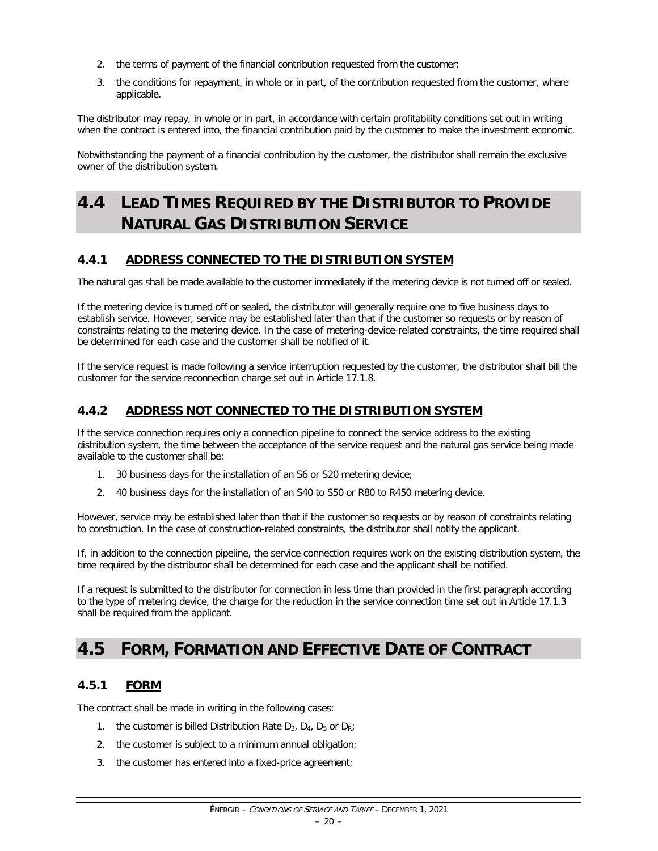- 2. the terms of payment of the financial contribution requested from the customer;
- 3. the conditions for repayment, in whole or in part, of the contribution requested from the customer, where applicable.

The distributor may repay, in whole or in part, in accordance with certain profitability conditions set out in writing when the contract is entered into, the financial contribution paid by the customer to make the investment economic.

Notwithstanding the payment of a financial contribution by the customer, the distributor shall remain the exclusive owner of the distribution system.

# <span id="page-21-0"></span>**4.4 LEAD TIMES REQUIRED BY THE DISTRIBUTOR TO PROVIDE NATURAL GAS DISTRIBUTION SERVICE**

#### <span id="page-21-1"></span>**4.4.1 ADDRESS CONNECTED TO THE DISTRIBUTION SYSTEM**

The natural gas shall be made available to the customer immediately if the metering device is not turned off or sealed.

If the metering device is turned off or sealed, the distributor will generally require one to five business days to establish service. However, service may be established later than that if the customer so requests or by reason of constraints relating to the metering device. In the case of metering-device-related constraints, the time required shall be determined for each case and the customer shall be notified of it.

If the service request is made following a service interruption requested by the customer, the distributor shall bill the customer for the service reconnection charge set out in Article 17.1.8.

#### <span id="page-21-2"></span>**4.4.2 ADDRESS NOT CONNECTED TO THE DISTRIBUTION SYSTEM**

If the service connection requires only a connection pipeline to connect the service address to the existing distribution system, the time between the acceptance of the service request and the natural gas service being made available to the customer shall be:

- 1. 30 business days for the installation of an S6 or S20 metering device;
- 2. 40 business days for the installation of an S40 to S50 or R80 to R450 metering device.

However, service may be established later than that if the customer so requests or by reason of constraints relating to construction. In the case of construction-related constraints, the distributor shall notify the applicant.

If, in addition to the connection pipeline, the service connection requires work on the existing distribution system, the time required by the distributor shall be determined for each case and the applicant shall be notified.

If a request is submitted to the distributor for connection in less time than provided in the first paragraph according to the type of metering device, the charge for the reduction in the service connection time set out in Article 17.1.3 shall be required from the applicant.

## <span id="page-21-3"></span>**4.5 FORM, FORMATION AND EFFECTIVE DATE OF CONTRACT**

#### <span id="page-21-4"></span>**4.5.1 FORM**

The contract shall be made in writing in the following cases:

- 1. the customer is billed Distribution Rate  $D_{3}$ ,  $D_{4}$ ,  $D_{5}$  or  $D_{R}$ ;
- 2. the customer is subject to a minimum annual obligation;
- 3. the customer has entered into a fixed-price agreement;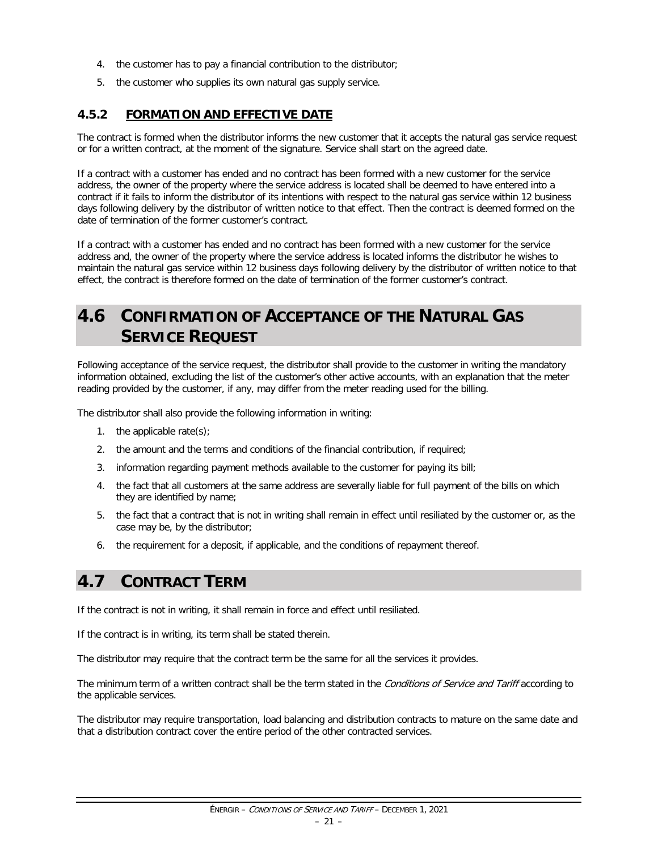- 4. the customer has to pay a financial contribution to the distributor;
- 5. the customer who supplies its own natural gas supply service.

#### <span id="page-22-0"></span>**4.5.2 FORMATION AND EFFECTIVE DATE**

The contract is formed when the distributor informs the new customer that it accepts the natural gas service request or for a written contract, at the moment of the signature. Service shall start on the agreed date.

If a contract with a customer has ended and no contract has been formed with a new customer for the service address, the owner of the property where the service address is located shall be deemed to have entered into a contract if it fails to inform the distributor of its intentions with respect to the natural gas service within 12 business days following delivery by the distributor of written notice to that effect. Then the contract is deemed formed on the date of termination of the former customer's contract.

If a contract with a customer has ended and no contract has been formed with a new customer for the service address and, the owner of the property where the service address is located informs the distributor he wishes to maintain the natural gas service within 12 business days following delivery by the distributor of written notice to that effect, the contract is therefore formed on the date of termination of the former customer's contract.

# <span id="page-22-1"></span>**4.6 CONFIRMATION OF ACCEPTANCE OF THE NATURAL GAS SERVICE REQUEST**

Following acceptance of the service request, the distributor shall provide to the customer in writing the mandatory information obtained, excluding the list of the customer's other active accounts, with an explanation that the meter reading provided by the customer, if any, may differ from the meter reading used for the billing.

The distributor shall also provide the following information in writing:

- 1. the applicable rate $(s)$ ;
- 2. the amount and the terms and conditions of the financial contribution, if required;
- 3. information regarding payment methods available to the customer for paying its bill;
- 4. the fact that all customers at the same address are severally liable for full payment of the bills on which they are identified by name;
- 5. the fact that a contract that is not in writing shall remain in effect until resiliated by the customer or, as the case may be, by the distributor;
- 6. the requirement for a deposit, if applicable, and the conditions of repayment thereof.

## <span id="page-22-2"></span>**4.7 CONTRACT TERM**

If the contract is not in writing, it shall remain in force and effect until resiliated.

If the contract is in writing, its term shall be stated therein.

The distributor may require that the contract term be the same for all the services it provides.

The minimum term of a written contract shall be the term stated in the Conditions of Service and Tariff according to the applicable services.

The distributor may require transportation, load balancing and distribution contracts to mature on the same date and that a distribution contract cover the entire period of the other contracted services.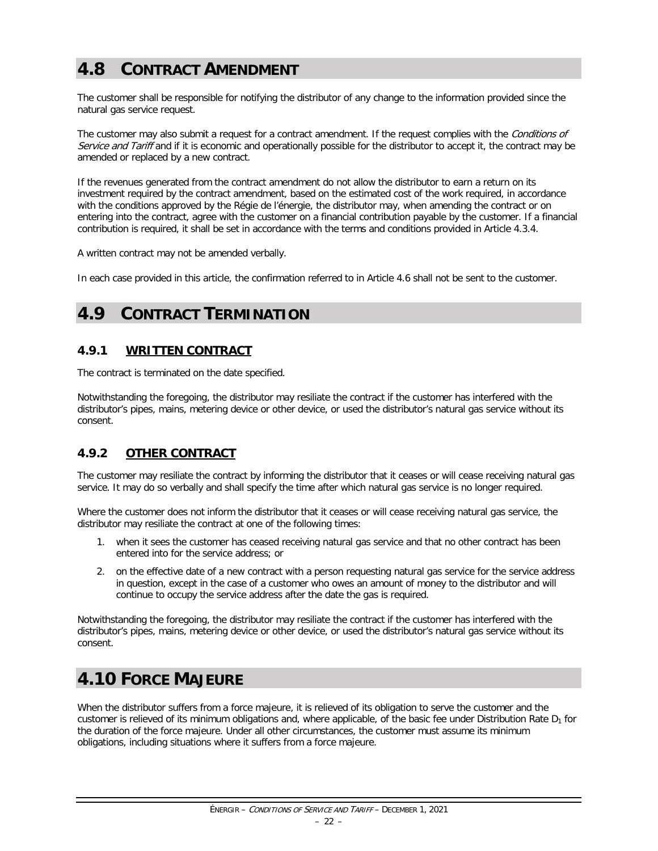# <span id="page-23-0"></span>**4.8 CONTRACT AMENDMENT**

The customer shall be responsible for notifying the distributor of any change to the information provided since the natural gas service request.

The customer may also submit a request for a contract amendment. If the request complies with the Conditions of Service and Tariff and if it is economic and operationally possible for the distributor to accept it, the contract may be amended or replaced by a new contract.

If the revenues generated from the contract amendment do not allow the distributor to earn a return on its investment required by the contract amendment, based on the estimated cost of the work required, in accordance with the conditions approved by the Régie de l'énergie, the distributor may, when amending the contract or on entering into the contract, agree with the customer on a financial contribution payable by the customer. If a financial contribution is required, it shall be set in accordance with the terms and conditions provided in Article 4.3.4.

A written contract may not be amended verbally.

In each case provided in this article, the confirmation referred to in Article 4.6 shall not be sent to the customer.

# <span id="page-23-1"></span>**4.9 CONTRACT TERMINATION**

#### <span id="page-23-2"></span>**4.9.1 WRITTEN CONTRACT**

The contract is terminated on the date specified.

Notwithstanding the foregoing, the distributor may resiliate the contract if the customer has interfered with the distributor's pipes, mains, metering device or other device, or used the distributor's natural gas service without its consent.

#### <span id="page-23-3"></span>**4.9.2 OTHER CONTRACT**

The customer may resiliate the contract by informing the distributor that it ceases or will cease receiving natural gas service. It may do so verbally and shall specify the time after which natural gas service is no longer required.

Where the customer does not inform the distributor that it ceases or will cease receiving natural gas service, the distributor may resiliate the contract at one of the following times:

- 1. when it sees the customer has ceased receiving natural gas service and that no other contract has been entered into for the service address; or
- 2. on the effective date of a new contract with a person requesting natural gas service for the service address in question, except in the case of a customer who owes an amount of money to the distributor and will continue to occupy the service address after the date the gas is required.

Notwithstanding the foregoing, the distributor may resiliate the contract if the customer has interfered with the distributor's pipes, mains, metering device or other device, or used the distributor's natural gas service without its consent.

# <span id="page-23-4"></span>**4.10 FORCE MAJEURE**

When the distributor suffers from a force majeure, it is relieved of its obligation to serve the customer and the customer is relieved of its minimum obligations and, where applicable, of the basic fee under Distribution Rate  $D_1$  for the duration of the force majeure. Under all other circumstances, the customer must assume its minimum obligations, including situations where it suffers from a force majeure.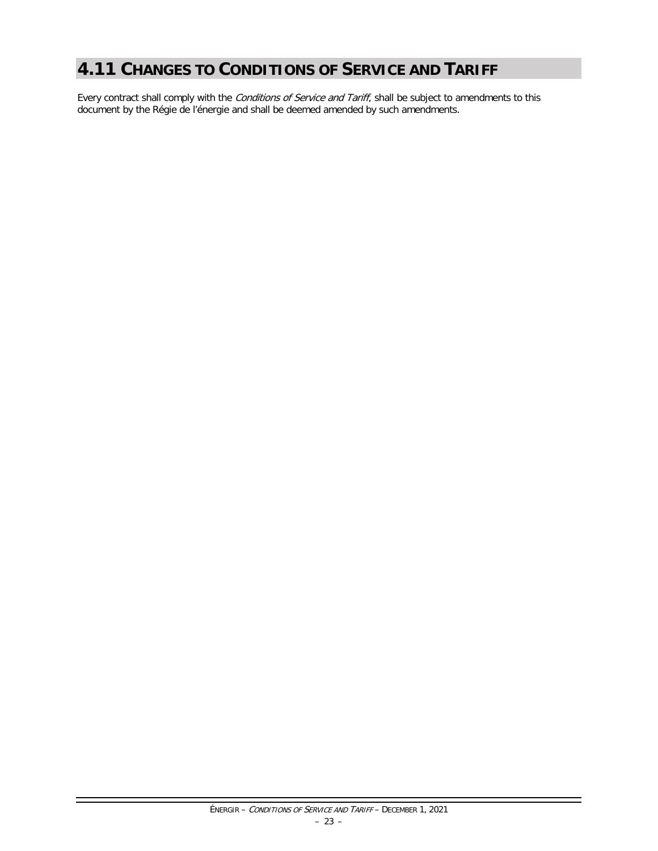# <span id="page-24-0"></span>**4.11 CHANGES TO CONDITIONS OF SERVICE AND TARIFF**

Every contract shall comply with the Conditions of Service and Tariff, shall be subject to amendments to this document by the Régie de l'énergie and shall be deemed amended by such amendments.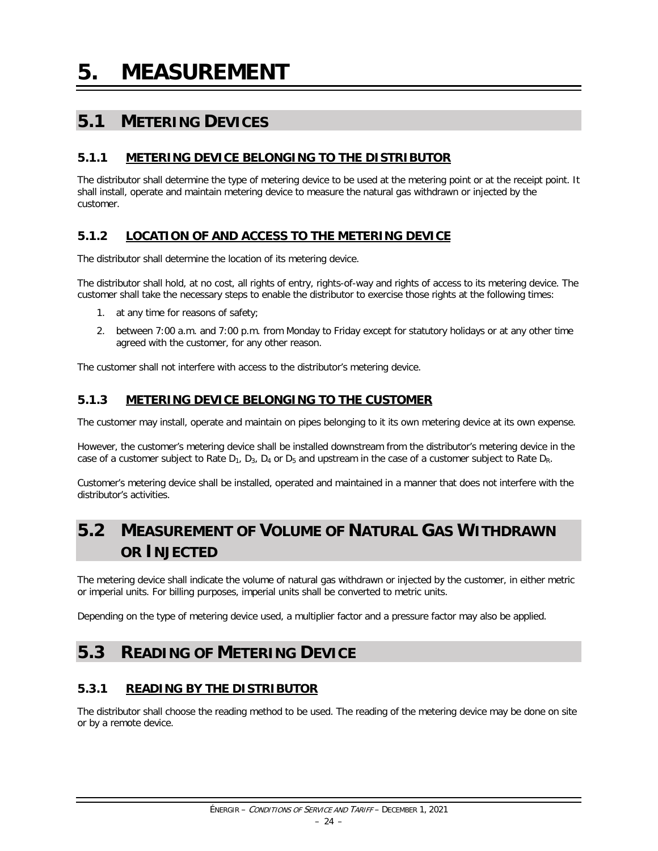<span id="page-25-0"></span>**5. MEASUREMENT**

## <span id="page-25-1"></span>**5.1 METERING DEVICES**

#### <span id="page-25-2"></span>**5.1.1 METERING DEVICE BELONGING TO THE DISTRIBUTOR**

The distributor shall determine the type of metering device to be used at the metering point or at the receipt point. It shall install, operate and maintain metering device to measure the natural gas withdrawn or injected by the customer.

#### <span id="page-25-3"></span>**5.1.2 LOCATION OF AND ACCESS TO THE METERING DEVICE**

The distributor shall determine the location of its metering device.

The distributor shall hold, at no cost, all rights of entry, rights-of-way and rights of access to its metering device. The customer shall take the necessary steps to enable the distributor to exercise those rights at the following times:

- 1. at any time for reasons of safety;
- 2. between 7:00 a.m. and 7:00 p.m. from Monday to Friday except for statutory holidays or at any other time agreed with the customer, for any other reason.

The customer shall not interfere with access to the distributor's metering device.

#### <span id="page-25-4"></span>**5.1.3 METERING DEVICE BELONGING TO THE CUSTOMER**

The customer may install, operate and maintain on pipes belonging to it its own metering device at its own expense.

However, the customer's metering device shall be installed downstream from the distributor's metering device in the case of a customer subject to Rate  $D_1$ ,  $D_3$ ,  $D_4$  or  $D_5$  and upstream in the case of a customer subject to Rate  $D_R$ .

Customer's metering device shall be installed, operated and maintained in a manner that does not interfere with the distributor's activities.

# <span id="page-25-5"></span>**5.2 MEASUREMENT OF VOLUME OF NATURAL GAS WITHDRAWN OR INJECTED**

The metering device shall indicate the volume of natural gas withdrawn or injected by the customer, in either metric or imperial units. For billing purposes, imperial units shall be converted to metric units.

Depending on the type of metering device used, a multiplier factor and a pressure factor may also be applied.

# <span id="page-25-6"></span>**5.3 READING OF METERING DEVICE**

#### <span id="page-25-7"></span>**5.3.1 READING BY THE DISTRIBUTOR**

The distributor shall choose the reading method to be used. The reading of the metering device may be done on site or by a remote device.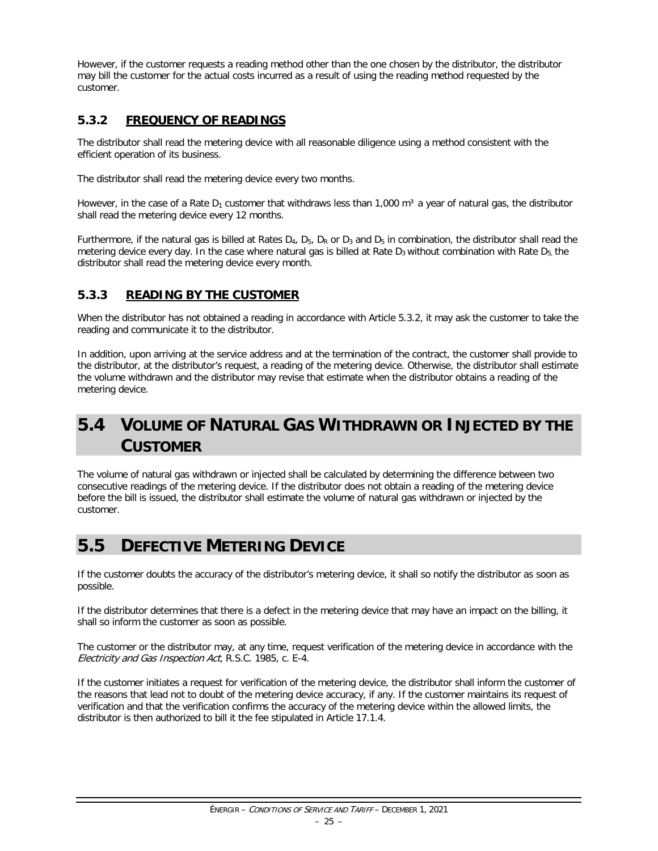However, if the customer requests a reading method other than the one chosen by the distributor, the distributor may bill the customer for the actual costs incurred as a result of using the reading method requested by the customer.

#### <span id="page-26-0"></span>**5.3.2 FREQUENCY OF READINGS**

The distributor shall read the metering device with all reasonable diligence using a method consistent with the efficient operation of its business.

The distributor shall read the metering device every two months.

However, in the case of a Rate  $D_1$  customer that withdraws less than 1,000 m<sup>3</sup> a year of natural gas, the distributor shall read the metering device every 12 months.

Furthermore, if the natural gas is billed at Rates  $D_4$ ,  $D_5$ ,  $D_R$  or  $D_3$  and  $D_5$  in combination, the distributor shall read the metering device every day. In the case where natural gas is billed at Rate  $D_3$  without combination with Rate  $D_5$ , the distributor shall read the metering device every month.

#### <span id="page-26-1"></span>**5.3.3 READING BY THE CUSTOMER**

When the distributor has not obtained a reading in accordance with Article 5.3.2, it may ask the customer to take the reading and communicate it to the distributor.

In addition, upon arriving at the service address and at the termination of the contract, the customer shall provide to the distributor, at the distributor's request, a reading of the metering device. Otherwise, the distributor shall estimate the volume withdrawn and the distributor may revise that estimate when the distributor obtains a reading of the metering device.

# <span id="page-26-2"></span>**5.4 VOLUME OF NATURAL GAS WITHDRAWN OR INJECTED BY THE CUSTOMER**

The volume of natural gas withdrawn or injected shall be calculated by determining the difference between two consecutive readings of the metering device. If the distributor does not obtain a reading of the metering device before the bill is issued, the distributor shall estimate the volume of natural gas withdrawn or injected by the customer.

# <span id="page-26-3"></span>**5.5 DEFECTIVE METERING DEVICE**

If the customer doubts the accuracy of the distributor's metering device, it shall so notify the distributor as soon as possible.

If the distributor determines that there is a defect in the metering device that may have an impact on the billing, it shall so inform the customer as soon as possible.

The customer or the distributor may, at any time, request verification of the metering device in accordance with the Electricity and Gas Inspection Act, R.S.C. 1985, c. E-4.

If the customer initiates a request for verification of the metering device, the distributor shall inform the customer of the reasons that lead not to doubt of the metering device accuracy, if any. If the customer maintains its request of verification and that the verification confirms the accuracy of the metering device within the allowed limits, the distributor is then authorized to bill it the fee stipulated in Article 17.1.4.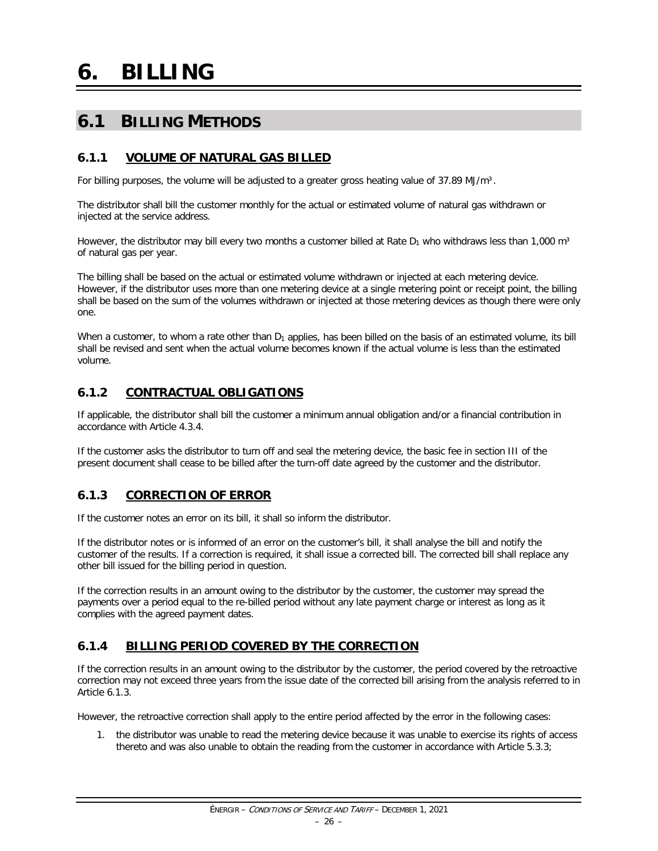# <span id="page-27-0"></span>**6. BILLING**

# <span id="page-27-1"></span>**6.1 BILLING METHODS**

#### <span id="page-27-2"></span>**6.1.1 VOLUME OF NATURAL GAS BILLED**

For billing purposes, the volume will be adjusted to a greater gross heating value of 37.89 MJ/m<sup>3</sup>.

The distributor shall bill the customer monthly for the actual or estimated volume of natural gas withdrawn or injected at the service address.

However, the distributor may bill every two months a customer billed at Rate  $D_1$  who withdraws less than 1,000 m<sup>3</sup> of natural gas per year.

The billing shall be based on the actual or estimated volume withdrawn or injected at each metering device. However, if the distributor uses more than one metering device at a single metering point or receipt point, the billing shall be based on the sum of the volumes withdrawn or injected at those metering devices as though there were only one.

When a customer, to whom a rate other than  $D_1$  applies, has been billed on the basis of an estimated volume, its bill shall be revised and sent when the actual volume becomes known if the actual volume is less than the estimated volume.

#### <span id="page-27-3"></span>**6.1.2 CONTRACTUAL OBLIGATIONS**

If applicable, the distributor shall bill the customer a minimum annual obligation and/or a financial contribution in accordance with Article 4.3.4.

If the customer asks the distributor to turn off and seal the metering device, the basic fee in section III of the present document shall cease to be billed after the turn-off date agreed by the customer and the distributor.

#### <span id="page-27-4"></span>**6.1.3 CORRECTION OF ERROR**

If the customer notes an error on its bill, it shall so inform the distributor.

If the distributor notes or is informed of an error on the customer's bill, it shall analyse the bill and notify the customer of the results. If a correction is required, it shall issue a corrected bill. The corrected bill shall replace any other bill issued for the billing period in question.

If the correction results in an amount owing to the distributor by the customer, the customer may spread the payments over a period equal to the re-billed period without any late payment charge or interest as long as it complies with the agreed payment dates.

#### <span id="page-27-5"></span>**6.1.4 BILLING PERIOD COVERED BY THE CORRECTION**

If the correction results in an amount owing to the distributor by the customer, the period covered by the retroactive correction may not exceed three years from the issue date of the corrected bill arising from the analysis referred to in Article 6.1.3.

However, the retroactive correction shall apply to the entire period affected by the error in the following cases:

1. the distributor was unable to read the metering device because it was unable to exercise its rights of access thereto and was also unable to obtain the reading from the customer in accordance with Article 5.3.3;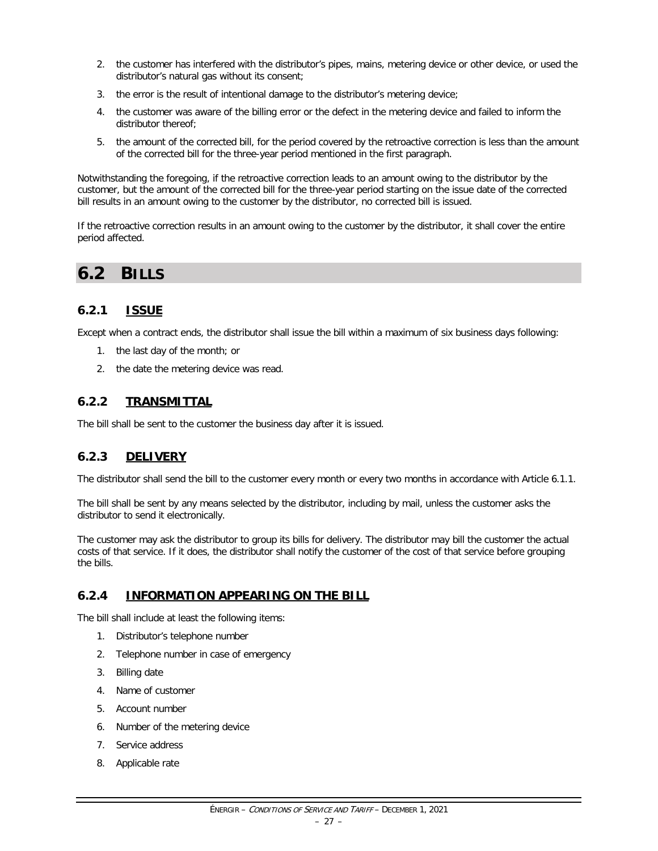- 2. the customer has interfered with the distributor's pipes, mains, metering device or other device, or used the distributor's natural gas without its consent;
- 3. the error is the result of intentional damage to the distributor's metering device;
- 4. the customer was aware of the billing error or the defect in the metering device and failed to inform the distributor thereof;
- 5. the amount of the corrected bill, for the period covered by the retroactive correction is less than the amount of the corrected bill for the three-year period mentioned in the first paragraph.

Notwithstanding the foregoing, if the retroactive correction leads to an amount owing to the distributor by the customer, but the amount of the corrected bill for the three-year period starting on the issue date of the corrected bill results in an amount owing to the customer by the distributor, no corrected bill is issued.

If the retroactive correction results in an amount owing to the customer by the distributor, it shall cover the entire period affected.

## <span id="page-28-0"></span>**6.2 BILLS**

#### <span id="page-28-1"></span>**6.2.1 ISSUE**

Except when a contract ends, the distributor shall issue the bill within a maximum of six business days following:

- 1. the last day of the month; or
- 2. the date the metering device was read.

#### <span id="page-28-2"></span>**6.2.2 TRANSMITTAL**

The bill shall be sent to the customer the business day after it is issued.

#### <span id="page-28-3"></span>**6.2.3 DELIVERY**

The distributor shall send the bill to the customer every month or every two months in accordance with Article 6.1.1.

The bill shall be sent by any means selected by the distributor, including by mail, unless the customer asks the distributor to send it electronically.

The customer may ask the distributor to group its bills for delivery. The distributor may bill the customer the actual costs of that service. If it does, the distributor shall notify the customer of the cost of that service before grouping the bills.

#### <span id="page-28-4"></span>**6.2.4 INFORMATION APPEARING ON THE BILL**

The bill shall include at least the following items:

- 1. Distributor's telephone number
- 2. Telephone number in case of emergency
- 3. Billing date
- 4. Name of customer
- 5. Account number
- 6. Number of the metering device
- 7. Service address
- 8. Applicable rate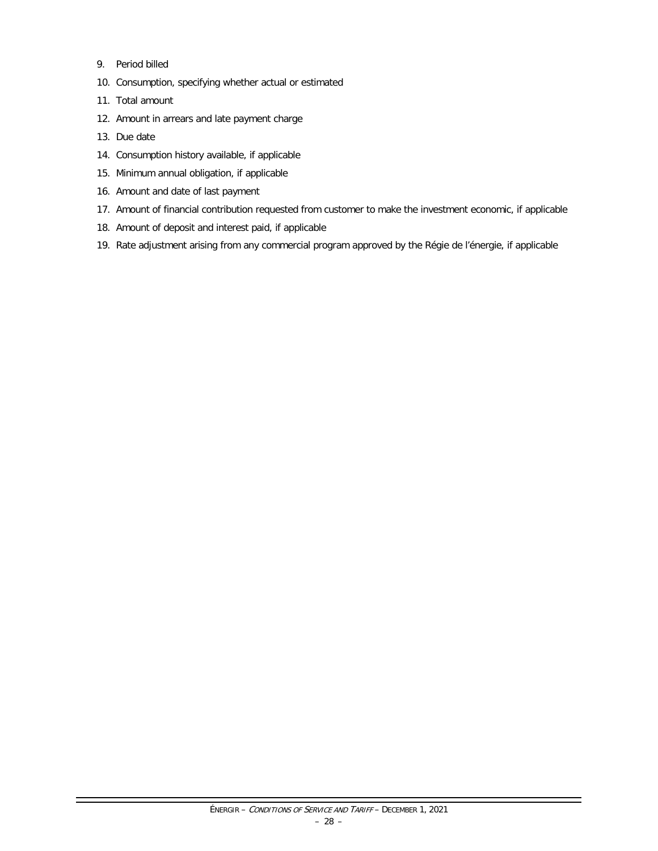- 9. Period billed
- 10. Consumption, specifying whether actual or estimated
- 11. Total amount
- 12. Amount in arrears and late payment charge
- 13. Due date
- 14. Consumption history available, if applicable
- 15. Minimum annual obligation, if applicable
- 16. Amount and date of last payment
- 17. Amount of financial contribution requested from customer to make the investment economic, if applicable
- 18. Amount of deposit and interest paid, if applicable
- 19. Rate adjustment arising from any commercial program approved by the Régie de l'énergie, if applicable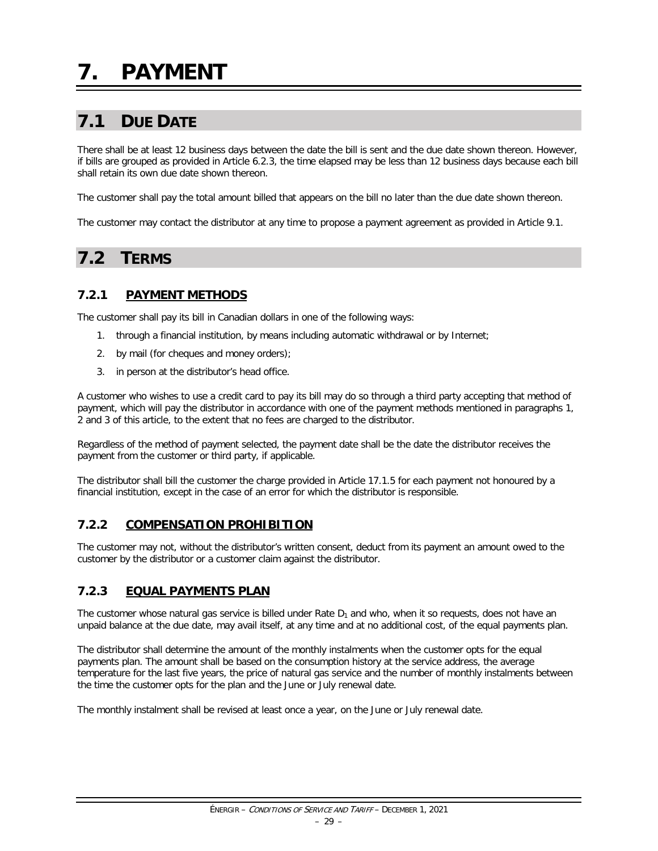# <span id="page-30-1"></span><span id="page-30-0"></span>**7.1 DUE DATE**

There shall be at least 12 business days between the date the bill is sent and the due date shown thereon. However, if bills are grouped as provided in Article 6.2.3, the time elapsed may be less than 12 business days because each bill shall retain its own due date shown thereon.

The customer shall pay the total amount billed that appears on the bill no later than the due date shown thereon.

The customer may contact the distributor at any time to propose a payment agreement as provided in Article 9.1.

## <span id="page-30-2"></span>**7.2 TERMS**

#### <span id="page-30-3"></span>**7.2.1 PAYMENT METHODS**

The customer shall pay its bill in Canadian dollars in one of the following ways:

- 1. through a financial institution, by means including automatic withdrawal or by Internet;
- 2. by mail (for cheques and money orders);
- 3. in person at the distributor's head office.

A customer who wishes to use a credit card to pay its bill may do so through a third party accepting that method of payment, which will pay the distributor in accordance with one of the payment methods mentioned in paragraphs 1, 2 and 3 of this article, to the extent that no fees are charged to the distributor.

Regardless of the method of payment selected, the payment date shall be the date the distributor receives the payment from the customer or third party, if applicable.

The distributor shall bill the customer the charge provided in Article 17.1.5 for each payment not honoured by a financial institution, except in the case of an error for which the distributor is responsible.

#### <span id="page-30-4"></span>**7.2.2 COMPENSATION PROHIBITION**

The customer may not, without the distributor's written consent, deduct from its payment an amount owed to the customer by the distributor or a customer claim against the distributor.

#### <span id="page-30-5"></span>**7.2.3 EQUAL PAYMENTS PLAN**

The customer whose natural gas service is billed under Rate  $D_1$  and who, when it so requests, does not have an unpaid balance at the due date, may avail itself, at any time and at no additional cost, of the equal payments plan.

The distributor shall determine the amount of the monthly instalments when the customer opts for the equal payments plan. The amount shall be based on the consumption history at the service address, the average temperature for the last five years, the price of natural gas service and the number of monthly instalments between the time the customer opts for the plan and the June or July renewal date.

The monthly instalment shall be revised at least once a year, on the June or July renewal date.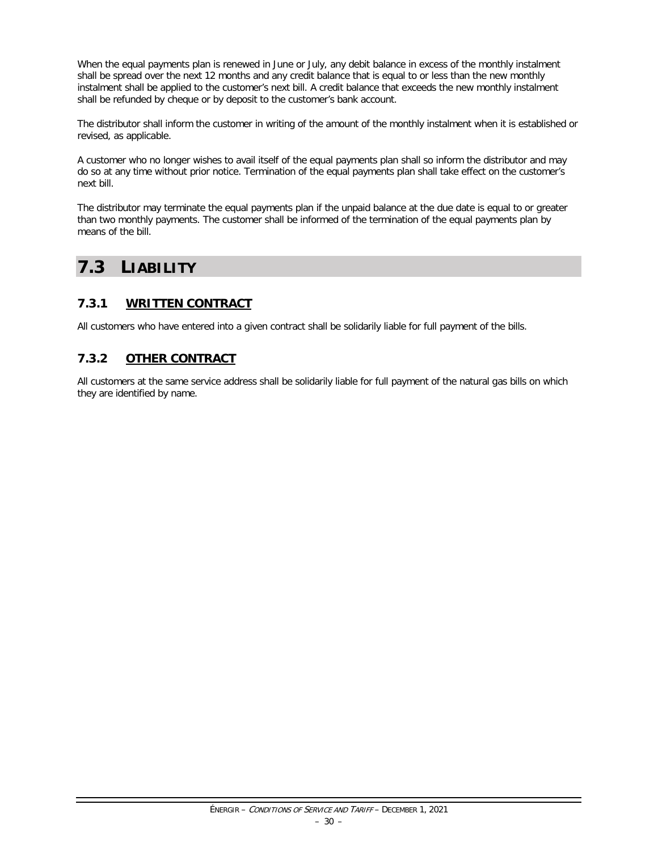When the equal payments plan is renewed in June or July, any debit balance in excess of the monthly instalment shall be spread over the next 12 months and any credit balance that is equal to or less than the new monthly instalment shall be applied to the customer's next bill. A credit balance that exceeds the new monthly instalment shall be refunded by cheque or by deposit to the customer's bank account.

The distributor shall inform the customer in writing of the amount of the monthly instalment when it is established or revised, as applicable.

A customer who no longer wishes to avail itself of the equal payments plan shall so inform the distributor and may do so at any time without prior notice. Termination of the equal payments plan shall take effect on the customer's next bill.

The distributor may terminate the equal payments plan if the unpaid balance at the due date is equal to or greater than two monthly payments. The customer shall be informed of the termination of the equal payments plan by means of the bill.

# <span id="page-31-0"></span>**7.3 LIABILITY**

#### <span id="page-31-1"></span>**7.3.1 WRITTEN CONTRACT**

All customers who have entered into a given contract shall be solidarily liable for full payment of the bills.

#### <span id="page-31-2"></span>**7.3.2 OTHER CONTRACT**

All customers at the same service address shall be solidarily liable for full payment of the natural gas bills on which they are identified by name.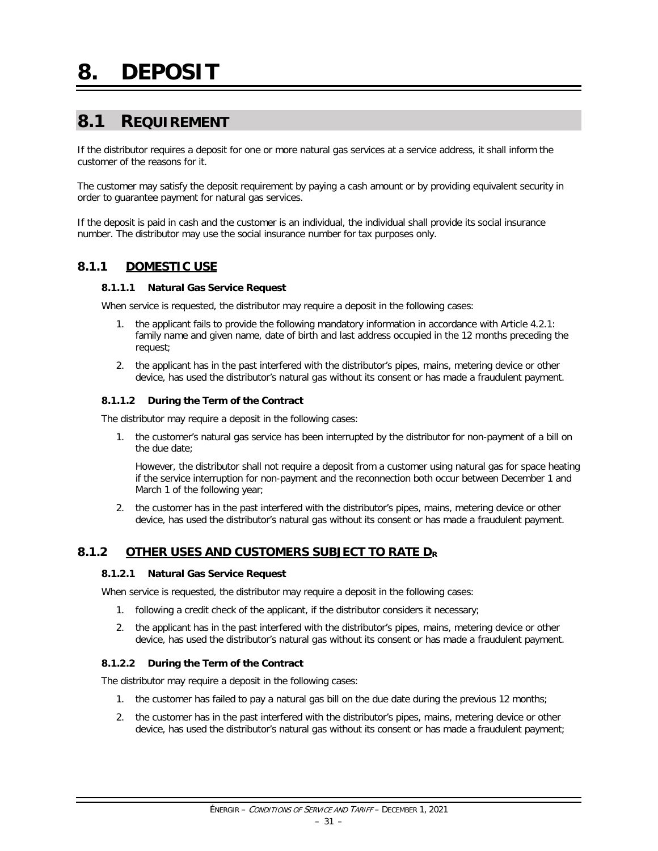## <span id="page-32-1"></span><span id="page-32-0"></span>**8.1 REQUIREMENT**

If the distributor requires a deposit for one or more natural gas services at a service address, it shall inform the customer of the reasons for it.

The customer may satisfy the deposit requirement by paying a cash amount or by providing equivalent security in order to guarantee payment for natural gas services.

If the deposit is paid in cash and the customer is an individual, the individual shall provide its social insurance number. The distributor may use the social insurance number for tax purposes only.

#### <span id="page-32-2"></span>**8.1.1 DOMESTIC USE**

#### **8.1.1.1 Natural Gas Service Request**

When service is requested, the distributor may require a deposit in the following cases:

- 1. the applicant fails to provide the following mandatory information in accordance with Article 4.2.1: family name and given name, date of birth and last address occupied in the 12 months preceding the request;
- 2. the applicant has in the past interfered with the distributor's pipes, mains, metering device or other device, has used the distributor's natural gas without its consent or has made a fraudulent payment.

#### **8.1.1.2 During the Term of the Contract**

The distributor may require a deposit in the following cases:

1. the customer's natural gas service has been interrupted by the distributor for non-payment of a bill on the due date;

However, the distributor shall not require a deposit from a customer using natural gas for space heating if the service interruption for non-payment and the reconnection both occur between December 1 and March 1 of the following year;

2. the customer has in the past interfered with the distributor's pipes, mains, metering device or other device, has used the distributor's natural gas without its consent or has made a fraudulent payment.

#### <span id="page-32-3"></span>**8.1.2 OTHER USES AND CUSTOMERS SUBJECT TO RATE DR**

#### **8.1.2.1 Natural Gas Service Request**

When service is requested, the distributor may require a deposit in the following cases:

- 1. following a credit check of the applicant, if the distributor considers it necessary;
- 2. the applicant has in the past interfered with the distributor's pipes, mains, metering device or other device, has used the distributor's natural gas without its consent or has made a fraudulent payment.

#### **8.1.2.2 During the Term of the Contract**

The distributor may require a deposit in the following cases:

- 1. the customer has failed to pay a natural gas bill on the due date during the previous 12 months;
- 2. the customer has in the past interfered with the distributor's pipes, mains, metering device or other device, has used the distributor's natural gas without its consent or has made a fraudulent payment;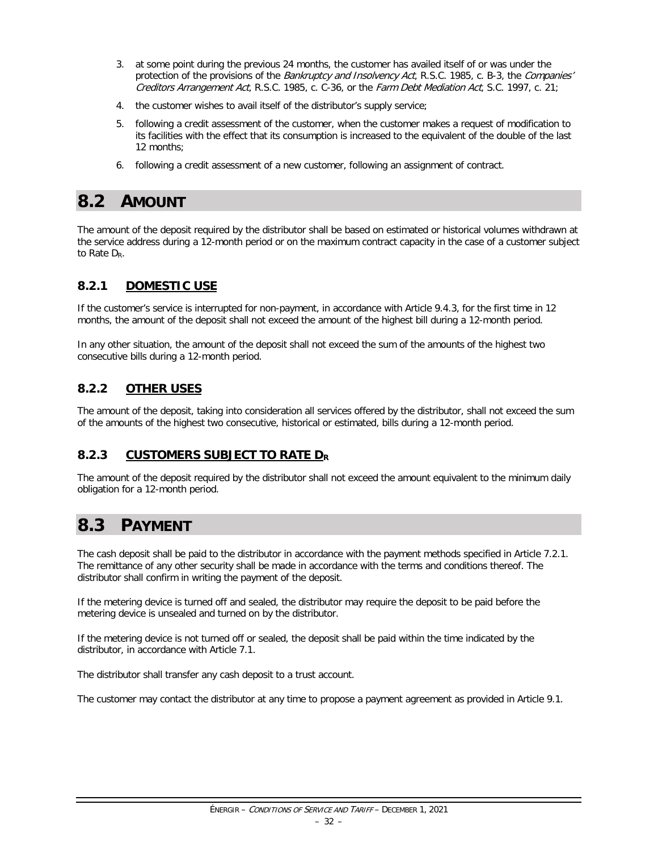- 3. at some point during the previous 24 months, the customer has availed itself of or was under the protection of the provisions of the *Bankruptcy and Insolvency Act*, R.S.C. 1985, c. B-3, the *Companies'* Creditors Arrangement Act, R.S.C. 1985, c. C-36, or the Farm Debt Mediation Act, S.C. 1997, c. 21;
- 4. the customer wishes to avail itself of the distributor's supply service;
- 5. following a credit assessment of the customer, when the customer makes a request of modification to its facilities with the effect that its consumption is increased to the equivalent of the double of the last 12 months;
- 6. following a credit assessment of a new customer, following an assignment of contract.

### <span id="page-33-0"></span>**8.2 AMOUNT**

The amount of the deposit required by the distributor shall be based on estimated or historical volumes withdrawn at the service address during a 12-month period or on the maximum contract capacity in the case of a customer subject to Rate D<sub>R</sub>.

#### <span id="page-33-1"></span>**8.2.1 DOMESTIC USE**

If the customer's service is interrupted for non-payment, in accordance with Article 9.4.3, for the first time in 12 months, the amount of the deposit shall not exceed the amount of the highest bill during a 12-month period.

In any other situation, the amount of the deposit shall not exceed the sum of the amounts of the highest two consecutive bills during a 12-month period.

#### <span id="page-33-2"></span>**8.2.2 OTHER USES**

The amount of the deposit, taking into consideration all services offered by the distributor, shall not exceed the sum of the amounts of the highest two consecutive, historical or estimated, bills during a 12-month period.

#### <span id="page-33-3"></span>**8.2.3 CUSTOMERS SUBJECT TO RATE DR**

The amount of the deposit required by the distributor shall not exceed the amount equivalent to the minimum daily obligation for a 12-month period.

### <span id="page-33-4"></span>**8.3 PAYMENT**

The cash deposit shall be paid to the distributor in accordance with the payment methods specified in Article 7.2.1. The remittance of any other security shall be made in accordance with the terms and conditions thereof. The distributor shall confirm in writing the payment of the deposit.

If the metering device is turned off and sealed, the distributor may require the deposit to be paid before the metering device is unsealed and turned on by the distributor.

If the metering device is not turned off or sealed, the deposit shall be paid within the time indicated by the distributor, in accordance with Article 7.1.

The distributor shall transfer any cash deposit to a trust account.

The customer may contact the distributor at any time to propose a payment agreement as provided in Article 9.1.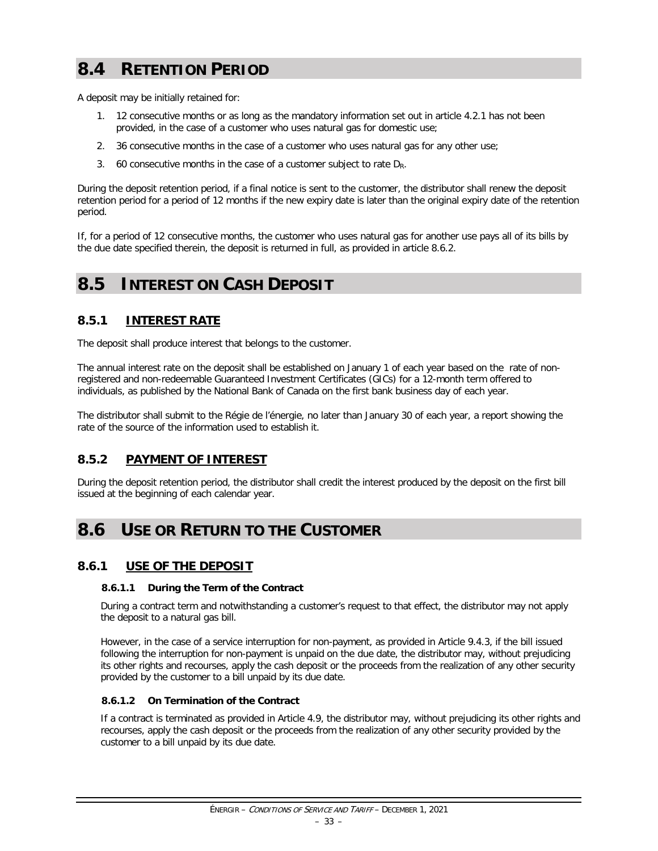## <span id="page-34-0"></span>**8.4 RETENTION PERIOD**

A deposit may be initially retained for:

- 1. 12 consecutive months or as long as the mandatory information set out in article 4.2.1 has not been provided, in the case of a customer who uses natural gas for domestic use;
- 2. 36 consecutive months in the case of a customer who uses natural gas for any other use;
- 3. 60 consecutive months in the case of a customer subject to rate  $D_R$ .

During the deposit retention period, if a final notice is sent to the customer, the distributor shall renew the deposit retention period for a period of 12 months if the new expiry date is later than the original expiry date of the retention period.

If, for a period of 12 consecutive months, the customer who uses natural gas for another use pays all of its bills by the due date specified therein, the deposit is returned in full, as provided in article 8.6.2.

## <span id="page-34-1"></span>**8.5 INTEREST ON CASH DEPOSIT**

#### <span id="page-34-2"></span>**8.5.1 INTEREST RATE**

The deposit shall produce interest that belongs to the customer.

The annual interest rate on the deposit shall be established on January 1 of each year based on the rate of nonregistered and non-redeemable Guaranteed Investment Certificates (GICs) for a 12-month term offered to individuals, as published by the National Bank of Canada on the first bank business day of each year.

The distributor shall submit to the Régie de l'énergie, no later than January 30 of each year, a report showing the rate of the source of the information used to establish it.

#### <span id="page-34-3"></span>**8.5.2 PAYMENT OF INTEREST**

During the deposit retention period, the distributor shall credit the interest produced by the deposit on the first bill issued at the beginning of each calendar year.

## <span id="page-34-4"></span>**8.6 USE OR RETURN TO THE CUSTOMER**

#### <span id="page-34-5"></span>**8.6.1 USE OF THE DEPOSIT**

#### **8.6.1.1 During the Term of the Contract**

During a contract term and notwithstanding a customer's request to that effect, the distributor may not apply the deposit to a natural gas bill.

However, in the case of a service interruption for non-payment, as provided in Article 9.4.3, if the bill issued following the interruption for non-payment is unpaid on the due date, the distributor may, without prejudicing its other rights and recourses, apply the cash deposit or the proceeds from the realization of any other security provided by the customer to a bill unpaid by its due date.

#### **8.6.1.2 On Termination of the Contract**

If a contract is terminated as provided in Article 4.9, the distributor may, without prejudicing its other rights and recourses, apply the cash deposit or the proceeds from the realization of any other security provided by the customer to a bill unpaid by its due date.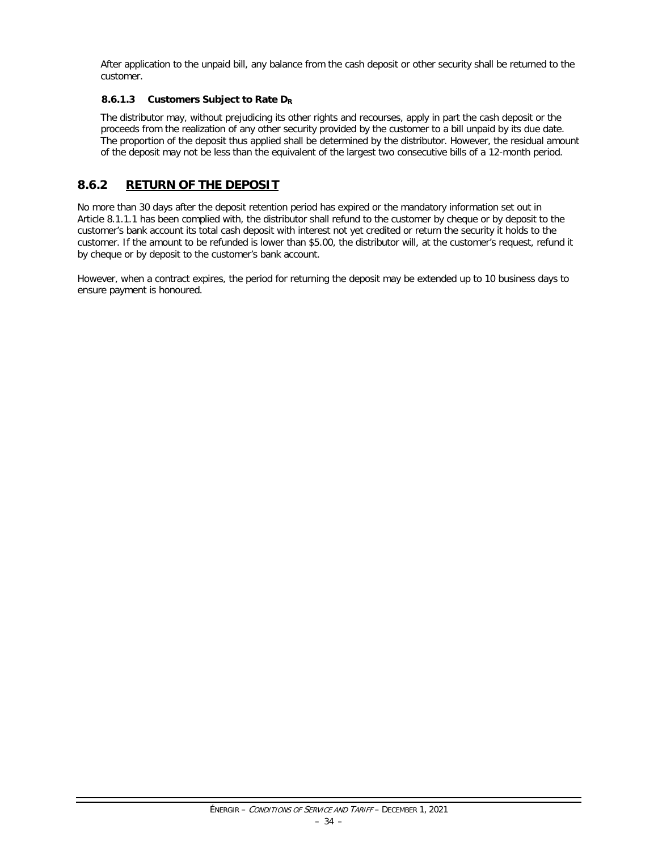After application to the unpaid bill, any balance from the cash deposit or other security shall be returned to the customer.

#### **8.6.1.3 Customers Subject to Rate DR**

The distributor may, without prejudicing its other rights and recourses, apply in part the cash deposit or the proceeds from the realization of any other security provided by the customer to a bill unpaid by its due date. The proportion of the deposit thus applied shall be determined by the distributor. However, the residual amount of the deposit may not be less than the equivalent of the largest two consecutive bills of a 12-month period.

#### <span id="page-35-0"></span>**8.6.2 RETURN OF THE DEPOSIT**

No more than 30 days after the deposit retention period has expired or the mandatory information set out in Article 8.1.1.1 has been complied with, the distributor shall refund to the customer by cheque or by deposit to the customer's bank account its total cash deposit with interest not yet credited or return the security it holds to the customer. If the amount to be refunded is lower than \$5.00, the distributor will, at the customer's request, refund it by cheque or by deposit to the customer's bank account.

However, when a contract expires, the period for returning the deposit may be extended up to 10 business days to ensure payment is honoured.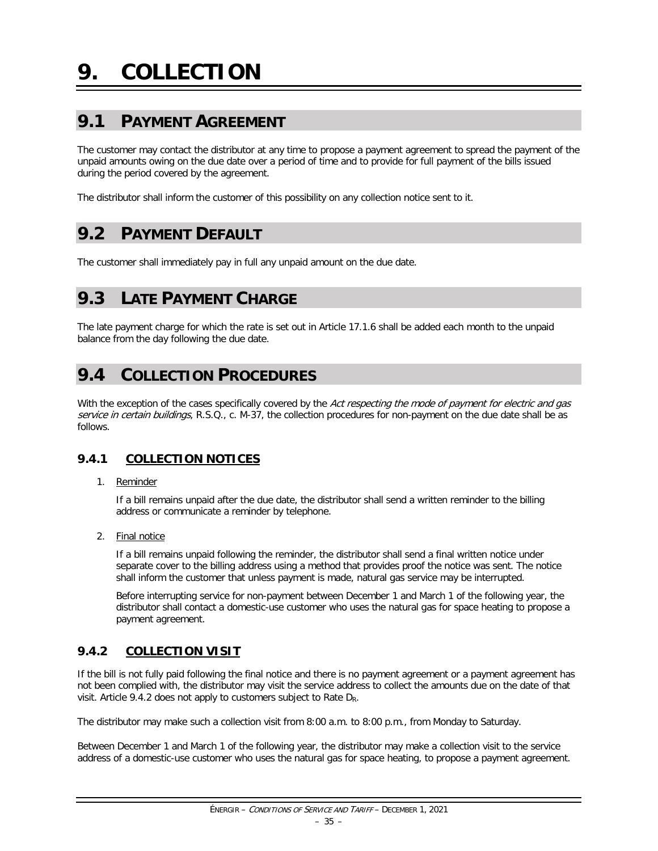# **9.1 PAYMENT AGREEMENT**

The customer may contact the distributor at any time to propose a payment agreement to spread the payment of the unpaid amounts owing on the due date over a period of time and to provide for full payment of the bills issued during the period covered by the agreement.

The distributor shall inform the customer of this possibility on any collection notice sent to it.

# **9.2 PAYMENT DEFAULT**

The customer shall immediately pay in full any unpaid amount on the due date.

# **9.3 LATE PAYMENT CHARGE**

The late payment charge for which the rate is set out in Article 17.1.6 shall be added each month to the unpaid balance from the day following the due date.

# **9.4 COLLECTION PROCEDURES**

With the exception of the cases specifically covered by the Act respecting the mode of payment for electric and gas service in certain buildings, R.S.Q., c. M-37, the collection procedures for non-payment on the due date shall be as follows.

# **9.4.1 COLLECTION NOTICES**

1. Reminder

If a bill remains unpaid after the due date, the distributor shall send a written reminder to the billing address or communicate a reminder by telephone.

2. Final notice

If a bill remains unpaid following the reminder, the distributor shall send a final written notice under separate cover to the billing address using a method that provides proof the notice was sent. The notice shall inform the customer that unless payment is made, natural gas service may be interrupted.

Before interrupting service for non-payment between December 1 and March 1 of the following year, the distributor shall contact a domestic-use customer who uses the natural gas for space heating to propose a payment agreement.

# **9.4.2 COLLECTION VISIT**

If the bill is not fully paid following the final notice and there is no payment agreement or a payment agreement has not been complied with, the distributor may visit the service address to collect the amounts due on the date of that visit. Article 9.4.2 does not apply to customers subject to Rate DR.

The distributor may make such a collection visit from 8:00 a.m. to 8:00 p.m., from Monday to Saturday.

Between December 1 and March 1 of the following year, the distributor may make a collection visit to the service address of a domestic-use customer who uses the natural gas for space heating, to propose a payment agreement.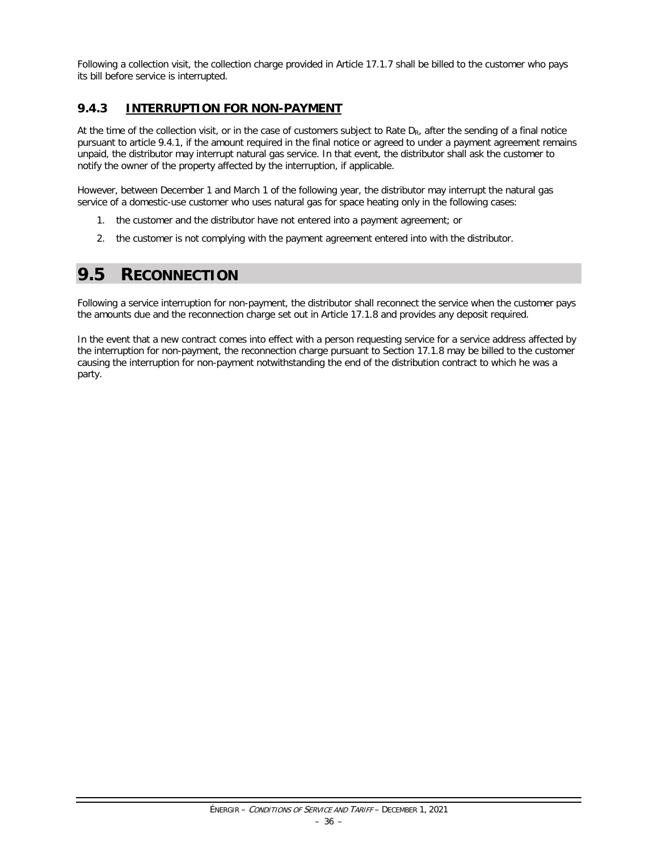Following a collection visit, the collection charge provided in Article 17.1.7 shall be billed to the customer who pays its bill before service is interrupted.

### **9.4.3 INTERRUPTION FOR NON-PAYMENT**

At the time of the collection visit, or in the case of customers subject to Rate  $D_R$ , after the sending of a final notice pursuant to article 9.4.1, if the amount required in the final notice or agreed to under a payment agreement remains unpaid, the distributor may interrupt natural gas service. In that event, the distributor shall ask the customer to notify the owner of the property affected by the interruption, if applicable.

However, between December 1 and March 1 of the following year, the distributor may interrupt the natural gas service of a domestic-use customer who uses natural gas for space heating only in the following cases:

- 1. the customer and the distributor have not entered into a payment agreement; or
- 2. the customer is not complying with the payment agreement entered into with the distributor.

# **9.5 RECONNECTION**

Following a service interruption for non-payment, the distributor shall reconnect the service when the customer pays the amounts due and the reconnection charge set out in Article 17.1.8 and provides any deposit required.

In the event that a new contract comes into effect with a person requesting service for a service address affected by the interruption for non-payment, the reconnection charge pursuant to Section 17.1.8 may be billed to the customer causing the interruption for non-payment notwithstanding the end of the distribution contract to which he was a party.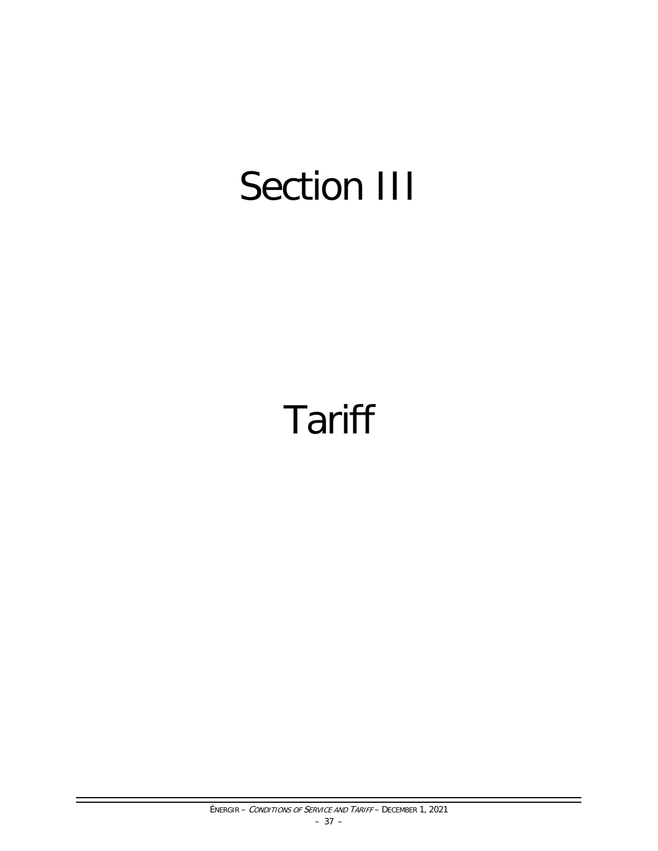# Section III

# **Tariff**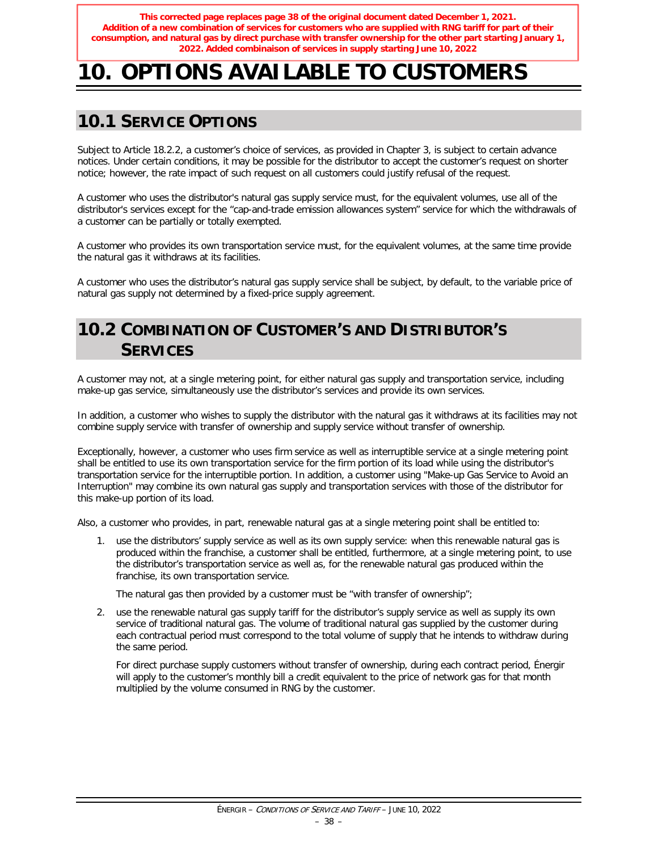**This corrected page replaces page 38 of the original document dated December 1, 2021. Addition of a new combination of services for customers who are supplied with RNG tariff for part of their consumption, and natural gas by direct purchase with transfer ownership for the other part starting January 1, 2022. Added combinaison of services in supply starting June 10, 2022**

# **10. OPTIONS AVAILABLE TO CUSTOMERS**

# **10.1 SERVICE OPTIONS**

Subject to Article 18.2.2, a customer's choice of services, as provided in Chapter 3, is subject to certain advance notices. Under certain conditions, it may be possible for the distributor to accept the customer's request on shorter notice; however, the rate impact of such request on all customers could justify refusal of the request.

A customer who uses the distributor's natural gas supply service must, for the equivalent volumes, use all of the distributor's services except for the "cap-and-trade emission allowances system" service for which the withdrawals of a customer can be partially or totally exempted.

A customer who provides its own transportation service must, for the equivalent volumes, at the same time provide the natural gas it withdraws at its facilities.

A customer who uses the distributor's natural gas supply service shall be subject, by default, to the variable price of natural gas supply not determined by a fixed-price supply agreement.

# **10.2 COMBINATION OF CUSTOMER'S AND DISTRIBUTOR'S SERVICES**

A customer may not, at a single metering point, for either natural gas supply and transportation service, including make-up gas service, simultaneously use the distributor's services and provide its own services.

In addition, a customer who wishes to supply the distributor with the natural gas it withdraws at its facilities may not combine supply service with transfer of ownership and supply service without transfer of ownership.

Exceptionally, however, a customer who uses firm service as well as interruptible service at a single metering point shall be entitled to use its own transportation service for the firm portion of its load while using the distributor's transportation service for the interruptible portion. In addition, a customer using "Make-up Gas Service to Avoid an Interruption" may combine its own natural gas supply and transportation services with those of the distributor for this make-up portion of its load.

Also, a customer who provides, in part, renewable natural gas at a single metering point shall be entitled to:

1. use the distributors' supply service as well as its own supply service: when this renewable natural gas is produced within the franchise, a customer shall be entitled, furthermore, at a single metering point, to use the distributor's transportation service as well as, for the renewable natural gas produced within the franchise, its own transportation service.

The natural gas then provided by a customer must be "with transfer of ownership";

2. use the renewable natural gas supply tariff for the distributor's supply service as well as supply its own service of traditional natural gas. The volume of traditional natural gas supplied by the customer during each contractual period must correspond to the total volume of supply that he intends to withdraw during the same period.

For direct purchase supply customers without transfer of ownership, during each contract period, Énergir will apply to the customer's monthly bill a credit equivalent to the price of network gas for that month multiplied by the volume consumed in RNG by the customer.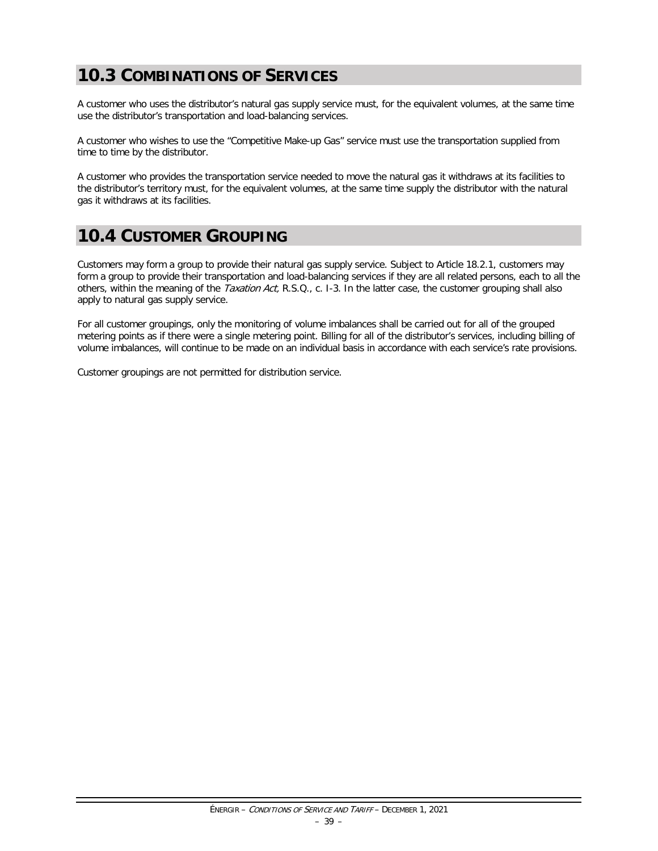# **10.3 COMBINATIONS OF SERVICES**

A customer who uses the distributor's natural gas supply service must, for the equivalent volumes, at the same time use the distributor's transportation and load-balancing services.

A customer who wishes to use the "Competitive Make-up Gas" service must use the transportation supplied from time to time by the distributor.

A customer who provides the transportation service needed to move the natural gas it withdraws at its facilities to the distributor's territory must, for the equivalent volumes, at the same time supply the distributor with the natural gas it withdraws at its facilities.

# **10.4 CUSTOMER GROUPING**

Customers may form a group to provide their natural gas supply service. Subject to Article 18.2.1, customers may form a group to provide their transportation and load-balancing services if they are all related persons, each to all the others, within the meaning of the Taxation Act, R.S.Q., c. I-3. In the latter case, the customer grouping shall also apply to natural gas supply service.

For all customer groupings, only the monitoring of volume imbalances shall be carried out for all of the grouped metering points as if there were a single metering point. Billing for all of the distributor's services, including billing of volume imbalances, will continue to be made on an individual basis in accordance with each service's rate provisions.

Customer groupings are not permitted for distribution service.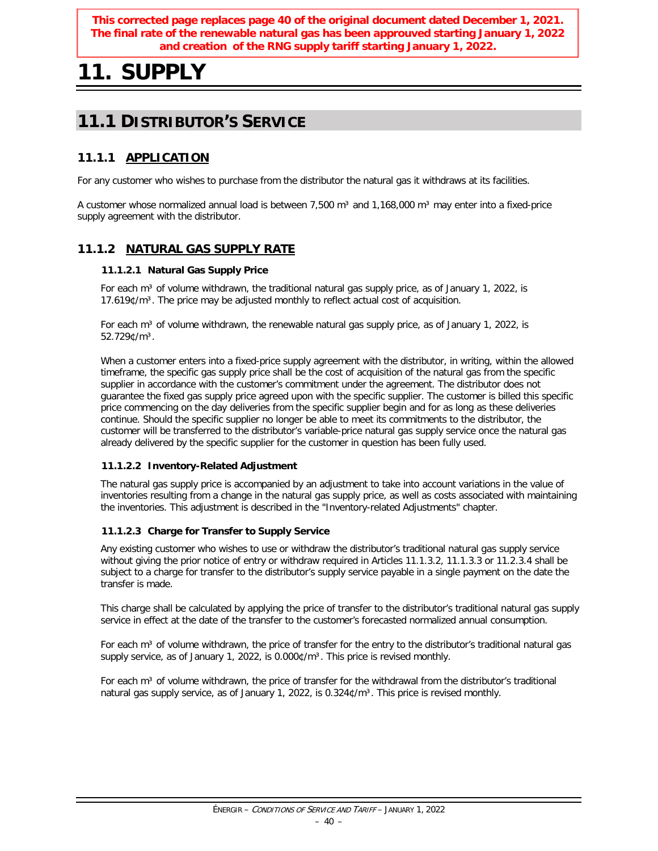**This corrected page replaces page 40 of the original document dated December 1, 2021. The final rate of the renewable natural gas has been approuved starting January 1, 2022 and creation of the RNG supply tariff starting January 1, 2022.**

# **11. SUPPLY**

# **11.1 DISTRIBUTOR'S SERVICE**

# **11.1.1 APPLICATION**

For any customer who wishes to purchase from the distributor the natural gas it withdraws at its facilities.

A customer whose normalized annual load is between 7,500 m<sup>3</sup> and 1,168,000 m<sup>3</sup> may enter into a fixed-price supply agreement with the distributor.

# **11.1.2 NATURAL GAS SUPPLY RATE**

#### **11.1.2.1 Natural Gas Supply Price**

For each m<sup>3</sup> of volume withdrawn, the traditional natural gas supply price, as of January 1, 2022, is 17.619¢/m<sup>3</sup>. The price may be adjusted monthly to reflect actual cost of acquisition.

For each  $m<sup>3</sup>$  of volume withdrawn, the renewable natural gas supply price, as of January 1, 2022, is 52.729¢/m³.

When a customer enters into a fixed-price supply agreement with the distributor, in writing, within the allowed timeframe, the specific gas supply price shall be the cost of acquisition of the natural gas from the specific supplier in accordance with the customer's commitment under the agreement. The distributor does not guarantee the fixed gas supply price agreed upon with the specific supplier. The customer is billed this specific price commencing on the day deliveries from the specific supplier begin and for as long as these deliveries continue. Should the specific supplier no longer be able to meet its commitments to the distributor, the customer will be transferred to the distributor's variable-price natural gas supply service once the natural gas already delivered by the specific supplier for the customer in question has been fully used.

#### **11.1.2.2 Inventory-Related Adjustment**

The natural gas supply price is accompanied by an adjustment to take into account variations in the value of inventories resulting from a change in the natural gas supply price, as well as costs associated with maintaining the inventories. This adjustment is described in the "Inventory-related Adjustments" chapter.

#### **11.1.2.3 Charge for Transfer to Supply Service**

Any existing customer who wishes to use or withdraw the distributor's traditional natural gas supply service without giving the prior notice of entry or withdraw required in Articles 11.1.3.2, 11.1.3.3 or 11.2.3.4 shall be subject to a charge for transfer to the distributor's supply service payable in a single payment on the date the transfer is made.

This charge shall be calculated by applying the price of transfer to the distributor's traditional natural gas supply service in effect at the date of the transfer to the customer's forecasted normalized annual consumption.

For each  $m<sup>3</sup>$  of volume withdrawn, the price of transfer for the entry to the distributor's traditional natural gas supply service, as of January 1, 2022, is 0.000¢/m<sup>3</sup>. This price is revised monthly.

For each m<sup>3</sup> of volume withdrawn, the price of transfer for the withdrawal from the distributor's traditional natural gas supply service, as of January 1, 2022, is 0.324¢/m<sup>3</sup>. This price is revised monthly.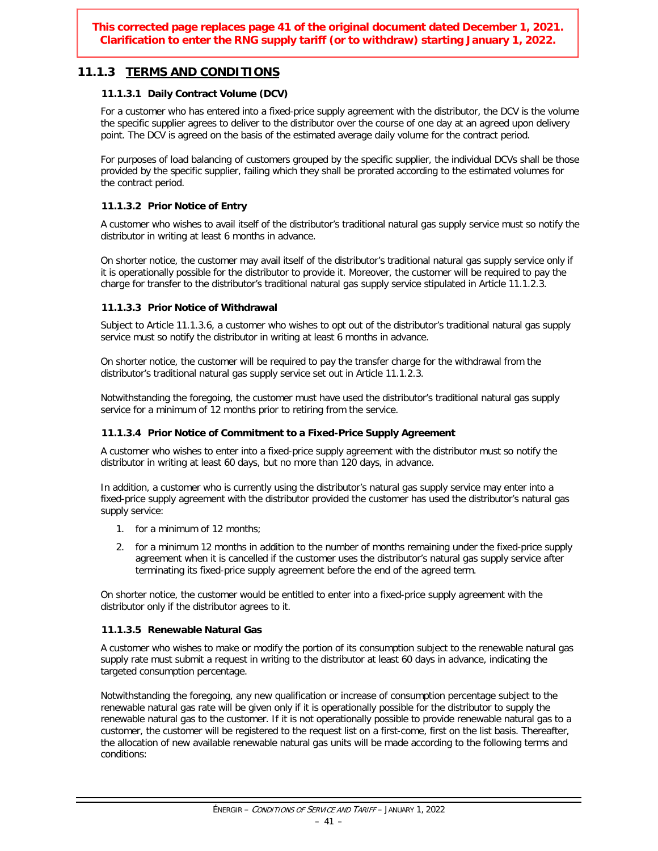### **11.1.3 TERMS AND CONDITIONS**

#### **11.1.3.1 Daily Contract Volume (DCV)**

For a customer who has entered into a fixed-price supply agreement with the distributor, the DCV is the volume the specific supplier agrees to deliver to the distributor over the course of one day at an agreed upon delivery point. The DCV is agreed on the basis of the estimated average daily volume for the contract period.

For purposes of load balancing of customers grouped by the specific supplier, the individual DCVs shall be those provided by the specific supplier, failing which they shall be prorated according to the estimated volumes for the contract period.

#### **11.1.3.2 Prior Notice of Entry**

A customer who wishes to avail itself of the distributor's traditional natural gas supply service must so notify the distributor in writing at least 6 months in advance.

On shorter notice, the customer may avail itself of the distributor's traditional natural gas supply service only if it is operationally possible for the distributor to provide it. Moreover, the customer will be required to pay the charge for transfer to the distributor's traditional natural gas supply service stipulated in Article 11.1.2.3.

#### **11.1.3.3 Prior Notice of Withdrawal**

Subject to Article 11.1.3.6, a customer who wishes to opt out of the distributor's traditional natural gas supply service must so notify the distributor in writing at least 6 months in advance.

On shorter notice, the customer will be required to pay the transfer charge for the withdrawal from the distributor's traditional natural gas supply service set out in Article 11.1.2.3.

Notwithstanding the foregoing, the customer must have used the distributor's traditional natural gas supply service for a minimum of 12 months prior to retiring from the service.

#### **11.1.3.4 Prior Notice of Commitment to a Fixed-Price Supply Agreement**

A customer who wishes to enter into a fixed-price supply agreement with the distributor must so notify the distributor in writing at least 60 days, but no more than 120 days, in advance.

In addition, a customer who is currently using the distributor's natural gas supply service may enter into a fixed-price supply agreement with the distributor provided the customer has used the distributor's natural gas supply service:

- 1. for a minimum of 12 months;
- 2. for a minimum 12 months in addition to the number of months remaining under the fixed-price supply agreement when it is cancelled if the customer uses the distributor's natural gas supply service after terminating its fixed-price supply agreement before the end of the agreed term.

On shorter notice, the customer would be entitled to enter into a fixed-price supply agreement with the distributor only if the distributor agrees to it.

#### **11.1.3.5 Renewable Natural Gas**

A customer who wishes to make or modify the portion of its consumption subject to the renewable natural gas supply rate must submit a request in writing to the distributor at least 60 days in advance, indicating the targeted consumption percentage.

Notwithstanding the foregoing, any new qualification or increase of consumption percentage subject to the renewable natural gas rate will be given only if it is operationally possible for the distributor to supply the renewable natural gas to the customer. If it is not operationally possible to provide renewable natural gas to a customer, the customer will be registered to the request list on a first-come, first on the list basis. Thereafter, the allocation of new available renewable natural gas units will be made according to the following terms and conditions: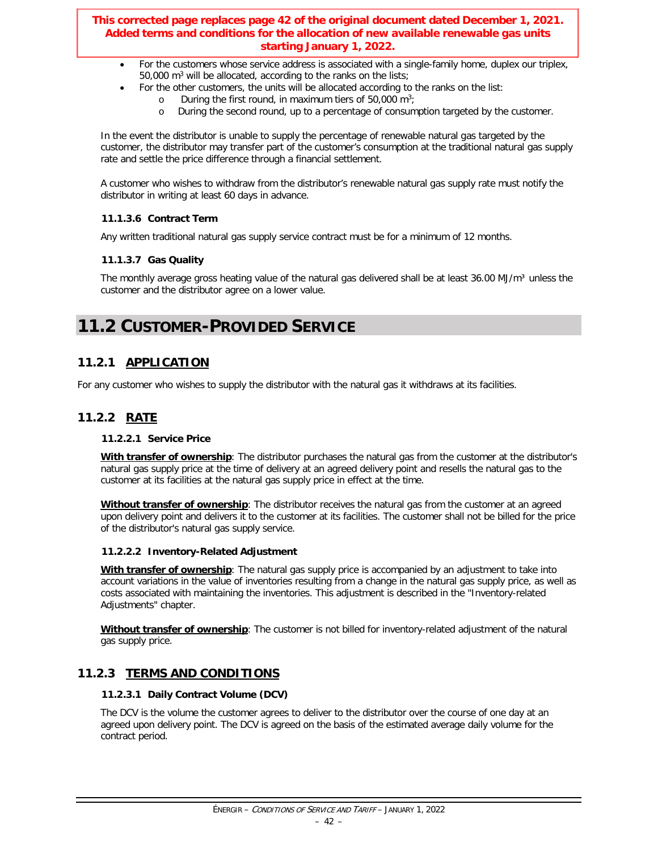#### **This corrected page replaces page 42 of the original document dated December 1, 2021. Added terms and conditions for the allocation of new available renewable gas units starting January 1, 2022.**

- For the customers whose service address is associated with a single-family home, duplex our triplex, 50,000 m<sup>3</sup> will be allocated, according to the ranks on the lists;
	- For the other customers, the units will be allocated according to the ranks on the list:
		- o During the first round, in maximum tiers of 50,000 m<sup>3</sup>;<br>o During the second round, up to a percentage of consum
		- During the second round, up to a percentage of consumption targeted by the customer.

In the event the distributor is unable to supply the percentage of renewable natural gas targeted by the customer, the distributor may transfer part of the customer's consumption at the traditional natural gas supply rate and settle the price difference through a financial settlement.

A customer who wishes to withdraw from the distributor's renewable natural gas supply rate must notify the distributor in writing at least 60 days in advance.

#### **11.1.3.6 Contract Term**

Any written traditional natural gas supply service contract must be for a minimum of 12 months.

#### **11.1.3.7 Gas Quality**

The monthly average gross heating value of the natural gas delivered shall be at least 36.00 MJ/m<sup>3</sup> unless the customer and the distributor agree on a lower value.

# **11.2 CUSTOMER-PROVIDED SERVICE**

# **11.2.1 APPLICATION**

For any customer who wishes to supply the distributor with the natural gas it withdraws at its facilities.

# **11.2.2 RATE**

#### **11.2.2.1 Service Price**

**With transfer of ownership**: The distributor purchases the natural gas from the customer at the distributor's natural gas supply price at the time of delivery at an agreed delivery point and resells the natural gas to the customer at its facilities at the natural gas supply price in effect at the time.

**Without transfer of ownership**: The distributor receives the natural gas from the customer at an agreed upon delivery point and delivers it to the customer at its facilities. The customer shall not be billed for the price of the distributor's natural gas supply service.

#### **11.2.2.2 Inventory-Related Adjustment**

**With transfer of ownership**: The natural gas supply price is accompanied by an adjustment to take into account variations in the value of inventories resulting from a change in the natural gas supply price, as well as costs associated with maintaining the inventories. This adjustment is described in the "Inventory-related Adjustments" chapter.

**Without transfer of ownership**: The customer is not billed for inventory-related adjustment of the natural gas supply price.

#### **11.2.3 TERMS AND CONDITIONS**

#### **11.2.3.1 Daily Contract Volume (DCV)**

The DCV is the volume the customer agrees to deliver to the distributor over the course of one day at an agreed upon delivery point. The DCV is agreed on the basis of the estimated average daily volume for the contract period.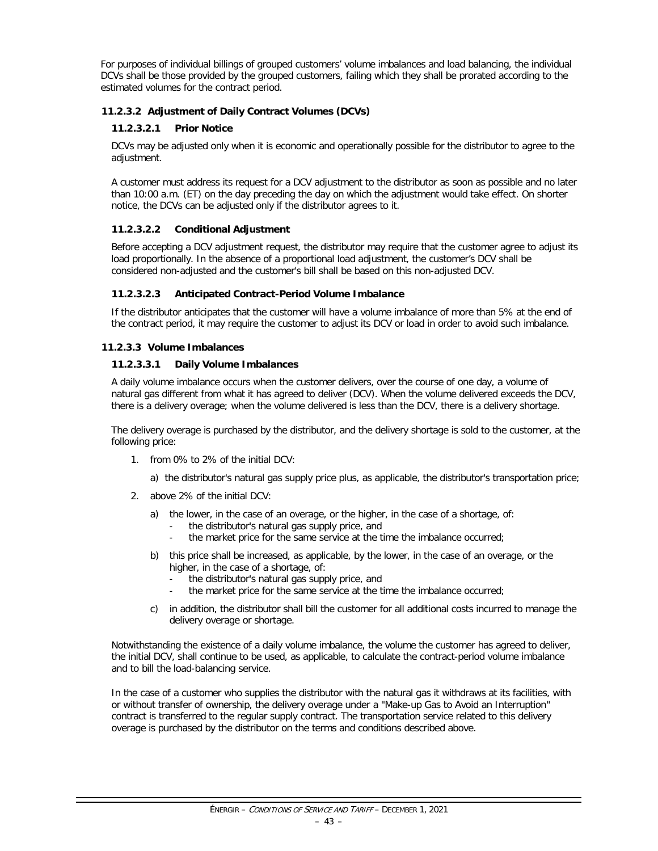For purposes of individual billings of grouped customers' volume imbalances and load balancing, the individual DCVs shall be those provided by the grouped customers, failing which they shall be prorated according to the estimated volumes for the contract period.

#### **11.2.3.2 Adjustment of Daily Contract Volumes (DCVs)**

#### **11.2.3.2.1 Prior Notice**

DCVs may be adjusted only when it is economic and operationally possible for the distributor to agree to the adjustment.

A customer must address its request for a DCV adjustment to the distributor as soon as possible and no later than 10:00 a.m. (ET) on the day preceding the day on which the adjustment would take effect. On shorter notice, the DCVs can be adjusted only if the distributor agrees to it.

#### **11.2.3.2.2 Conditional Adjustment**

Before accepting a DCV adjustment request, the distributor may require that the customer agree to adjust its load proportionally. In the absence of a proportional load adjustment, the customer's DCV shall be considered non-adjusted and the customer's bill shall be based on this non-adjusted DCV.

#### **11.2.3.2.3 Anticipated Contract-Period Volume Imbalance**

If the distributor anticipates that the customer will have a volume imbalance of more than 5% at the end of the contract period, it may require the customer to adjust its DCV or load in order to avoid such imbalance.

#### **11.2.3.3 Volume Imbalances**

#### **11.2.3.3.1 Daily Volume Imbalances**

A daily volume imbalance occurs when the customer delivers, over the course of one day, a volume of natural gas different from what it has agreed to deliver (DCV). When the volume delivered exceeds the DCV, there is a delivery overage; when the volume delivered is less than the DCV, there is a delivery shortage.

The delivery overage is purchased by the distributor, and the delivery shortage is sold to the customer, at the following price:

- 1. from 0% to 2% of the initial DCV:
	- a) the distributor's natural gas supply price plus, as applicable, the distributor's transportation price;
- 2. above 2% of the initial DCV:
	- a) the lower, in the case of an overage, or the higher, in the case of a shortage, of:
		- the distributor's natural gas supply price, and
			- the market price for the same service at the time the imbalance occurred;
	- b) this price shall be increased, as applicable, by the lower, in the case of an overage, or the higher, in the case of a shortage, of:
		- the distributor's natural gas supply price, and
		- the market price for the same service at the time the imbalance occurred;
	- c) in addition, the distributor shall bill the customer for all additional costs incurred to manage the delivery overage or shortage.

Notwithstanding the existence of a daily volume imbalance, the volume the customer has agreed to deliver, the initial DCV, shall continue to be used, as applicable, to calculate the contract-period volume imbalance and to bill the load-balancing service.

In the case of a customer who supplies the distributor with the natural gas it withdraws at its facilities, with or without transfer of ownership, the delivery overage under a "Make-up Gas to Avoid an Interruption" contract is transferred to the regular supply contract. The transportation service related to this delivery overage is purchased by the distributor on the terms and conditions described above.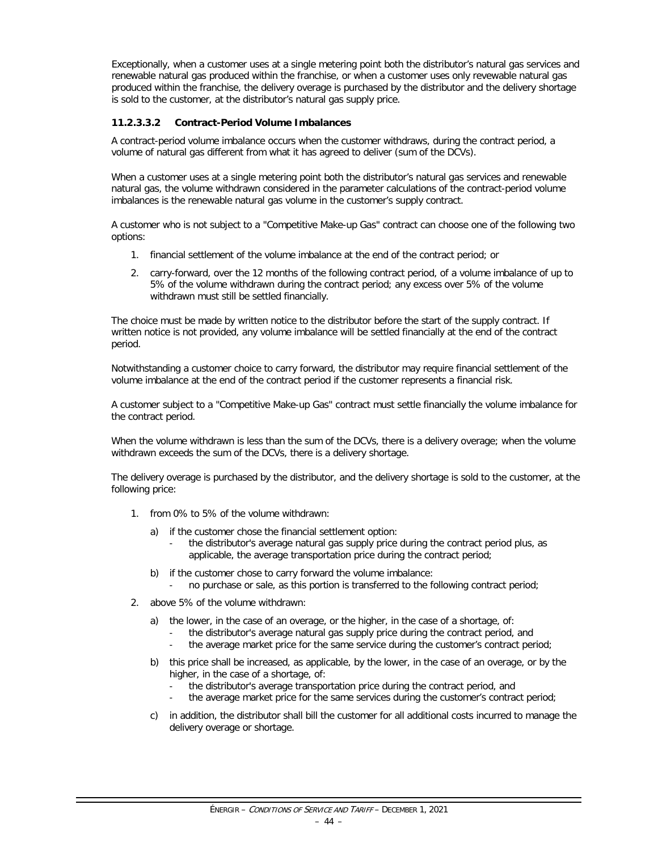Exceptionally, when a customer uses at a single metering point both the distributor's natural gas services and renewable natural gas produced within the franchise, or when a customer uses only revewable natural gas produced within the franchise, the delivery overage is purchased by the distributor and the delivery shortage is sold to the customer, at the distributor's natural gas supply price.

#### **11.2.3.3.2 Contract-Period Volume Imbalances**

A contract-period volume imbalance occurs when the customer withdraws, during the contract period, a volume of natural gas different from what it has agreed to deliver (sum of the DCVs).

When a customer uses at a single metering point both the distributor's natural gas services and renewable natural gas, the volume withdrawn considered in the parameter calculations of the contract-period volume imbalances is the renewable natural gas volume in the customer's supply contract.

A customer who is not subject to a "Competitive Make-up Gas" contract can choose one of the following two options:

- 1. financial settlement of the volume imbalance at the end of the contract period; or
- 2. carry-forward, over the 12 months of the following contract period, of a volume imbalance of up to 5% of the volume withdrawn during the contract period; any excess over 5% of the volume withdrawn must still be settled financially.

The choice must be made by written notice to the distributor before the start of the supply contract. If written notice is not provided, any volume imbalance will be settled financially at the end of the contract period.

Notwithstanding a customer choice to carry forward, the distributor may require financial settlement of the volume imbalance at the end of the contract period if the customer represents a financial risk.

A customer subject to a "Competitive Make-up Gas" contract must settle financially the volume imbalance for the contract period.

When the volume withdrawn is less than the sum of the DCVs, there is a delivery overage; when the volume withdrawn exceeds the sum of the DCVs, there is a delivery shortage.

The delivery overage is purchased by the distributor, and the delivery shortage is sold to the customer, at the following price:

- 1. from 0% to 5% of the volume withdrawn:
	- a) if the customer chose the financial settlement option:
		- the distributor's average natural gas supply price during the contract period plus, as applicable, the average transportation price during the contract period;
	- b) if the customer chose to carry forward the volume imbalance:
		- no purchase or sale, as this portion is transferred to the following contract period;
- 2. above 5% of the volume withdrawn:
	- a) the lower, in the case of an overage, or the higher, in the case of a shortage, of:
		- the distributor's average natural gas supply price during the contract period, and
		- the average market price for the same service during the customer's contract period;
	- b) this price shall be increased, as applicable, by the lower, in the case of an overage, or by the higher, in the case of a shortage, of:
		- the distributor's average transportation price during the contract period, and
		- the average market price for the same services during the customer's contract period;
	- c) in addition, the distributor shall bill the customer for all additional costs incurred to manage the delivery overage or shortage.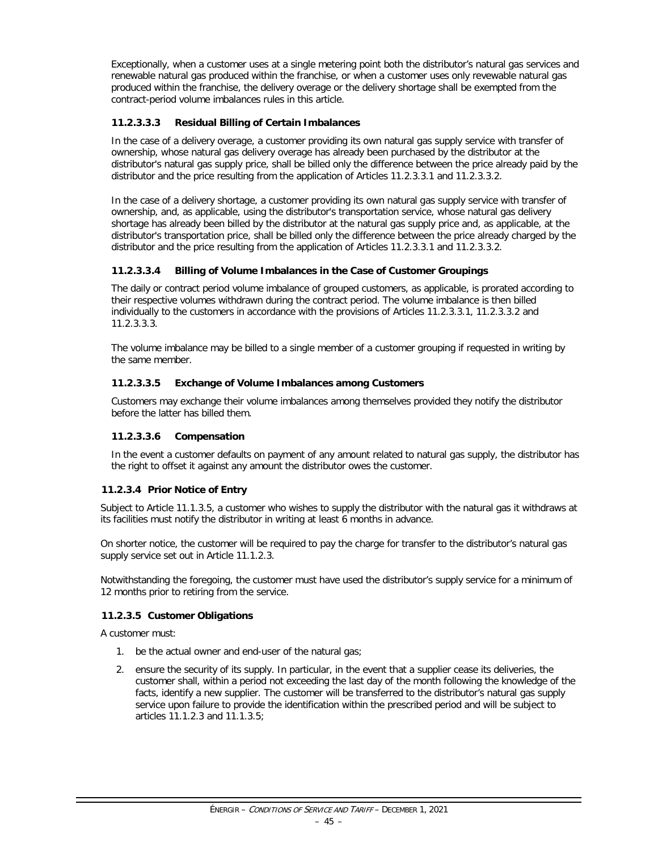Exceptionally, when a customer uses at a single metering point both the distributor's natural gas services and renewable natural gas produced within the franchise, or when a customer uses only revewable natural gas produced within the franchise, the delivery overage or the delivery shortage shall be exempted from the contract-period volume imbalances rules in this article.

#### **11.2.3.3.3 Residual Billing of Certain Imbalances**

In the case of a delivery overage, a customer providing its own natural gas supply service with transfer of ownership, whose natural gas delivery overage has already been purchased by the distributor at the distributor's natural gas supply price, shall be billed only the difference between the price already paid by the distributor and the price resulting from the application of Articles 11.2.3.3.1 and 11.2.3.3.2.

In the case of a delivery shortage, a customer providing its own natural gas supply service with transfer of ownership, and, as applicable, using the distributor's transportation service, whose natural gas delivery shortage has already been billed by the distributor at the natural gas supply price and, as applicable, at the distributor's transportation price, shall be billed only the difference between the price already charged by the distributor and the price resulting from the application of Articles 11.2.3.3.1 and 11.2.3.3.2.

#### **11.2.3.3.4 Billing of Volume Imbalances in the Case of Customer Groupings**

The daily or contract period volume imbalance of grouped customers, as applicable, is prorated according to their respective volumes withdrawn during the contract period. The volume imbalance is then billed individually to the customers in accordance with the provisions of Articles 11.2.3.3.1, 11.2.3.3.2 and 11.2.3.3.3.

The volume imbalance may be billed to a single member of a customer grouping if requested in writing by the same member.

#### **11.2.3.3.5 Exchange of Volume Imbalances among Customers**

Customers may exchange their volume imbalances among themselves provided they notify the distributor before the latter has billed them.

#### **11.2.3.3.6 Compensation**

In the event a customer defaults on payment of any amount related to natural gas supply, the distributor has the right to offset it against any amount the distributor owes the customer.

#### **11.2.3.4 Prior Notice of Entry**

Subject to Article 11.1.3.5, a customer who wishes to supply the distributor with the natural gas it withdraws at its facilities must notify the distributor in writing at least 6 months in advance.

On shorter notice, the customer will be required to pay the charge for transfer to the distributor's natural gas supply service set out in Article 11.1.2.3.

Notwithstanding the foregoing, the customer must have used the distributor's supply service for a minimum of 12 months prior to retiring from the service.

#### **11.2.3.5 Customer Obligations**

A customer must:

- 1. be the actual owner and end-user of the natural gas;
- 2. ensure the security of its supply. In particular, in the event that a supplier cease its deliveries, the customer shall, within a period not exceeding the last day of the month following the knowledge of the facts, identify a new supplier. The customer will be transferred to the distributor's natural gas supply service upon failure to provide the identification within the prescribed period and will be subject to articles 11.1.2.3 and 11.1.3.5;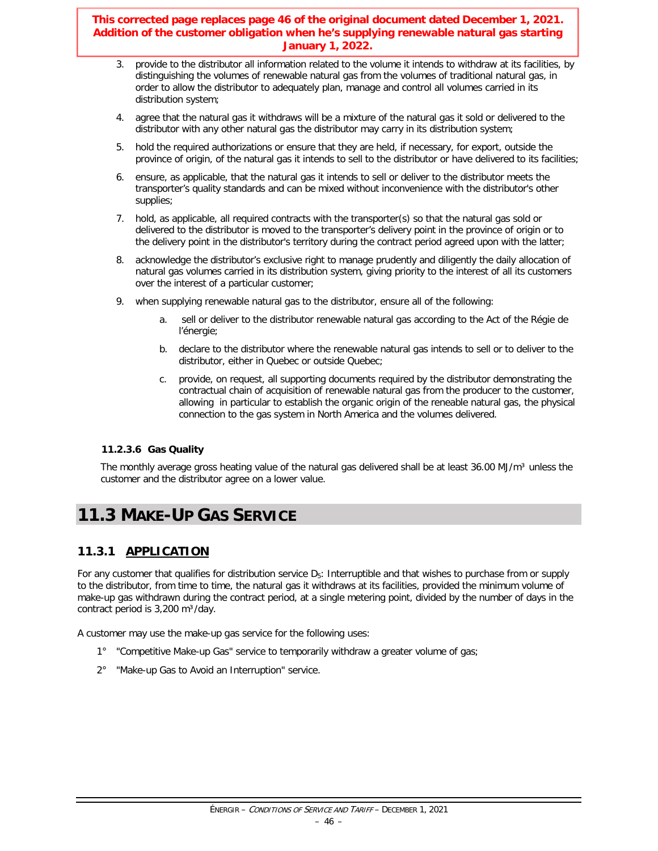#### **This corrected page replaces page 46 of the original document dated December 1, 2021. Addition of the customer obligation when he's supplying renewable natural gas starting January 1, 2022.**

- 3. provide to the distributor all information related to the volume it intends to withdraw at its facilities, by distinguishing the volumes of renewable natural gas from the volumes of traditional natural gas, in order to allow the distributor to adequately plan, manage and control all volumes carried in its distribution system;
- 4. agree that the natural gas it withdraws will be a mixture of the natural gas it sold or delivered to the distributor with any other natural gas the distributor may carry in its distribution system;
- 5. hold the required authorizations or ensure that they are held, if necessary, for export, outside the province of origin, of the natural gas it intends to sell to the distributor or have delivered to its facilities;
- 6. ensure, as applicable, that the natural gas it intends to sell or deliver to the distributor meets the transporter's quality standards and can be mixed without inconvenience with the distributor's other supplies;
- 7. hold, as applicable, all required contracts with the transporter(s) so that the natural gas sold or delivered to the distributor is moved to the transporter's delivery point in the province of origin or to the delivery point in the distributor's territory during the contract period agreed upon with the latter;
- 8. acknowledge the distributor's exclusive right to manage prudently and diligently the daily allocation of natural gas volumes carried in its distribution system, giving priority to the interest of all its customers over the interest of a particular customer;
- 9. when supplying renewable natural gas to the distributor, ensure all of the following:
	- a. sell or deliver to the distributor renewable natural gas according to the Act of the Régie de l'énergie;
	- b. declare to the distributor where the renewable natural gas intends to sell or to deliver to the distributor, either in Quebec or outside Quebec;
	- c. provide, on request, all supporting documents required by the distributor demonstrating the contractual chain of acquisition of renewable natural gas from the producer to the customer, allowing in particular to establish the organic origin of the reneable natural gas, the physical connection to the gas system in North America and the volumes delivered.

#### **11.2.3.6 Gas Quality**

The monthly average gross heating value of the natural gas delivered shall be at least 36.00 MJ/m<sup>3</sup> unless the customer and the distributor agree on a lower value.

# **11.3 MAKE-UP GAS SERVICE**

### **11.3.1 APPLICATION**

For any customer that qualifies for distribution service  $D_5$ : Interruptible and that wishes to purchase from or supply to the distributor, from time to time, the natural gas it withdraws at its facilities, provided the minimum volume of make-up gas withdrawn during the contract period, at a single metering point, divided by the number of days in the contract period is 3,200 m<sup>3</sup>/day.

A customer may use the make-up gas service for the following uses:

- 1° "Competitive Make-up Gas" service to temporarily withdraw a greater volume of gas;
- 2° "Make-up Gas to Avoid an Interruption" service.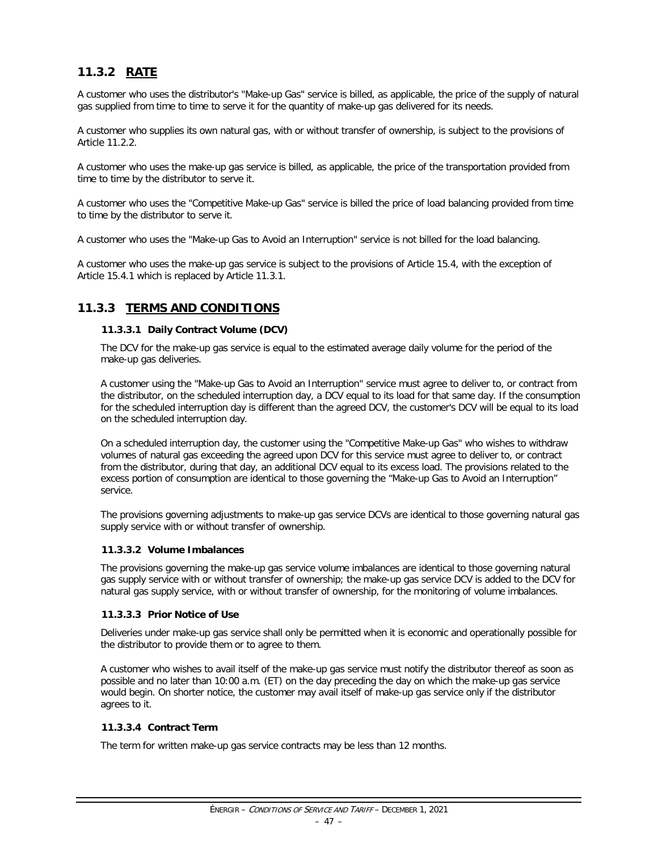# **11.3.2 RATE**

A customer who uses the distributor's "Make-up Gas" service is billed, as applicable, the price of the supply of natural gas supplied from time to time to serve it for the quantity of make-up gas delivered for its needs.

A customer who supplies its own natural gas, with or without transfer of ownership, is subject to the provisions of Article 11.2.2.

A customer who uses the make-up gas service is billed, as applicable, the price of the transportation provided from time to time by the distributor to serve it.

A customer who uses the "Competitive Make-up Gas" service is billed the price of load balancing provided from time to time by the distributor to serve it.

A customer who uses the "Make-up Gas to Avoid an Interruption" service is not billed for the load balancing.

A customer who uses the make-up gas service is subject to the provisions of Article 15.4, with the exception of Article 15.4.1 which is replaced by Article 11.3.1.

### **11.3.3 TERMS AND CONDITIONS**

#### **11.3.3.1 Daily Contract Volume (DCV)**

The DCV for the make-up gas service is equal to the estimated average daily volume for the period of the make-up gas deliveries.

A customer using the "Make-up Gas to Avoid an Interruption" service must agree to deliver to, or contract from the distributor, on the scheduled interruption day, a DCV equal to its load for that same day. If the consumption for the scheduled interruption day is different than the agreed DCV, the customer's DCV will be equal to its load on the scheduled interruption day.

On a scheduled interruption day, the customer using the "Competitive Make-up Gas" who wishes to withdraw volumes of natural gas exceeding the agreed upon DCV for this service must agree to deliver to, or contract from the distributor, during that day, an additional DCV equal to its excess load. The provisions related to the excess portion of consumption are identical to those governing the "Make-up Gas to Avoid an Interruption" service.

The provisions governing adjustments to make-up gas service DCVs are identical to those governing natural gas supply service with or without transfer of ownership.

#### **11.3.3.2 Volume Imbalances**

The provisions governing the make-up gas service volume imbalances are identical to those governing natural gas supply service with or without transfer of ownership; the make-up gas service DCV is added to the DCV for natural gas supply service, with or without transfer of ownership, for the monitoring of volume imbalances.

#### **11.3.3.3 Prior Notice of Use**

Deliveries under make-up gas service shall only be permitted when it is economic and operationally possible for the distributor to provide them or to agree to them.

A customer who wishes to avail itself of the make-up gas service must notify the distributor thereof as soon as possible and no later than 10:00 a.m. (ET) on the day preceding the day on which the make-up gas service would begin. On shorter notice, the customer may avail itself of make-up gas service only if the distributor agrees to it.

#### **11.3.3.4 Contract Term**

The term for written make-up gas service contracts may be less than 12 months.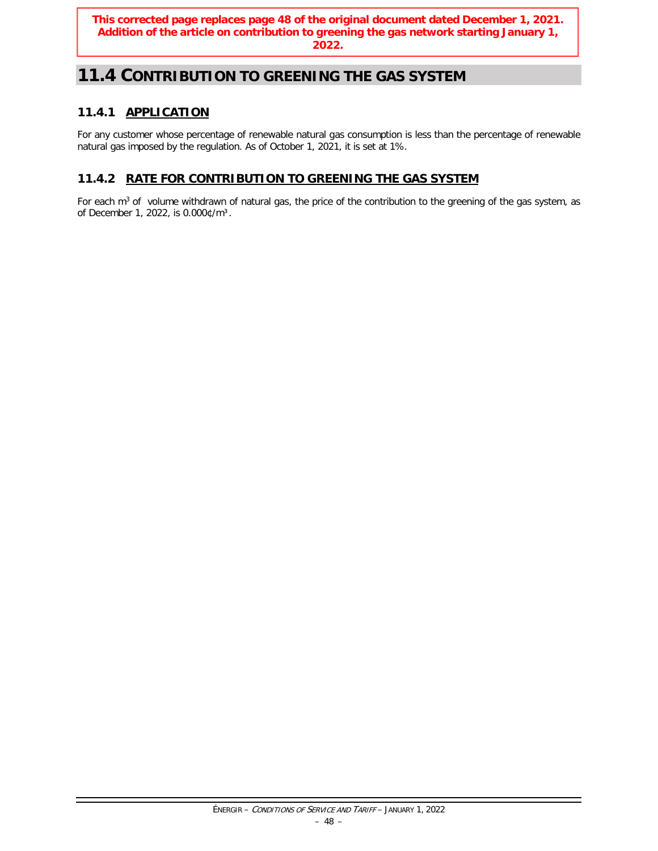# **11.4 CONTRIBUTION TO GREENING THE GAS SYSTEM**

# **11.4.1 APPLICATION**

For any customer whose percentage of renewable natural gas consumption is less than the percentage of renewable natural gas imposed by the regulation. As of October 1, 2021, it is set at 1%.

# **11.4.2 RATE FOR CONTRIBUTION TO GREENING THE GAS SYSTEM**

For each  $m<sup>3</sup>$  of volume withdrawn of natural gas, the price of the contribution to the greening of the gas system, as of December 1, 2022, is 0.000¢/m³.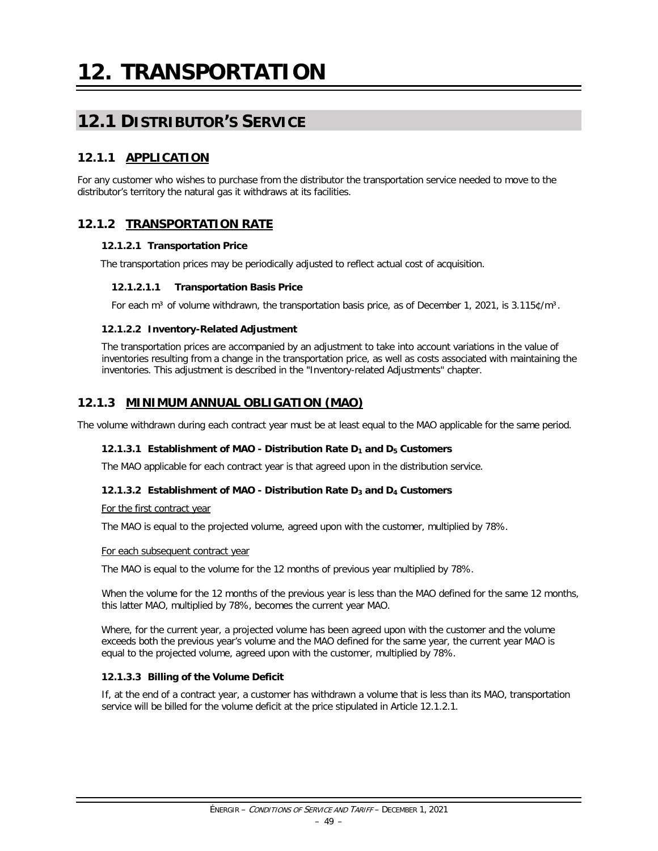# **12.1 DISTRIBUTOR'S SERVICE**

# **12.1.1 APPLICATION**

For any customer who wishes to purchase from the distributor the transportation service needed to move to the distributor's territory the natural gas it withdraws at its facilities.

# **12.1.2 TRANSPORTATION RATE**

#### **12.1.2.1 Transportation Price**

The transportation prices may be periodically adjusted to reflect actual cost of acquisition.

#### **12.1.2.1.1 Transportation Basis Price**

For each m<sup>3</sup> of volume withdrawn, the transportation basis price, as of December 1, 2021, is 3.115¢/m<sup>3</sup>.

#### **12.1.2.2 Inventory-Related Adjustment**

The transportation prices are accompanied by an adjustment to take into account variations in the value of inventories resulting from a change in the transportation price, as well as costs associated with maintaining the inventories. This adjustment is described in the "Inventory-related Adjustments" chapter.

### **12.1.3 MINIMUM ANNUAL OBLIGATION (MAO)**

The volume withdrawn during each contract year must be at least equal to the MAO applicable for the same period.

#### **12.1.3.1 Establishment of MAO - Distribution Rate D1 and D5 Customers**

The MAO applicable for each contract year is that agreed upon in the distribution service.

#### **12.1.3.2 Establishment of MAO - Distribution Rate D3 and D4 Customers**

For the first contract year

The MAO is equal to the projected volume, agreed upon with the customer, multiplied by 78%.

#### For each subsequent contract year

The MAO is equal to the volume for the 12 months of previous year multiplied by 78%.

When the volume for the 12 months of the previous year is less than the MAO defined for the same 12 months, this latter MAO, multiplied by 78%, becomes the current year MAO.

Where, for the current year, a projected volume has been agreed upon with the customer and the volume exceeds both the previous year's volume and the MAO defined for the same year, the current year MAO is equal to the projected volume, agreed upon with the customer, multiplied by 78%.

#### **12.1.3.3 Billing of the Volume Deficit**

If, at the end of a contract year, a customer has withdrawn a volume that is less than its MAO, transportation service will be billed for the volume deficit at the price stipulated in Article 12.1.2.1.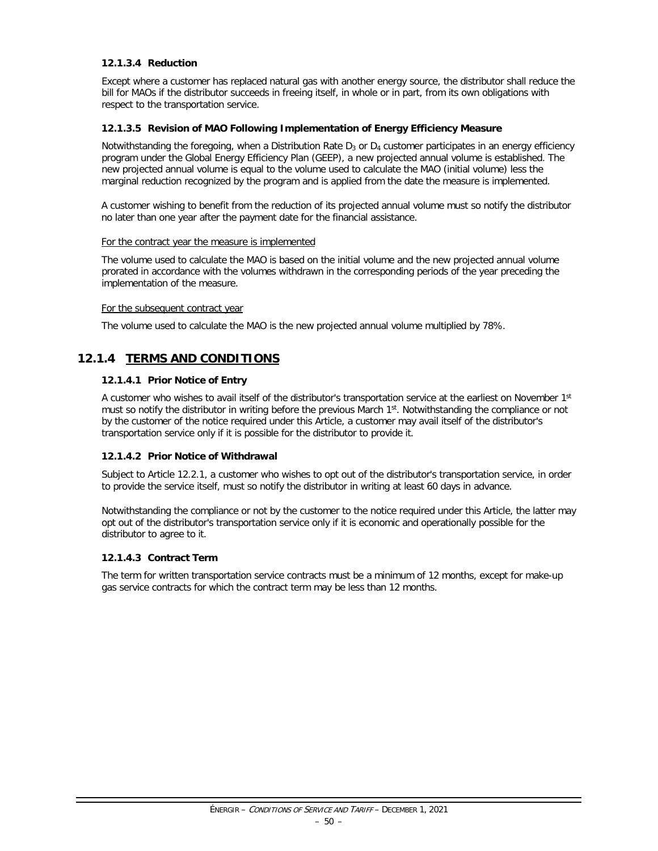#### **12.1.3.4 Reduction**

Except where a customer has replaced natural gas with another energy source, the distributor shall reduce the bill for MAOs if the distributor succeeds in freeing itself, in whole or in part, from its own obligations with respect to the transportation service.

#### **12.1.3.5 Revision of MAO Following Implementation of Energy Efficiency Measure**

Notwithstanding the foregoing, when a Distribution Rate  $D_3$  or  $D_4$  customer participates in an energy efficiency program under the Global Energy Efficiency Plan (GEEP), a new projected annual volume is established. The new projected annual volume is equal to the volume used to calculate the MAO (initial volume) less the marginal reduction recognized by the program and is applied from the date the measure is implemented.

A customer wishing to benefit from the reduction of its projected annual volume must so notify the distributor no later than one year after the payment date for the financial assistance.

#### For the contract year the measure is implemented

The volume used to calculate the MAO is based on the initial volume and the new projected annual volume prorated in accordance with the volumes withdrawn in the corresponding periods of the year preceding the implementation of the measure.

#### For the subsequent contract year

The volume used to calculate the MAO is the new projected annual volume multiplied by 78%.

### **12.1.4 TERMS AND CONDITIONS**

#### **12.1.4.1 Prior Notice of Entry**

A customer who wishes to avail itself of the distributor's transportation service at the earliest on November 1<sup>st</sup> must so notify the distributor in writing before the previous March 1st. Notwithstanding the compliance or not by the customer of the notice required under this Article, a customer may avail itself of the distributor's transportation service only if it is possible for the distributor to provide it.

#### **12.1.4.2 Prior Notice of Withdrawal**

Subject to Article 12.2.1, a customer who wishes to opt out of the distributor's transportation service, in order to provide the service itself, must so notify the distributor in writing at least 60 days in advance.

Notwithstanding the compliance or not by the customer to the notice required under this Article, the latter may opt out of the distributor's transportation service only if it is economic and operationally possible for the distributor to agree to it.

#### **12.1.4.3 Contract Term**

The term for written transportation service contracts must be a minimum of 12 months, except for make-up gas service contracts for which the contract term may be less than 12 months.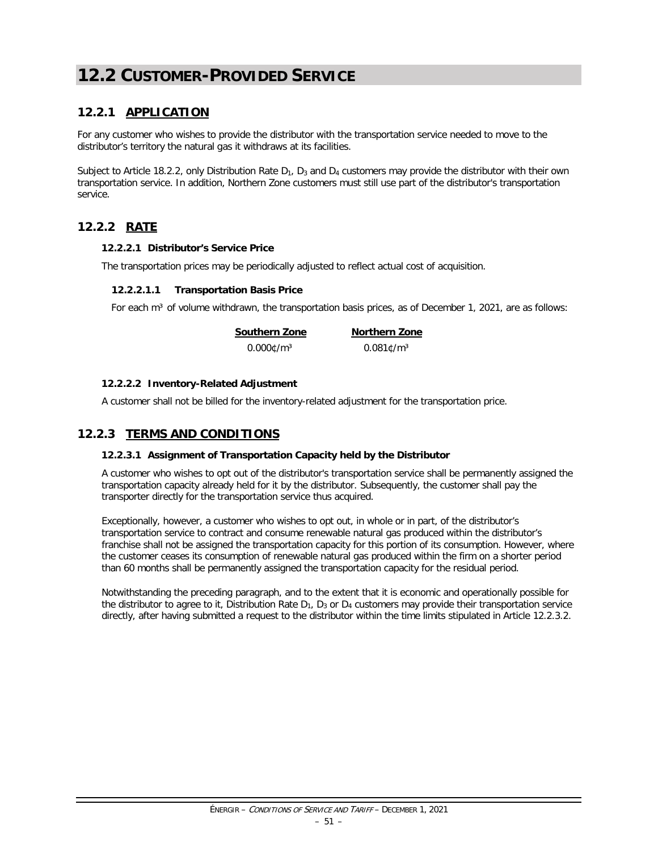# **12.2 CUSTOMER-PROVIDED SERVICE**

# **12.2.1 APPLICATION**

For any customer who wishes to provide the distributor with the transportation service needed to move to the distributor's territory the natural gas it withdraws at its facilities.

Subject to Article 18.2.2, only Distribution Rate  $D_1$ ,  $D_3$  and  $D_4$  customers may provide the distributor with their own transportation service. In addition, Northern Zone customers must still use part of the distributor's transportation service.

### **12.2.2 RATE**

#### **12.2.2.1 Distributor's Service Price**

The transportation prices may be periodically adjusted to reflect actual cost of acquisition.

#### **12.2.2.1.1 Transportation Basis Price**

For each m<sup>3</sup> of volume withdrawn, the transportation basis prices, as of December 1, 2021, are as follows:

| <b>Southern Zone</b>  | <b>Northern Zone</b>     |
|-----------------------|--------------------------|
| 0.0000/m <sup>3</sup> | $0.081$ ¢/m <sup>3</sup> |

#### **12.2.2.2 Inventory-Related Adjustment**

A customer shall not be billed for the inventory-related adjustment for the transportation price.

### **12.2.3 TERMS AND CONDITIONS**

#### **12.2.3.1 Assignment of Transportation Capacity held by the Distributor**

A customer who wishes to opt out of the distributor's transportation service shall be permanently assigned the transportation capacity already held for it by the distributor. Subsequently, the customer shall pay the transporter directly for the transportation service thus acquired.

Exceptionally, however, a customer who wishes to opt out, in whole or in part, of the distributor's transportation service to contract and consume renewable natural gas produced within the distributor's franchise shall not be assigned the transportation capacity for this portion of its consumption. However, where the customer ceases its consumption of renewable natural gas produced within the firm on a shorter period than 60 months shall be permanently assigned the transportation capacity for the residual period.

Notwithstanding the preceding paragraph, and to the extent that it is economic and operationally possible for the distributor to agree to it, Distribution Rate  $D_1$ ,  $D_3$  or  $D_4$  customers may provide their transportation service directly, after having submitted a request to the distributor within the time limits stipulated in Article 12.2.3.2.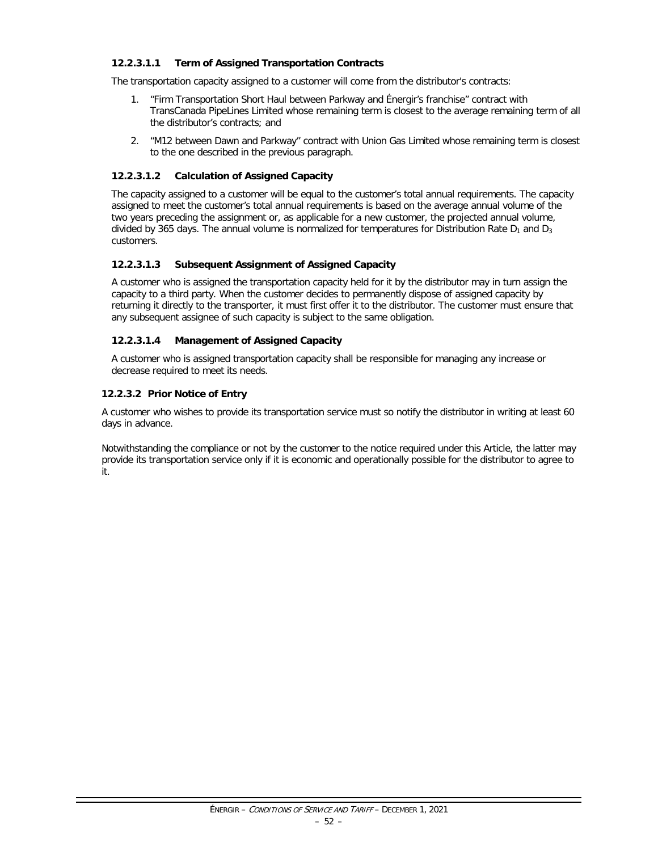#### **12.2.3.1.1 Term of Assigned Transportation Contracts**

The transportation capacity assigned to a customer will come from the distributor's contracts:

- 1. "Firm Transportation Short Haul between Parkway and Énergir's franchise" contract with TransCanada PipeLines Limited whose remaining term is closest to the average remaining term of all the distributor's contracts; and
- 2. "M12 between Dawn and Parkway" contract with Union Gas Limited whose remaining term is closest to the one described in the previous paragraph.

#### **12.2.3.1.2 Calculation of Assigned Capacity**

The capacity assigned to a customer will be equal to the customer's total annual requirements. The capacity assigned to meet the customer's total annual requirements is based on the average annual volume of the two years preceding the assignment or, as applicable for a new customer, the projected annual volume, divided by 365 days. The annual volume is normalized for temperatures for Distribution Rate  $D_1$  and  $D_3$ customers.

#### **12.2.3.1.3 Subsequent Assignment of Assigned Capacity**

A customer who is assigned the transportation capacity held for it by the distributor may in turn assign the capacity to a third party. When the customer decides to permanently dispose of assigned capacity by returning it directly to the transporter, it must first offer it to the distributor. The customer must ensure that any subsequent assignee of such capacity is subject to the same obligation.

#### **12.2.3.1.4 Management of Assigned Capacity**

A customer who is assigned transportation capacity shall be responsible for managing any increase or decrease required to meet its needs.

#### **12.2.3.2 Prior Notice of Entry**

A customer who wishes to provide its transportation service must so notify the distributor in writing at least 60 days in advance.

Notwithstanding the compliance or not by the customer to the notice required under this Article, the latter may provide its transportation service only if it is economic and operationally possible for the distributor to agree to it.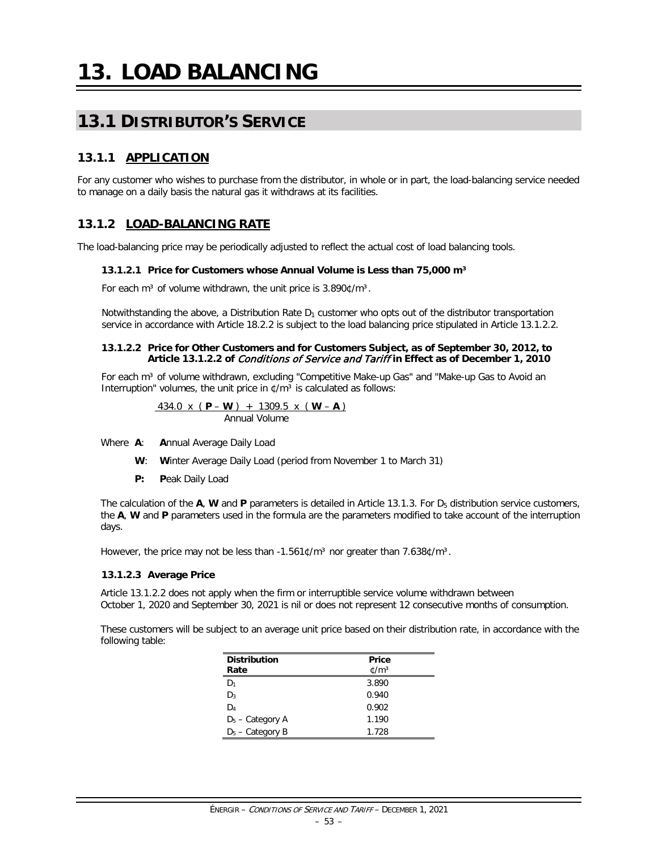# **13.1 DISTRIBUTOR'S SERVICE**

# **13.1.1 APPLICATION**

For any customer who wishes to purchase from the distributor, in whole or in part, the load-balancing service needed to manage on a daily basis the natural gas it withdraws at its facilities.

# **13.1.2 LOAD-BALANCING RATE**

The load-balancing price may be periodically adjusted to reflect the actual cost of load balancing tools.

#### **13.1.2.1 Price for Customers whose Annual Volume is Less than 75,000 m³**

For each m<sup>3</sup> of volume withdrawn, the unit price is  $3.890$  ¢/m<sup>3</sup>.

Notwithstanding the above, a Distribution Rate  $D_1$  customer who opts out of the distributor transportation service in accordance with Article 18.2.2 is subject to the load balancing price stipulated in Article 13.1.2.2.

#### **13.1.2.2 Price for Other Customers and for Customers Subject, as of September 30, 2012, to Article 13.1.2.2 of** Conditions of Service and Tariff **in Effect as of December 1, 2010**

For each m<sup>3</sup> of volume withdrawn, excluding "Competitive Make-up Gas" and "Make-up Gas to Avoid an Interruption" volumes, the unit price in  $\ell/m^3$  is calculated as follows:

$$
\frac{434.0 \times (P-W) + 1309.5 \times (W-A)}{ \text{Annual Volume}}
$$

Where **A**: **A**nnual Average Daily Load

- **W**: **W**inter Average Daily Load (period from November 1 to March 31)
- **P: P**eak Daily Load

The calculation of the  $A$ , **W** and **P** parameters is detailed in Article 13.1.3. For  $D_5$  distribution service customers, the **A**, **W** and **P** parameters used in the formula are the parameters modified to take account of the interruption days.

However, the price may not be less than  $-1.561 \text{C/m}^3$  nor greater than 7.638 $\text{C/m}^3$ .

#### **13.1.2.3 Average Price**

Article 13.1.2.2 does not apply when the firm or interruptible service volume withdrawn between October 1, 2020 and September 30, 2021 is nil or does not represent 12 consecutive months of consumption.

These customers will be subject to an average unit price based on their distribution rate, in accordance with the following table:

| <b>Distribution</b> | Price          |
|---------------------|----------------|
| Rate                | $\text{C/m}^3$ |
| D1                  | 3.890          |
| $D_3$               | 0.940          |
| D4                  | 0.902          |
| $D_5$ – Category A  | 1.190          |
| $D_5$ – Category B  | 1.728          |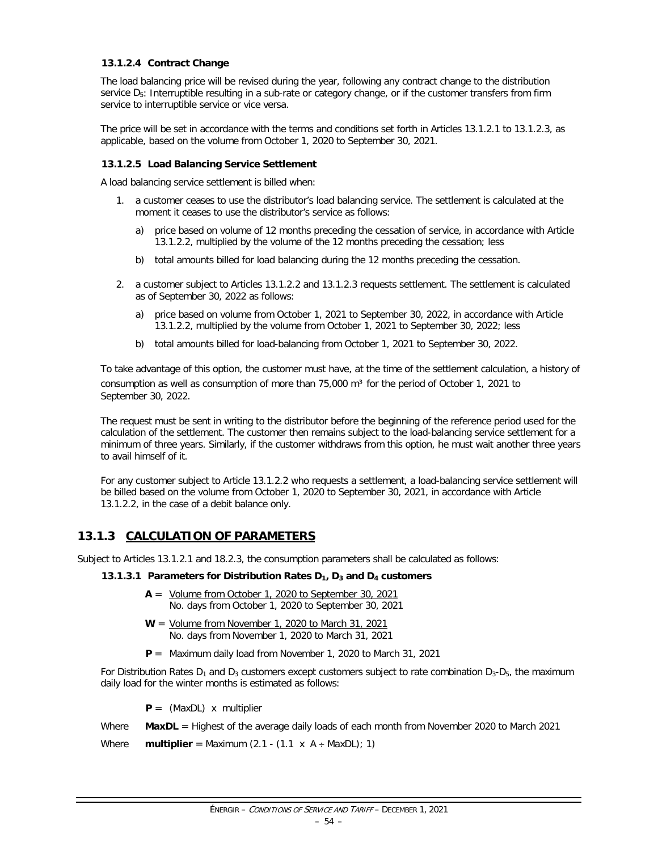#### **13.1.2.4 Contract Change**

The load balancing price will be revised during the year, following any contract change to the distribution service  $D_5$ : Interruptible resulting in a sub-rate or category change, or if the customer transfers from firm service to interruptible service or vice versa.

The price will be set in accordance with the terms and conditions set forth in Articles 13.1.2.1 to 13.1.2.3, as applicable, based on the volume from October 1, 2020 to September 30, 2021.

#### **13.1.2.5 Load Balancing Service Settlement**

A load balancing service settlement is billed when:

- 1. a customer ceases to use the distributor's load balancing service. The settlement is calculated at the moment it ceases to use the distributor's service as follows:
	- a) price based on volume of 12 months preceding the cessation of service, in accordance with Article 13.1.2.2, multiplied by the volume of the 12 months preceding the cessation; less
	- b) total amounts billed for load balancing during the 12 months preceding the cessation.
- 2. a customer subject to Articles 13.1.2.2 and 13.1.2.3 requests settlement. The settlement is calculated as of September 30, 2022 as follows:
	- a) price based on volume from October 1, 2021 to September 30, 2022, in accordance with Article 13.1.2.2, multiplied by the volume from October 1, 2021 to September 30, 2022; less
	- b) total amounts billed for load-balancing from October 1, 2021 to September 30, 2022.

To take advantage of this option, the customer must have, at the time of the settlement calculation, a history of consumption as well as consumption of more than  $75,000$  m<sup>3</sup> for the period of October 1, 2021 to September 30, 2022.

The request must be sent in writing to the distributor before the beginning of the reference period used for the calculation of the settlement. The customer then remains subject to the load-balancing service settlement for a minimum of three years. Similarly, if the customer withdraws from this option, he must wait another three years to avail himself of it.

For any customer subject to Article 13.1.2.2 who requests a settlement, a load-balancing service settlement will be billed based on the volume from October 1, 2020 to September 30, 2021, in accordance with Article 13.1.2.2, in the case of a debit balance only.

### **13.1.3 CALCULATION OF PARAMETERS**

Subject to Articles 13.1.2.1 and 18.2.3, the consumption parameters shall be calculated as follows:

#### **13.1.3.1 Parameters for Distribution Rates D1, D3 and D4 customers**

- **A** = Volume from October 1, 2020 to September 30, 2021 No. days from October 1, 2020 to September 30, 2021
- **W** = Volume from November 1, 2020 to March 31, 2021 No. days from November 1, 2020 to March 31, 2021
- **P** = Maximum daily load from November 1, 2020 to March 31, 2021

For Distribution Rates  $D_1$  and  $D_3$  customers except customers subject to rate combination  $D_3$ - $D_5$ , the maximum daily load for the winter months is estimated as follows:

**P** = (MaxDL) x multiplier

Where **MaxDL** = Highest of the average daily loads of each month from November 2020 to March 2021

Where **multiplier** = Maximum  $(2.1 - (1.1 \times A + \text{MaxDL})$ ; 1)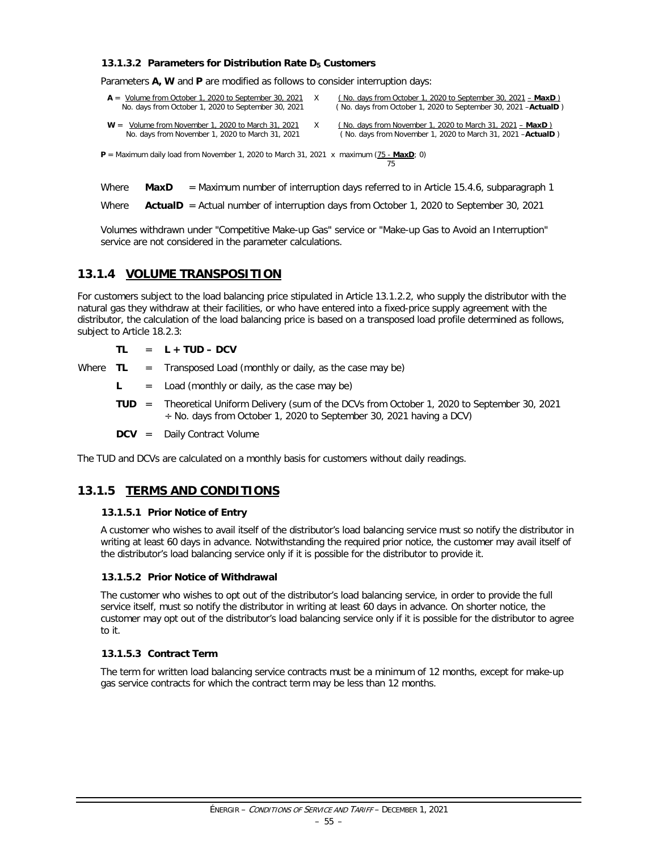#### **13.1.3.2 Parameters for Distribution Rate D5 Customers**

Parameters **A, W** and **P** are modified as follows to consider interruption days:

| $A =$ Volume from October 1, 2020 to September 30, 2021<br>No. days from October 1, 2020 to September 30, 2021 | (No. days from October 1, 2020 to September 30, 2021 $-$ MaxD)<br>(No. days from October 1, 2020 to September 30, 2021 - ActualD) |
|----------------------------------------------------------------------------------------------------------------|-----------------------------------------------------------------------------------------------------------------------------------|
| $W =$ Volume from November 1, 2020 to March 31, 2021<br>No. days from November 1, 2020 to March 31, 2021       | (No. days from November 1, 2020 to March 31, 2021 – $MaxD$ )<br>(No. days from November 1, 2020 to March 31, 2021 - ActualD)      |

 $P =$  Maximum daily load from November 1, 2020 to March 31, 2021 x maximum  $(75 -$ **MaxD**; 0) 75

Where **MaxD** = Maximum number of interruption days referred to in Article 15.4.6, subparagraph 1

Where **ActualD** = Actual number of interruption days from October 1, 2020 to September 30, 2021

Volumes withdrawn under "Competitive Make-up Gas" service or "Make-up Gas to Avoid an Interruption" service are not considered in the parameter calculations.

### **13.1.4 VOLUME TRANSPOSITION**

For customers subject to the load balancing price stipulated in Article 13.1.2.2, who supply the distributor with the natural gas they withdraw at their facilities, or who have entered into a fixed-price supply agreement with the distributor, the calculation of the load balancing price is based on a transposed load profile determined as follows, subject to Article 18.2.3:

#### **TL** = **L + TUD – DCV**

Where  $TL = Transposed Load (monthly or daily, as the case may be)$ 

 $\mathsf{L}$  = Load (monthly or daily, as the case may be)

**TUD** = Theoretical Uniform Delivery (sum of the DCVs from October 1, 2020 to September 30, 2021  $\div$  No. days from October 1, 2020 to September 30, 2021 having a DCV)

**DCV** = Daily Contract Volume

The TUD and DCVs are calculated on a monthly basis for customers without daily readings.

#### **13.1.5 TERMS AND CONDITIONS**

#### **13.1.5.1 Prior Notice of Entry**

A customer who wishes to avail itself of the distributor's load balancing service must so notify the distributor in writing at least 60 days in advance. Notwithstanding the required prior notice, the customer may avail itself of the distributor's load balancing service only if it is possible for the distributor to provide it.

#### **13.1.5.2 Prior Notice of Withdrawal**

The customer who wishes to opt out of the distributor's load balancing service, in order to provide the full service itself, must so notify the distributor in writing at least 60 days in advance. On shorter notice, the customer may opt out of the distributor's load balancing service only if it is possible for the distributor to agree to it.

#### **13.1.5.3 Contract Term**

The term for written load balancing service contracts must be a minimum of 12 months, except for make-up gas service contracts for which the contract term may be less than 12 months.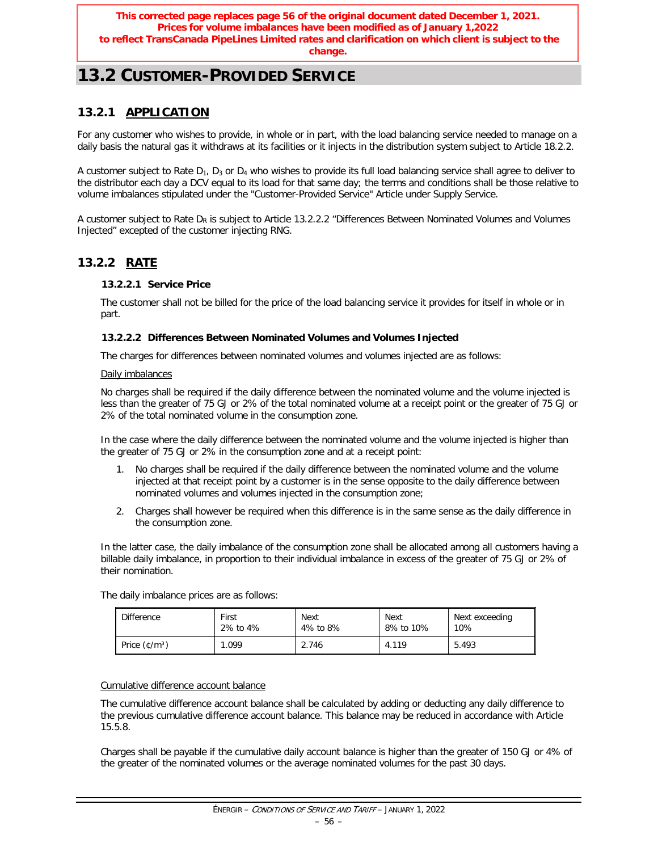**This corrected page replaces page 56 of the original document dated December 1, 2021. Prices for volume imbalances have been modified as of January 1,2022 to reflect TransCanada PipeLines Limited rates and clarification on which client is subject to the change.**

# **13.2 CUSTOMER-PROVIDED SERVICE**

# **13.2.1 APPLICATION**

For any customer who wishes to provide, in whole or in part, with the load balancing service needed to manage on a daily basis the natural gas it withdraws at its facilities or it injects in the distribution system subject to Article 18.2.2.

A customer subject to Rate  $D_1$ ,  $D_3$  or  $D_4$  who wishes to provide its full load balancing service shall agree to deliver to the distributor each day a DCV equal to its load for that same day; the terms and conditions shall be those relative to volume imbalances stipulated under the "Customer-Provided Service" Article under Supply Service.

A customer subject to Rate D<sub>R</sub> is subject to Article 13.2.2.2 "Differences Between Nominated Volumes and Volumes Injected" excepted of the customer injecting RNG.

# **13.2.2 RATE**

#### **13.2.2.1 Service Price**

The customer shall not be billed for the price of the load balancing service it provides for itself in whole or in part.

#### **13.2.2.2 Differences Between Nominated Volumes and Volumes Injected**

The charges for differences between nominated volumes and volumes injected are as follows:

#### Daily imbalances

No charges shall be required if the daily difference between the nominated volume and the volume injected is less than the greater of 75 GJ or 2% of the total nominated volume at a receipt point or the greater of 75 GJ or 2% of the total nominated volume in the consumption zone.

In the case where the daily difference between the nominated volume and the volume injected is higher than the greater of 75 GJ or 2% in the consumption zone and at a receipt point:

- 1. No charges shall be required if the daily difference between the nominated volume and the volume injected at that receipt point by a customer is in the sense opposite to the daily difference between nominated volumes and volumes injected in the consumption zone;
- 2. Charges shall however be required when this difference is in the same sense as the daily difference in the consumption zone.

In the latter case, the daily imbalance of the consumption zone shall be allocated among all customers having a billable daily imbalance, in proportion to their individual imbalance in excess of the greater of 75 GJ or 2% of their nomination.

The daily imbalance prices are as follows:

| <b>Difference</b>                             | First    | <b>Next</b> | Next      | Next exceeding |
|-----------------------------------------------|----------|-------------|-----------|----------------|
|                                               | 2% to 4% | 4% to 8%    | 8% to 10% | 10%            |
| Price $(\text{\textdegree}$ /m <sup>3</sup> ) | .099     | 2.746       | 4.119     | 5.493          |

#### Cumulative difference account balance

The cumulative difference account balance shall be calculated by adding or deducting any daily difference to the previous cumulative difference account balance. This balance may be reduced in accordance with Article 15.5.8.

Charges shall be payable if the cumulative daily account balance is higher than the greater of 150 GJ or 4% of the greater of the nominated volumes or the average nominated volumes for the past 30 days.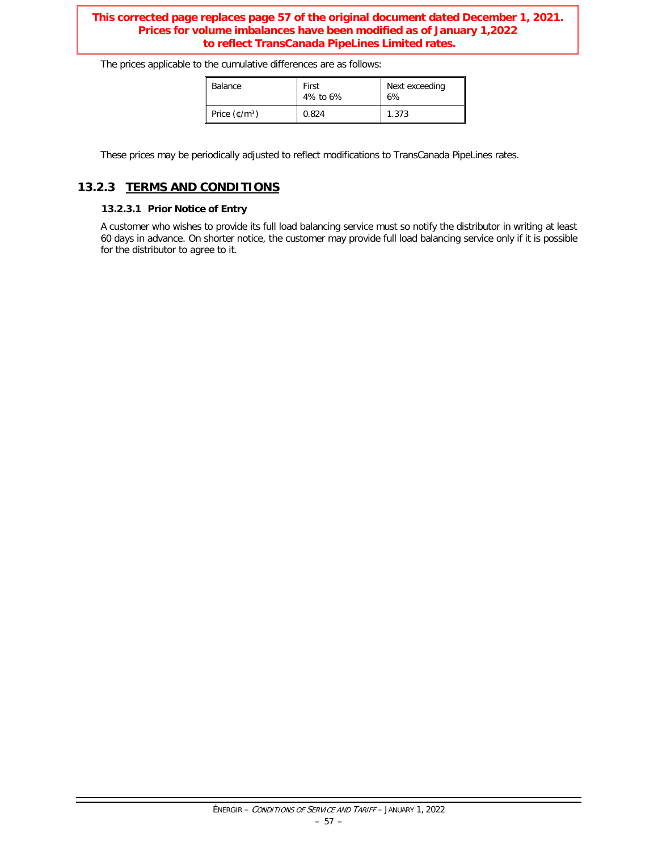#### **This corrected page replaces page 57 of the original document dated December 1, 2021. Prices for volume imbalances have been modified as of January 1,2022 to reflect TransCanada PipeLines Limited rates.**

The prices applicable to the cumulative differences are as follows:

| Balance                                            | First<br>4% to 6% | Next exceeding<br>6% |
|----------------------------------------------------|-------------------|----------------------|
| Price $(\text{\textsterling}/\text{\textsf{m}}^3)$ | 0.824             | 1.373                |

These prices may be periodically adjusted to reflect modifications to TransCanada PipeLines rates.

### **13.2.3 TERMS AND CONDITIONS**

#### **13.2.3.1 Prior Notice of Entry**

A customer who wishes to provide its full load balancing service must so notify the distributor in writing at least 60 days in advance. On shorter notice, the customer may provide full load balancing service only if it is possible for the distributor to agree to it.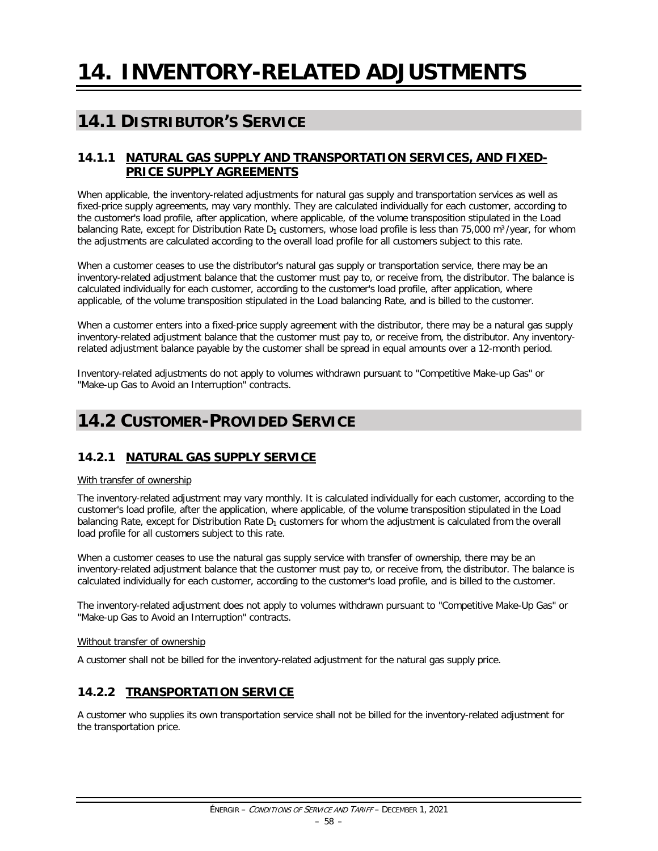# **14.1 DISTRIBUTOR'S SERVICE**

### **14.1.1 NATURAL GAS SUPPLY AND TRANSPORTATION SERVICES, AND FIXED-PRICE SUPPLY AGREEMENTS**

When applicable, the inventory-related adjustments for natural gas supply and transportation services as well as fixed-price supply agreements, may vary monthly. They are calculated individually for each customer, according to the customer's load profile, after application, where applicable, of the volume transposition stipulated in the Load balancing Rate, except for Distribution Rate  $D_1$  customers, whose load profile is less than 75,000 m<sup>3</sup>/year, for whom the adjustments are calculated according to the overall load profile for all customers subject to this rate.

When a customer ceases to use the distributor's natural gas supply or transportation service, there may be an inventory-related adjustment balance that the customer must pay to, or receive from, the distributor. The balance is calculated individually for each customer, according to the customer's load profile, after application, where applicable, of the volume transposition stipulated in the Load balancing Rate, and is billed to the customer.

When a customer enters into a fixed-price supply agreement with the distributor, there may be a natural gas supply inventory-related adjustment balance that the customer must pay to, or receive from, the distributor. Any inventoryrelated adjustment balance payable by the customer shall be spread in equal amounts over a 12-month period.

Inventory-related adjustments do not apply to volumes withdrawn pursuant to "Competitive Make-up Gas" or "Make-up Gas to Avoid an Interruption" contracts.

# **14.2 CUSTOMER-PROVIDED SERVICE**

# **14.2.1 NATURAL GAS SUPPLY SERVICE**

#### With transfer of ownership

The inventory-related adjustment may vary monthly. It is calculated individually for each customer, according to the customer's load profile, after the application, where applicable, of the volume transposition stipulated in the Load balancing Rate, except for Distribution Rate  $D_1$  customers for whom the adjustment is calculated from the overall load profile for all customers subject to this rate.

When a customer ceases to use the natural gas supply service with transfer of ownership, there may be an inventory-related adjustment balance that the customer must pay to, or receive from, the distributor. The balance is calculated individually for each customer, according to the customer's load profile, and is billed to the customer.

The inventory-related adjustment does not apply to volumes withdrawn pursuant to "Competitive Make-Up Gas" or "Make-up Gas to Avoid an Interruption" contracts.

#### Without transfer of ownership

A customer shall not be billed for the inventory-related adjustment for the natural gas supply price.

### **14.2.2 TRANSPORTATION SERVICE**

A customer who supplies its own transportation service shall not be billed for the inventory-related adjustment for the transportation price.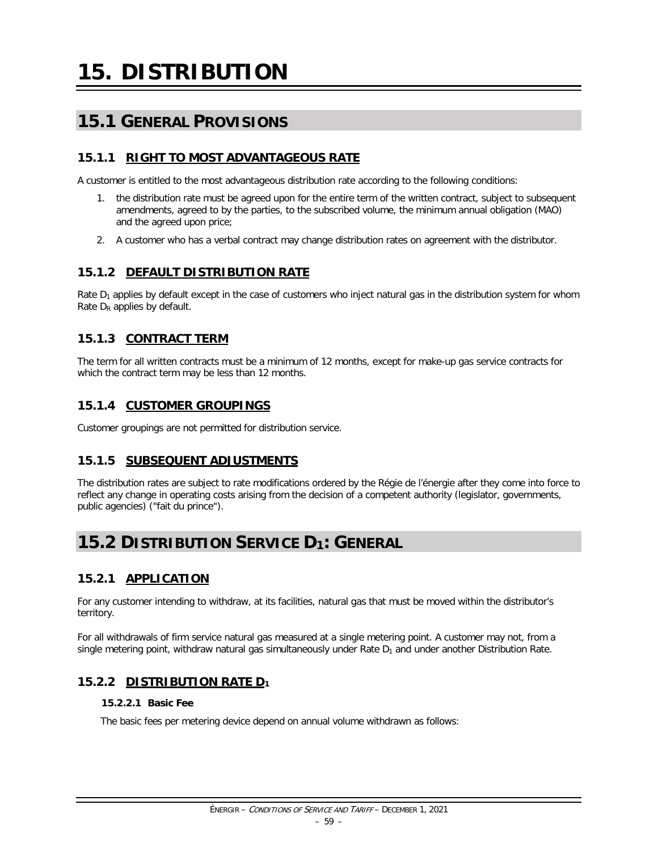# **15.1 GENERAL PROVISIONS**

# **15.1.1 RIGHT TO MOST ADVANTAGEOUS RATE**

A customer is entitled to the most advantageous distribution rate according to the following conditions:

- 1. the distribution rate must be agreed upon for the entire term of the written contract, subject to subsequent amendments, agreed to by the parties, to the subscribed volume, the minimum annual obligation (MAO) and the agreed upon price;
- 2. A customer who has a verbal contract may change distribution rates on agreement with the distributor.

### **15.1.2 DEFAULT DISTRIBUTION RATE**

Rate  $D_1$  applies by default except in the case of customers who inject natural gas in the distribution system for whom Rate  $D_R$  applies by default.

### **15.1.3 CONTRACT TERM**

The term for all written contracts must be a minimum of 12 months, except for make-up gas service contracts for which the contract term may be less than 12 months.

### **15.1.4 CUSTOMER GROUPINGS**

Customer groupings are not permitted for distribution service.

### **15.1.5 SUBSEQUENT ADJUSTMENTS**

The distribution rates are subject to rate modifications ordered by the Régie de l'énergie after they come into force to reflect any change in operating costs arising from the decision of a competent authority (legislator, governments, public agencies) ("fait du prince").

# **15.2 DISTRIBUTION SERVICE D1: GENERAL**

### **15.2.1 APPLICATION**

For any customer intending to withdraw, at its facilities, natural gas that must be moved within the distributor's territory.

For all withdrawals of firm service natural gas measured at a single metering point. A customer may not, from a single metering point, withdraw natural gas simultaneously under Rate  $D_1$  and under another Distribution Rate.

# **15.2.2 DISTRIBUTION RATE D1**

#### **15.2.2.1 Basic Fee**

The basic fees per metering device depend on annual volume withdrawn as follows: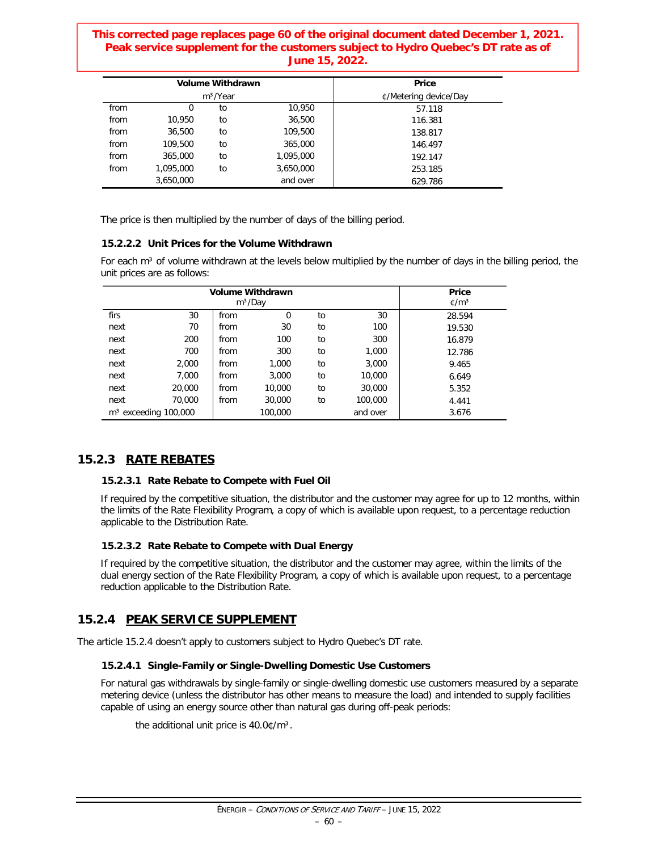#### **This corrected page replaces page 60 of the original document dated December 1, 2021. Peak service supplement for the customers subject to Hydro Quebec's DT rate as of June 15, 2022.**

|      |           | <b>Volume Withdrawn</b> | Price                 |         |
|------|-----------|-------------------------|-----------------------|---------|
|      |           | m <sup>3</sup> /Year    | ¢/Metering device/Day |         |
| from | 0         | to                      | 10.950                | 57.118  |
| from | 10,950    | to                      | 36,500                | 116.381 |
| from | 36,500    | to                      | 109,500               | 138.817 |
| from | 109,500   | to                      | 365,000               | 146.497 |
| from | 365,000   | to                      | 1,095,000             | 192.147 |
| from | 1.095.000 | to                      | 3,650,000             | 253.185 |
|      | 3.650.000 |                         | and over              | 629.786 |

The price is then multiplied by the number of days of the billing period.

#### **15.2.2.2 Unit Prices for the Volume Withdrawn**

For each  $m<sup>3</sup>$  of volume withdrawn at the levels below multiplied by the number of days in the billing period, the unit prices are as follows:

|      | <b>Volume Withdrawn</b> | Price<br>$\frac{\text{m}}{\text{m}^3}$ |         |    |          |        |
|------|-------------------------|----------------------------------------|---------|----|----------|--------|
| firs | 30                      | from                                   | 0       | to | 30       | 28.594 |
| next | 70                      | from                                   | 30      | to | 100      | 19.530 |
| next | 200                     | from                                   | 100     | to | 300      | 16.879 |
| next | 700                     | from                                   | 300     | to | 1,000    | 12.786 |
| next | 2,000                   | from                                   | 1,000   | to | 3,000    | 9.465  |
| next | 7.000                   | from                                   | 3,000   | to | 10,000   | 6.649  |
| next | 20,000                  | from                                   | 10,000  | to | 30,000   | 5.352  |
| next | 70,000                  | from                                   | 30,000  | to | 100,000  | 4.441  |
|      | $m3$ exceeding 100,000  |                                        | 100,000 |    | and over | 3.676  |

### **15.2.3 RATE REBATES**

#### **15.2.3.1 Rate Rebate to Compete with Fuel Oil**

If required by the competitive situation, the distributor and the customer may agree for up to 12 months, within the limits of the Rate Flexibility Program, a copy of which is available upon request, to a percentage reduction applicable to the Distribution Rate.

#### **15.2.3.2 Rate Rebate to Compete with Dual Energy**

If required by the competitive situation, the distributor and the customer may agree, within the limits of the dual energy section of the Rate Flexibility Program, a copy of which is available upon request, to a percentage reduction applicable to the Distribution Rate.

# **15.2.4 PEAK SERVICE SUPPLEMENT**

The article 15.2.4 doesn't apply to customers subject to Hydro Quebec's DT rate.

#### **15.2.4.1 Single-Family or Single-Dwelling Domestic Use Customers**

For natural gas withdrawals by single-family or single-dwelling domestic use customers measured by a separate metering device (unless the distributor has other means to measure the load) and intended to supply facilities capable of using an energy source other than natural gas during off-peak periods:

the additional unit price is  $40.0$  $\textdegree$ /m<sup>3</sup>.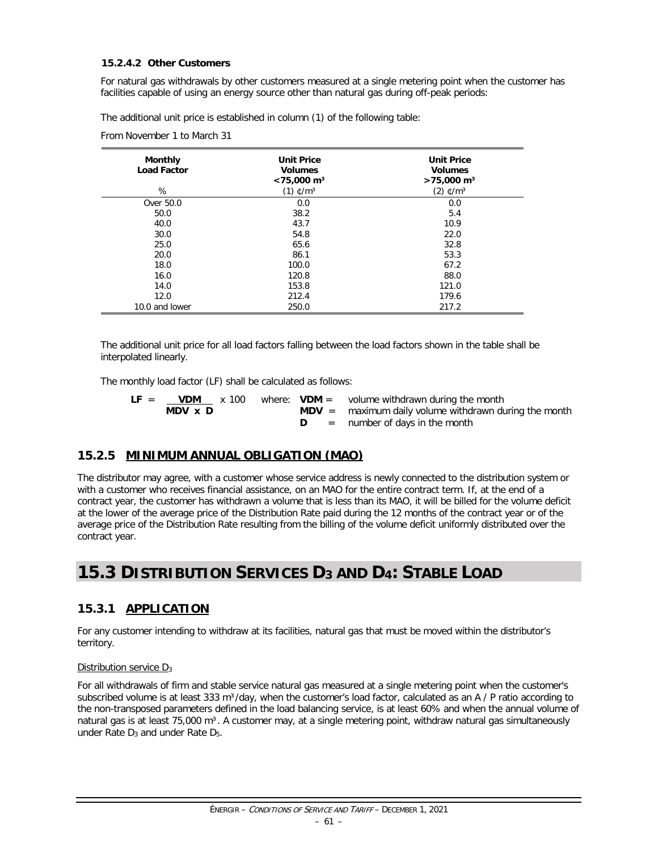#### **15.2.4.2 Other Customers**

For natural gas withdrawals by other customers measured at a single metering point when the customer has facilities capable of using an energy source other than natural gas during off-peak periods:

The additional unit price is established in column (1) of the following table:

| <b>Monthly</b><br><b>Load Factor</b> | <b>Unit Price</b><br><b>Volumes</b><br>$<$ 75,000 m <sup>3</sup> | <b>Unit Price</b><br><b>Volumes</b><br>$>75,000 \text{ m}^3$ |
|--------------------------------------|------------------------------------------------------------------|--------------------------------------------------------------|
| %                                    | $(1)$ $\ell/m^3$                                                 | $(2)$ ¢/m <sup>3</sup>                                       |
| Over 50.0                            | 0.0                                                              | 0.0                                                          |
| 50.0                                 | 38.2                                                             | 5.4                                                          |
| 40.0                                 | 43.7                                                             | 10.9                                                         |
| 30.0                                 | 54.8                                                             | 22.0                                                         |
| 25.0                                 | 65.6                                                             | 32.8                                                         |
| 20.0                                 | 86.1                                                             | 53.3                                                         |
| 18.0                                 | 100.0                                                            | 67.2                                                         |
| 16.0                                 | 120.8                                                            | 88.0                                                         |
| 14.0                                 | 153.8                                                            | 121.0                                                        |
| 12.0                                 | 212.4                                                            | 179.6                                                        |
| 10.0 and lower                       | 250.0                                                            | 217.2                                                        |

From November 1 to March 31

The additional unit price for all load factors falling between the load factors shown in the table shall be interpolated linearly.

The monthly load factor (LF) shall be calculated as follows:

| $LF =$ | <b>VDM</b> | x 100 |  | where: $VDM =$ volume withdrawn during the month        |
|--------|------------|-------|--|---------------------------------------------------------|
|        | MDV x D    |       |  | $MDV =$ maximum daily volume withdrawn during the month |
|        |            |       |  | $=$ number of days in the month                         |

#### **15.2.5 MINIMUM ANNUAL OBLIGATION (MAO)**

The distributor may agree, with a customer whose service address is newly connected to the distribution system or with a customer who receives financial assistance, on an MAO for the entire contract term. If, at the end of a contract year, the customer has withdrawn a volume that is less than its MAO, it will be billed for the volume deficit at the lower of the average price of the Distribution Rate paid during the 12 months of the contract year or of the average price of the Distribution Rate resulting from the billing of the volume deficit uniformly distributed over the contract year.

# **15.3 DISTRIBUTION SERVICES D3 AND D4: STABLE LOAD**

### **15.3.1 APPLICATION**

For any customer intending to withdraw at its facilities, natural gas that must be moved within the distributor's territory.

#### Distribution service D<sub>3</sub>

For all withdrawals of firm and stable service natural gas measured at a single metering point when the customer's subscribed volume is at least 333 m<sup>3</sup>/day, when the customer's load factor, calculated as an A / P ratio according to the non-transposed parameters defined in the load balancing service, is at least 60% and when the annual volume of natural gas is at least 75,000 m<sup>3</sup>. A customer may, at a single metering point, withdraw natural gas simultaneously under Rate  $D_3$  and under Rate  $D_5$ .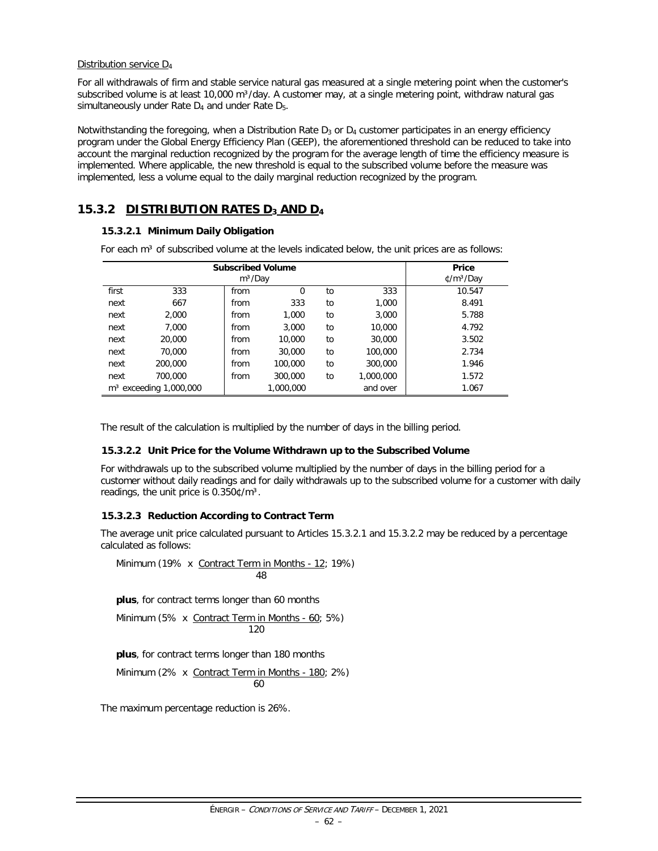#### Distribution service D4

For all withdrawals of firm and stable service natural gas measured at a single metering point when the customer's subscribed volume is at least 10,000 m<sup>3</sup>/day. A customer may, at a single metering point, withdraw natural gas simultaneously under Rate  $D_4$  and under Rate  $D_5$ .

Notwithstanding the foregoing, when a Distribution Rate  $D_3$  or  $D_4$  customer participates in an energy efficiency program under the Global Energy Efficiency Plan (GEEP), the aforementioned threshold can be reduced to take into account the marginal reduction recognized by the program for the average length of time the efficiency measure is implemented. Where applicable, the new threshold is equal to the subscribed volume before the measure was implemented, less a volume equal to the daily marginal reduction recognized by the program.

# **15.3.2 DISTRIBUTION RATES D3 AND D4**

#### **15.3.2.1 Minimum Daily Obligation**

For each  $m<sup>3</sup>$  of subscribed volume at the levels indicated below, the unit prices are as follows:

|       | <b>Subscribed Volume</b>                          | Price<br>$\ell/m^3/Day$ |          |    |           |        |
|-------|---------------------------------------------------|-------------------------|----------|----|-----------|--------|
| first | 333                                               | from                    | $\Omega$ | to | 333       | 10.547 |
| next  | 667                                               | from                    | 333      | to | 1,000     | 8.491  |
| next  | 2,000                                             | from                    | 1,000    | to | 3,000     | 5.788  |
| next  | 7.000                                             | from                    | 3,000    | to | 10,000    | 4.792  |
| next  | 20,000                                            | from                    | 10,000   | to | 30,000    | 3.502  |
| next  | 70.000                                            | from                    | 30,000   | to | 100,000   | 2.734  |
| next  | 200,000                                           | from                    | 100,000  | to | 300,000   | 1.946  |
| next  | 700,000                                           | from                    | 300,000  | to | 1,000,000 | 1.572  |
|       | $m3$ exceeding 1,000,000<br>1,000,000<br>and over |                         |          |    |           | 1.067  |

The result of the calculation is multiplied by the number of days in the billing period.

#### **15.3.2.2 Unit Price for the Volume Withdrawn up to the Subscribed Volume**

For withdrawals up to the subscribed volume multiplied by the number of days in the billing period for a customer without daily readings and for daily withdrawals up to the subscribed volume for a customer with daily readings, the unit price is 0.350¢/m³.

#### **15.3.2.3 Reduction According to Contract Term**

The average unit price calculated pursuant to Articles 15.3.2.1 and 15.3.2.2 may be reduced by a percentage calculated as follows:

Minimum (19% x Contract Term in Monthly - 12; 19%)

\n
$$
48
$$

**plus**, for contract terms longer than 60 months

Minimum 
$$
(5\% \times \text{Contract Term in Monthly - 60; 5\%)
$$

\n120

**plus**, for contract terms longer than 180 months

Minimum 
$$
(2\% \times \text{Contract Term in Monthly - 180}; 2\%)
$$

\n60

The maximum percentage reduction is 26%.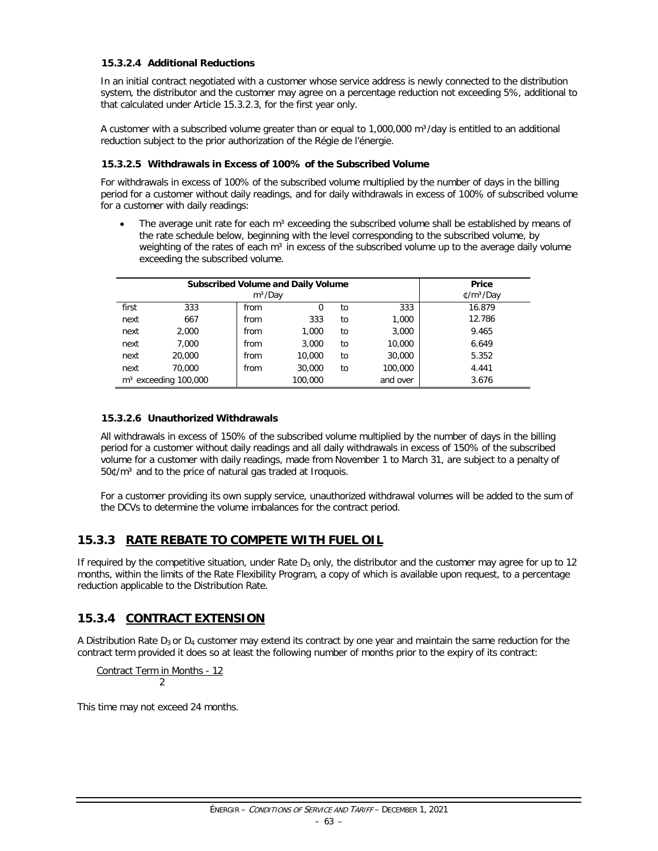#### **15.3.2.4 Additional Reductions**

In an initial contract negotiated with a customer whose service address is newly connected to the distribution system, the distributor and the customer may agree on a percentage reduction not exceeding 5%, additional to that calculated under Article 15.3.2.3, for the first year only.

A customer with a subscribed volume greater than or equal to  $1,000,000$  m<sup>3</sup>/day is entitled to an additional reduction subject to the prior authorization of the Régie de l'énergie.

#### **15.3.2.5 Withdrawals in Excess of 100% of the Subscribed Volume**

For withdrawals in excess of 100% of the subscribed volume multiplied by the number of days in the billing period for a customer without daily readings, and for daily withdrawals in excess of 100% of subscribed volume for a customer with daily readings:

The average unit rate for each  $m<sup>3</sup>$  exceeding the subscribed volume shall be established by means of the rate schedule below, beginning with the level corresponding to the subscribed volume, by weighting of the rates of each  $m<sup>3</sup>$  in excess of the subscribed volume up to the average daily volume exceeding the subscribed volume.

|       | <b>Subscribed Volume and Daily Volume</b> | Price<br>$\text{\degree}/\text{m}^3/\text{Day}$ |         |    |          |        |
|-------|-------------------------------------------|-------------------------------------------------|---------|----|----------|--------|
| first | 333                                       | from                                            | 0       | to | 333      | 16.879 |
| next  | 667                                       | from                                            | 333     | to | 1,000    | 12.786 |
| next  | 2.000                                     | from                                            | 1.000   | to | 3,000    | 9.465  |
| next  | 7.000                                     | from                                            | 3,000   | to | 10,000   | 6.649  |
| next  | 20,000                                    | from                                            | 10,000  | to | 30,000   | 5.352  |
| next  | 70,000                                    | from                                            | 30,000  | to | 100,000  | 4.441  |
|       | $m3$ exceeding 100,000                    |                                                 | 100,000 |    | and over | 3.676  |

#### **15.3.2.6 Unauthorized Withdrawals**

All withdrawals in excess of 150% of the subscribed volume multiplied by the number of days in the billing period for a customer without daily readings and all daily withdrawals in excess of 150% of the subscribed volume for a customer with daily readings, made from November 1 to March 31, are subject to a penalty of 50¢/m<sup>3</sup> and to the price of natural gas traded at Iroquois.

For a customer providing its own supply service, unauthorized withdrawal volumes will be added to the sum of the DCVs to determine the volume imbalances for the contract period.

# **15.3.3 RATE REBATE TO COMPETE WITH FUEL OIL**

If required by the competitive situation, under Rate  $D_3$  only, the distributor and the customer may agree for up to 12 months, within the limits of the Rate Flexibility Program, a copy of which is available upon request, to a percentage reduction applicable to the Distribution Rate.

# **15.3.4 CONTRACT EXTENSION**

A Distribution Rate  $D_3$  or  $D_4$  customer may extend its contract by one year and maintain the same reduction for the contract term provided it does so at least the following number of months prior to the expiry of its contract:

Contract Term in Months - 12  $\mathfrak{p}$ 

This time may not exceed 24 months.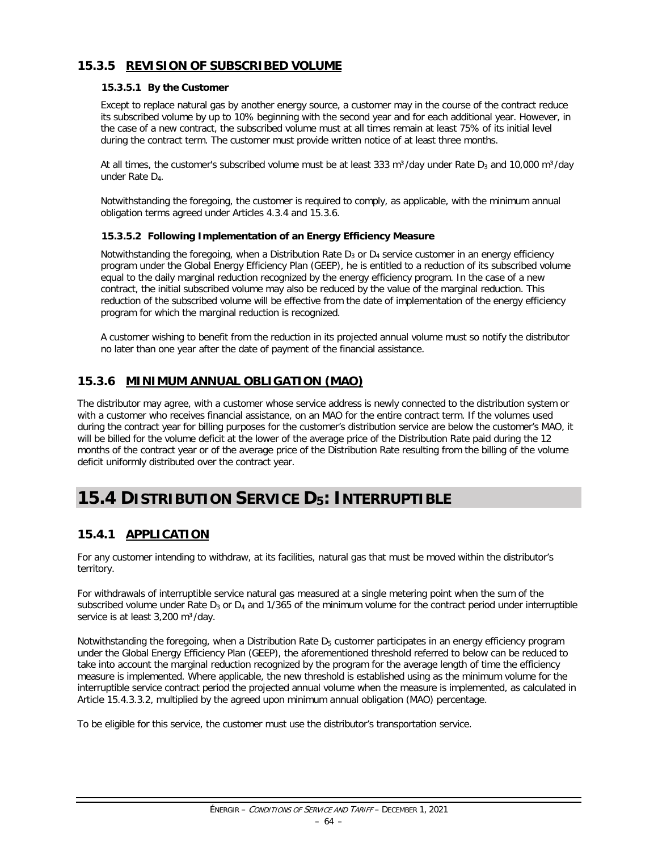# **15.3.5 REVISION OF SUBSCRIBED VOLUME**

#### **15.3.5.1 By the Customer**

Except to replace natural gas by another energy source, a customer may in the course of the contract reduce its subscribed volume by up to 10% beginning with the second year and for each additional year. However, in the case of a new contract, the subscribed volume must at all times remain at least 75% of its initial level during the contract term. The customer must provide written notice of at least three months.

At all times, the customer's subscribed volume must be at least 333 m<sup>3</sup>/day under Rate  $D_3$  and 10,000 m<sup>3</sup>/day under Rate D4.

Notwithstanding the foregoing, the customer is required to comply, as applicable, with the minimum annual obligation terms agreed under Articles 4.3.4 and 15.3.6.

#### **15.3.5.2 Following Implementation of an Energy Efficiency Measure**

Notwithstanding the foregoing, when a Distribution Rate  $D_3$  or  $D_4$  service customer in an energy efficiency program under the Global Energy Efficiency Plan (GEEP), he is entitled to a reduction of its subscribed volume equal to the daily marginal reduction recognized by the energy efficiency program. In the case of a new contract, the initial subscribed volume may also be reduced by the value of the marginal reduction. This reduction of the subscribed volume will be effective from the date of implementation of the energy efficiency program for which the marginal reduction is recognized.

A customer wishing to benefit from the reduction in its projected annual volume must so notify the distributor no later than one year after the date of payment of the financial assistance.

# **15.3.6 MINIMUM ANNUAL OBLIGATION (MAO)**

The distributor may agree, with a customer whose service address is newly connected to the distribution system or with a customer who receives financial assistance, on an MAO for the entire contract term. If the volumes used during the contract year for billing purposes for the customer's distribution service are below the customer's MAO, it will be billed for the volume deficit at the lower of the average price of the Distribution Rate paid during the 12 months of the contract year or of the average price of the Distribution Rate resulting from the billing of the volume deficit uniformly distributed over the contract year.

# **15.4 DISTRIBUTION SERVICE D5: INTERRUPTIBLE**

# **15.4.1 APPLICATION**

For any customer intending to withdraw, at its facilities, natural gas that must be moved within the distributor's territory.

For withdrawals of interruptible service natural gas measured at a single metering point when the sum of the subscribed volume under Rate  $D_3$  or  $D_4$  and 1/365 of the minimum volume for the contract period under interruptible service is at least 3,200 m<sup>3</sup>/day.

Notwithstanding the foregoing, when a Distribution Rate  $D_5$  customer participates in an energy efficiency program under the Global Energy Efficiency Plan (GEEP), the aforementioned threshold referred to below can be reduced to take into account the marginal reduction recognized by the program for the average length of time the efficiency measure is implemented. Where applicable, the new threshold is established using as the minimum volume for the interruptible service contract period the projected annual volume when the measure is implemented, as calculated in Article 15.4.3.3.2, multiplied by the agreed upon minimum annual obligation (MAO) percentage.

To be eligible for this service, the customer must use the distributor's transportation service.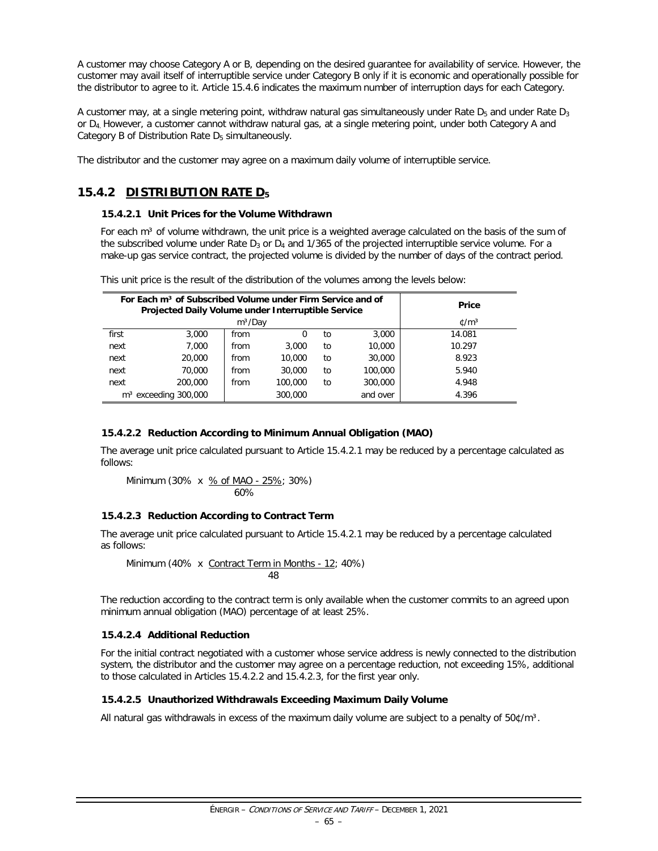A customer may choose Category A or B, depending on the desired guarantee for availability of service. However, the customer may avail itself of interruptible service under Category B only if it is economic and operationally possible for the distributor to agree to it. Article 15.4.6 indicates the maximum number of interruption days for each Category.

A customer may, at a single metering point, withdraw natural gas simultaneously under Rate  $D_5$  and under Rate  $D_3$ or D4. However, a customer cannot withdraw natural gas, at a single metering point, under both Category A and Category B of Distribution Rate  $D_5$  simultaneously.

The distributor and the customer may agree on a maximum daily volume of interruptible service.

# **15.4.2 DISTRIBUTION RATE D5**

#### **15.4.2.1 Unit Prices for the Volume Withdrawn**

For each m<sup>3</sup> of volume withdrawn, the unit price is a weighted average calculated on the basis of the sum of the subscribed volume under Rate  $D_3$  or  $D_4$  and 1/365 of the projected interruptible service volume. For a make-up gas service contract, the projected volume is divided by the number of days of the contract period.

| This unit price is the result of the distribution of the volumes among the levels below: |  |
|------------------------------------------------------------------------------------------|--|
|------------------------------------------------------------------------------------------|--|

| For Each m <sup>3</sup> of Subscribed Volume under Firm Service and of<br>Projected Daily Volume under Interruptible Service |         |      |         |    |                | Price  |
|------------------------------------------------------------------------------------------------------------------------------|---------|------|---------|----|----------------|--------|
| $m^3/Day$                                                                                                                    |         |      |         |    | $\text{C/m}^3$ |        |
| first                                                                                                                        | 3,000   | from | 0       | to | 3,000          | 14.081 |
| next                                                                                                                         | 7.000   | from | 3,000   | to | 10,000         | 10.297 |
| next                                                                                                                         | 20,000  | from | 10,000  | to | 30,000         | 8.923  |
| next                                                                                                                         | 70,000  | from | 30,000  | to | 100,000        | 5.940  |
| next                                                                                                                         | 200,000 | from | 100,000 | to | 300,000        | 4.948  |
| $m3$ exceeding 300,000                                                                                                       |         |      | 300,000 |    | and over       | 4.396  |

#### **15.4.2.2 Reduction According to Minimum Annual Obligation (MAO)**

The average unit price calculated pursuant to Article 15.4.2.1 may be reduced by a percentage calculated as follows:

Minimum (30% x 
$$
\frac{\% \text{ of MAO} - 25\%}{60\%}
$$
; 30%)

#### **15.4.2.3 Reduction According to Contract Term**

The average unit price calculated pursuant to Article 15.4.2.1 may be reduced by a percentage calculated as follows:

Minimum (40% x Contract Term in Months - 12; 40%) 48

The reduction according to the contract term is only available when the customer commits to an agreed upon minimum annual obligation (MAO) percentage of at least 25%.

#### **15.4.2.4 Additional Reduction**

For the initial contract negotiated with a customer whose service address is newly connected to the distribution system, the distributor and the customer may agree on a percentage reduction, not exceeding 15%, additional to those calculated in Articles 15.4.2.2 and 15.4.2.3, for the first year only.

#### **15.4.2.5 Unauthorized Withdrawals Exceeding Maximum Daily Volume**

All natural gas withdrawals in excess of the maximum daily volume are subject to a penalty of  $50¢/m<sup>3</sup>$ .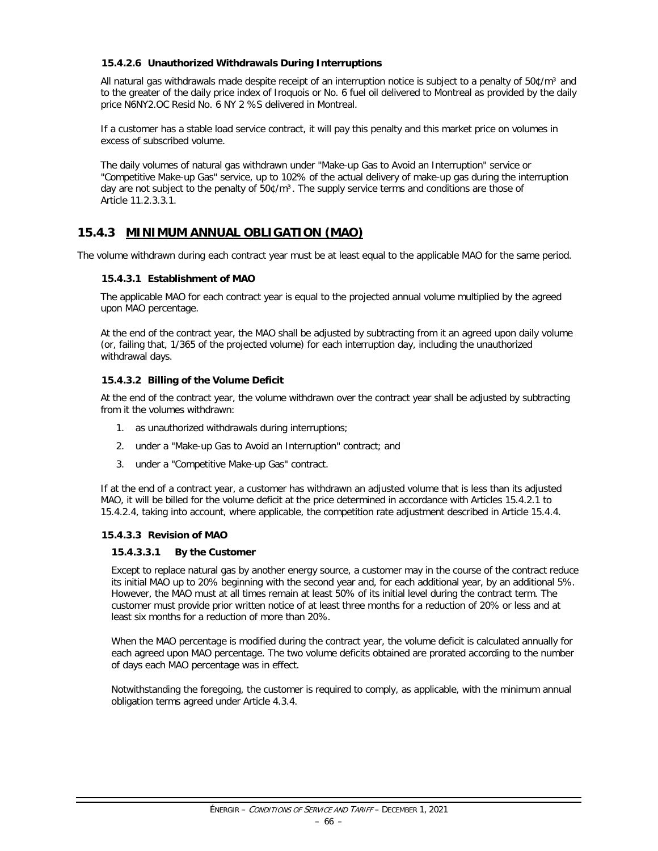#### **15.4.2.6 Unauthorized Withdrawals During Interruptions**

All natural gas withdrawals made despite receipt of an interruption notice is subject to a penalty of  $50¢/m³$  and to the greater of the daily price index of Iroquois or No. 6 fuel oil delivered to Montreal as provided by the daily price N6NY2.OC Resid No. 6 NY 2 %S delivered in Montreal.

If a customer has a stable load service contract, it will pay this penalty and this market price on volumes in excess of subscribed volume.

The daily volumes of natural gas withdrawn under "Make-up Gas to Avoid an Interruption" service or "Competitive Make-up Gas" service, up to 102% of the actual delivery of make-up gas during the interruption day are not subject to the penalty of  $50¢/m³$ . The supply service terms and conditions are those of Article 11.2.3.3.1.

### **15.4.3 MINIMUM ANNUAL OBLIGATION (MAO)**

The volume withdrawn during each contract year must be at least equal to the applicable MAO for the same period.

#### **15.4.3.1 Establishment of MAO**

The applicable MAO for each contract year is equal to the projected annual volume multiplied by the agreed upon MAO percentage.

At the end of the contract year, the MAO shall be adjusted by subtracting from it an agreed upon daily volume (or, failing that, 1/365 of the projected volume) for each interruption day, including the unauthorized withdrawal days.

#### **15.4.3.2 Billing of the Volume Deficit**

At the end of the contract year, the volume withdrawn over the contract year shall be adjusted by subtracting from it the volumes withdrawn:

- 1. as unauthorized withdrawals during interruptions;
- 2. under a "Make-up Gas to Avoid an Interruption" contract; and
- 3. under a "Competitive Make-up Gas" contract.

If at the end of a contract year, a customer has withdrawn an adjusted volume that is less than its adjusted MAO, it will be billed for the volume deficit at the price determined in accordance with Articles 15.4.2.1 to 15.4.2.4, taking into account, where applicable, the competition rate adjustment described in Article 15.4.4.

#### **15.4.3.3 Revision of MAO**

#### **15.4.3.3.1 By the Customer**

Except to replace natural gas by another energy source, a customer may in the course of the contract reduce its initial MAO up to 20% beginning with the second year and, for each additional year, by an additional 5%. However, the MAO must at all times remain at least 50% of its initial level during the contract term. The customer must provide prior written notice of at least three months for a reduction of 20% or less and at least six months for a reduction of more than 20%.

When the MAO percentage is modified during the contract year, the volume deficit is calculated annually for each agreed upon MAO percentage. The two volume deficits obtained are prorated according to the number of days each MAO percentage was in effect.

Notwithstanding the foregoing, the customer is required to comply, as applicable, with the minimum annual obligation terms agreed under Article 4.3.4.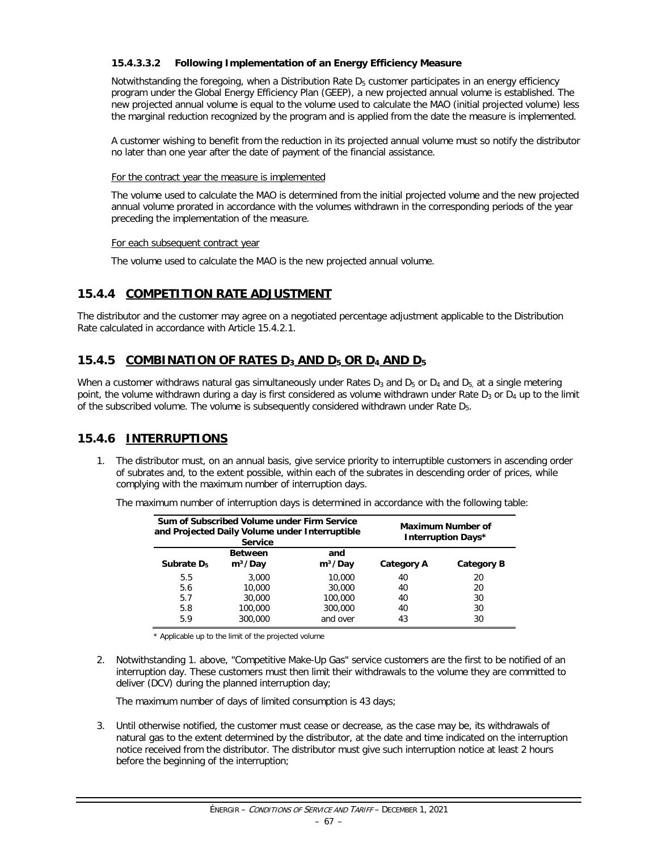#### **15.4.3.3.2 Following Implementation of an Energy Efficiency Measure**

Notwithstanding the foregoing, when a Distribution Rate  $D_5$  customer participates in an energy efficiency program under the Global Energy Efficiency Plan (GEEP), a new projected annual volume is established. The new projected annual volume is equal to the volume used to calculate the MAO (initial projected volume) less the marginal reduction recognized by the program and is applied from the date the measure is implemented.

A customer wishing to benefit from the reduction in its projected annual volume must so notify the distributor no later than one year after the date of payment of the financial assistance.

#### For the contract year the measure is implemented

The volume used to calculate the MAO is determined from the initial projected volume and the new projected annual volume prorated in accordance with the volumes withdrawn in the corresponding periods of the year preceding the implementation of the measure.

#### For each subsequent contract year

The volume used to calculate the MAO is the new projected annual volume.

### **15.4.4 COMPETITION RATE ADJUSTMENT**

The distributor and the customer may agree on a negotiated percentage adjustment applicable to the Distribution Rate calculated in accordance with Article 15.4.2.1.

# **15.4.5 COMBINATION OF RATES D3 AND D5 OR D4 AND D5**

When a customer withdraws natural gas simultaneously under Rates  $D_3$  and  $D_5$  or  $D_4$  and  $D_5$ , at a single metering point, the volume withdrawn during a day is first considered as volume withdrawn under Rate  $D_3$  or  $D_4$  up to the limit of the subscribed volume. The volume is subsequently considered withdrawn under Rate D5.

### **15.4.6 INTERRUPTIONS**

1. The distributor must, on an annual basis, give service priority to interruptible customers in ascending order of subrates and, to the extent possible, within each of the subrates in descending order of prices, while complying with the maximum number of interruption days.

The maximum number of interruption days is determined in accordance with the following table:

|                        | Sum of Subscribed Volume under Firm Service<br>and Projected Daily Volume under Interruptible<br><b>Service</b> | <b>Maximum Number of</b><br>Interruption Days* |            |                   |
|------------------------|-----------------------------------------------------------------------------------------------------------------|------------------------------------------------|------------|-------------------|
| Subrate D <sub>5</sub> | <b>Between</b><br>m <sup>3</sup> /Day                                                                           | and<br>m <sup>3</sup> /Day                     | Category A | <b>Category B</b> |
| 5.5                    | 3,000                                                                                                           | 10,000                                         | 40         | 20                |
| 5.6                    | 10,000                                                                                                          | 30,000                                         | 40         | 20                |
| 5.7                    | 30,000                                                                                                          | 100,000                                        | 40         | 30                |
| 5.8                    | 100,000                                                                                                         | 300,000                                        | 40         | 30                |
| 5.9                    | 300,000                                                                                                         | and over                                       | 43         | 30                |

\* Applicable up to the limit of the projected volume

2. Notwithstanding 1. above, "Competitive Make-Up Gas" service customers are the first to be notified of an interruption day. These customers must then limit their withdrawals to the volume they are committed to deliver (DCV) during the planned interruption day;

The maximum number of days of limited consumption is 43 days;

3. Until otherwise notified, the customer must cease or decrease, as the case may be, its withdrawals of natural gas to the extent determined by the distributor, at the date and time indicated on the interruption notice received from the distributor. The distributor must give such interruption notice at least 2 hours before the beginning of the interruption;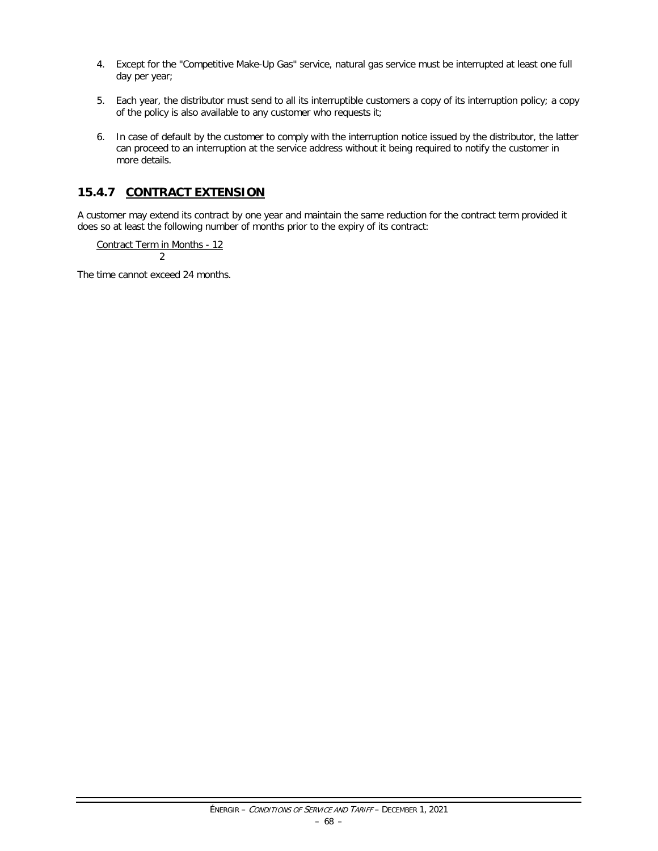- 4. Except for the "Competitive Make-Up Gas" service, natural gas service must be interrupted at least one full day per year;
- 5. Each year, the distributor must send to all its interruptible customers a copy of its interruption policy; a copy of the policy is also available to any customer who requests it;
- 6. In case of default by the customer to comply with the interruption notice issued by the distributor, the latter can proceed to an interruption at the service address without it being required to notify the customer in more details.

# **15.4.7 CONTRACT EXTENSION**

A customer may extend its contract by one year and maintain the same reduction for the contract term provided it does so at least the following number of months prior to the expiry of its contract:

Contract Term in Months - 12 2

The time cannot exceed 24 months.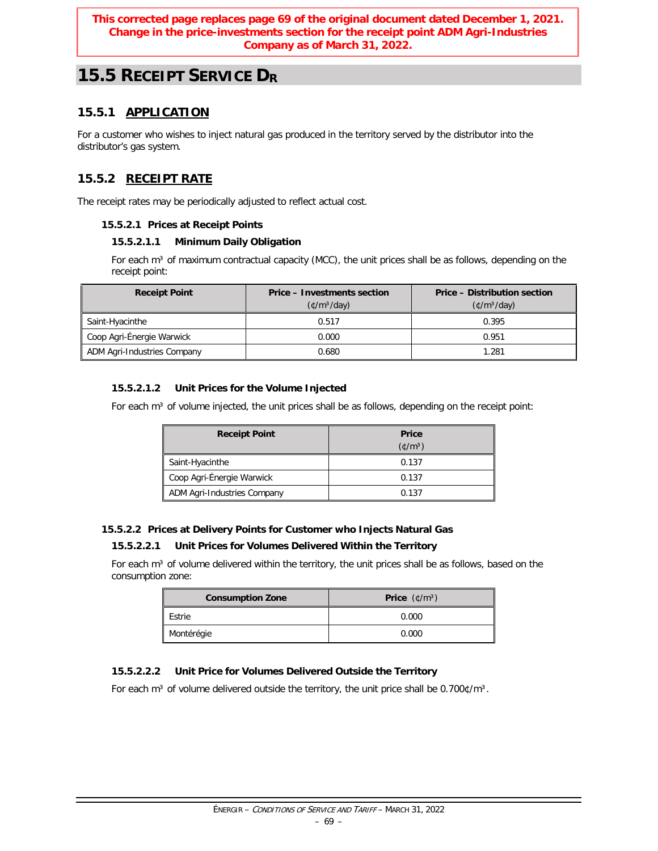# **15.5 RECEIPT SERVICE DR**

# **15.5.1 APPLICATION**

For a customer who wishes to inject natural gas produced in the territory served by the distributor into the distributor's gas system.

# **15.5.2 RECEIPT RATE**

The receipt rates may be periodically adjusted to reflect actual cost.

#### **15.5.2.1 Prices at Receipt Points**

#### **15.5.2.1.1 Minimum Daily Obligation**

For each  $m<sup>3</sup>$  of maximum contractual capacity (MCC), the unit prices shall be as follows, depending on the receipt point:

| <b>Receipt Point</b>        | <b>Price – Investments section</b><br>$(*/m3/day)$ | <b>Price - Distribution section</b><br>$(\text{C/m}^3/\text{day})$ |
|-----------------------------|----------------------------------------------------|--------------------------------------------------------------------|
| Saint-Hyacinthe             | 0.517                                              | 0.395                                                              |
| Coop Agri-Énergie Warwick   | 0.000                                              | 0.951                                                              |
| ADM Agri-Industries Company | 0.680                                              | 1.281                                                              |

#### **15.5.2.1.2 Unit Prices for the Volume Injected**

For each  $m<sup>3</sup>$  of volume injected, the unit prices shall be as follows, depending on the receipt point:

| <b>Receipt Point</b>        | Price<br>$(\text{\textsterling}/\text{\textsf{m}}^3)$ |
|-----------------------------|-------------------------------------------------------|
| Saint-Hyacinthe             | 0.137                                                 |
| Coop Agri-Énergie Warwick   | 0.137                                                 |
| ADM Agri-Industries Company | 0.137                                                 |

#### **15.5.2.2 Prices at Delivery Points for Customer who Injects Natural Gas**

#### **15.5.2.2.1 Unit Prices for Volumes Delivered Within the Territory**

For each  $m<sup>3</sup>$  of volume delivered within the territory, the unit prices shall be as follows, based on the consumption zone:

| <b>Consumption Zone</b> | <b>Price</b> $(\ell/m^3)$ |  |  |
|-------------------------|---------------------------|--|--|
| Estrie                  | 0.000                     |  |  |
| Montérégie              | 0.000                     |  |  |

#### **15.5.2.2.2 Unit Price for Volumes Delivered Outside the Territory**

For each m<sup>3</sup> of volume delivered outside the territory, the unit price shall be  $0.700 \sqrt[6]{m^3}$ .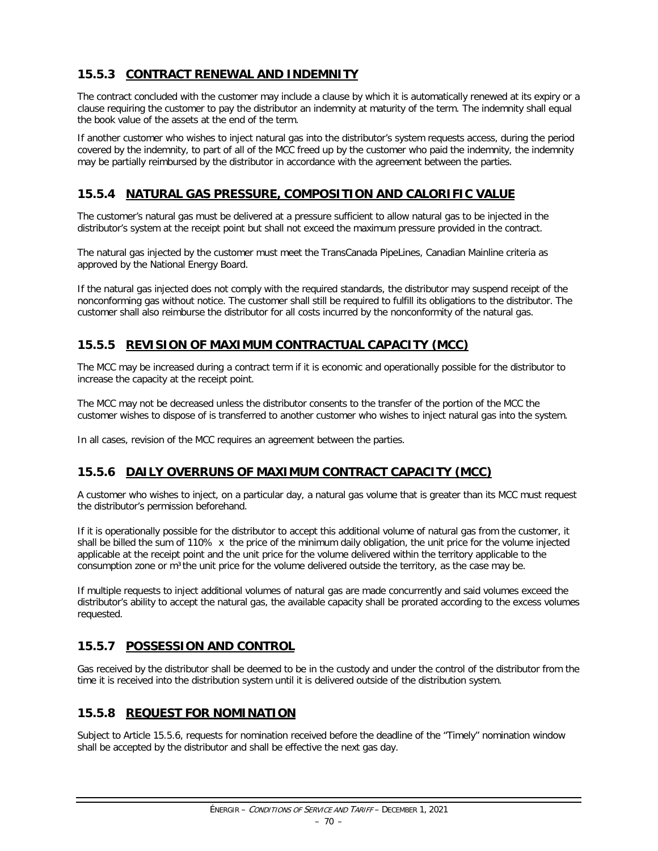# **15.5.3 CONTRACT RENEWAL AND INDEMNITY**

The contract concluded with the customer may include a clause by which it is automatically renewed at its expiry or a clause requiring the customer to pay the distributor an indemnity at maturity of the term. The indemnity shall equal the book value of the assets at the end of the term.

If another customer who wishes to inject natural gas into the distributor's system requests access, during the period covered by the indemnity, to part of all of the MCC freed up by the customer who paid the indemnity, the indemnity may be partially reimbursed by the distributor in accordance with the agreement between the parties.

# **15.5.4 NATURAL GAS PRESSURE, COMPOSITION AND CALORIFIC VALUE**

The customer's natural gas must be delivered at a pressure sufficient to allow natural gas to be injected in the distributor's system at the receipt point but shall not exceed the maximum pressure provided in the contract.

The natural gas injected by the customer must meet the TransCanada PipeLines, Canadian Mainline criteria as approved by the National Energy Board.

If the natural gas injected does not comply with the required standards, the distributor may suspend receipt of the nonconforming gas without notice. The customer shall still be required to fulfill its obligations to the distributor. The customer shall also reimburse the distributor for all costs incurred by the nonconformity of the natural gas.

# **15.5.5 REVISION OF MAXIMUM CONTRACTUAL CAPACITY (MCC)**

The MCC may be increased during a contract term if it is economic and operationally possible for the distributor to increase the capacity at the receipt point.

The MCC may not be decreased unless the distributor consents to the transfer of the portion of the MCC the customer wishes to dispose of is transferred to another customer who wishes to inject natural gas into the system.

In all cases, revision of the MCC requires an agreement between the parties.

# **15.5.6 DAILY OVERRUNS OF MAXIMUM CONTRACT CAPACITY (MCC)**

A customer who wishes to inject, on a particular day, a natural gas volume that is greater than its MCC must request the distributor's permission beforehand.

If it is operationally possible for the distributor to accept this additional volume of natural gas from the customer, it shall be billed the sum of 110% x the price of the minimum daily obligation, the unit price for the volume injected applicable at the receipt point and the unit price for the volume delivered within the territory applicable to the consumption zone or  $m<sup>3</sup>$ the unit price for the volume delivered outside the territory, as the case may be.

If multiple requests to inject additional volumes of natural gas are made concurrently and said volumes exceed the distributor's ability to accept the natural gas, the available capacity shall be prorated according to the excess volumes requested.

# **15.5.7 POSSESSION AND CONTROL**

Gas received by the distributor shall be deemed to be in the custody and under the control of the distributor from the time it is received into the distribution system until it is delivered outside of the distribution system.

# **15.5.8 REQUEST FOR NOMINATION**

Subject to Article 15.5.6, requests for nomination received before the deadline of the "Timely" nomination window shall be accepted by the distributor and shall be effective the next gas day.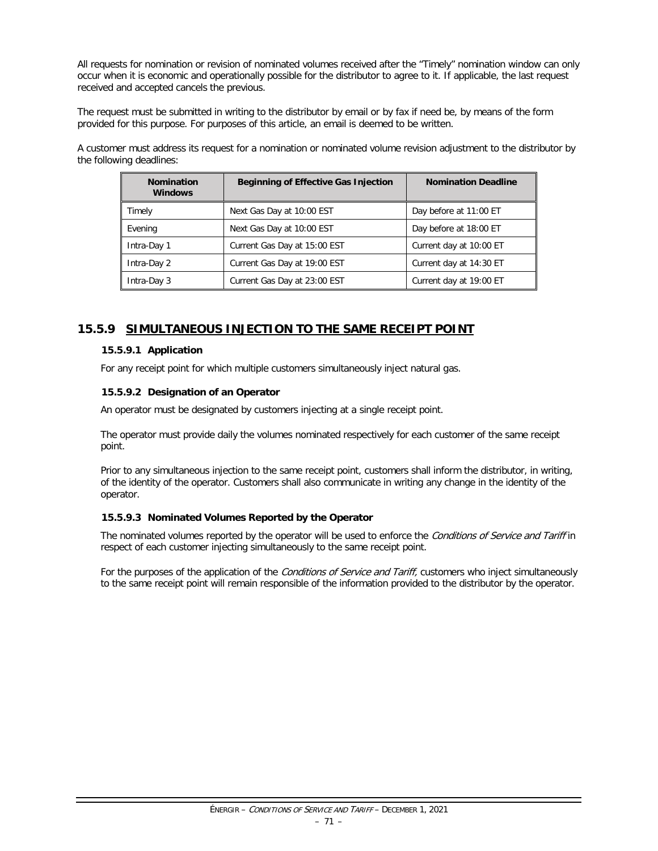All requests for nomination or revision of nominated volumes received after the "Timely" nomination window can only occur when it is economic and operationally possible for the distributor to agree to it. If applicable, the last request received and accepted cancels the previous.

The request must be submitted in writing to the distributor by email or by fax if need be, by means of the form provided for this purpose. For purposes of this article, an email is deemed to be written.

A customer must address its request for a nomination or nominated volume revision adjustment to the distributor by the following deadlines:

| <b>Nomination</b><br><b>Windows</b> | <b>Beginning of Effective Gas Injection</b> | <b>Nomination Deadline</b> |
|-------------------------------------|---------------------------------------------|----------------------------|
| Timely                              | Next Gas Day at 10:00 EST                   | Day before at 11:00 ET     |
| Evening                             | Next Gas Day at 10:00 EST                   | Day before at 18:00 ET     |
| Intra-Day 1                         | Current Gas Day at 15:00 EST                | Current day at 10:00 ET    |
| Intra-Day 2                         | Current Gas Day at 19:00 EST                | Current day at 14:30 ET    |
| Intra-Day 3                         | Current Gas Day at 23:00 EST                | Current day at 19:00 ET    |

#### **15.5.9 SIMULTANEOUS INJECTION TO THE SAME RECEIPT POINT**

#### **15.5.9.1 Application**

For any receipt point for which multiple customers simultaneously inject natural gas.

#### **15.5.9.2 Designation of an Operator**

An operator must be designated by customers injecting at a single receipt point.

The operator must provide daily the volumes nominated respectively for each customer of the same receipt point.

Prior to any simultaneous injection to the same receipt point, customers shall inform the distributor, in writing, of the identity of the operator. Customers shall also communicate in writing any change in the identity of the operator.

#### **15.5.9.3 Nominated Volumes Reported by the Operator**

The nominated volumes reported by the operator will be used to enforce the Conditions of Service and Tariff in respect of each customer injecting simultaneously to the same receipt point.

For the purposes of the application of the *Conditions of Service and Tariff*, customers who inject simultaneously to the same receipt point will remain responsible of the information provided to the distributor by the operator.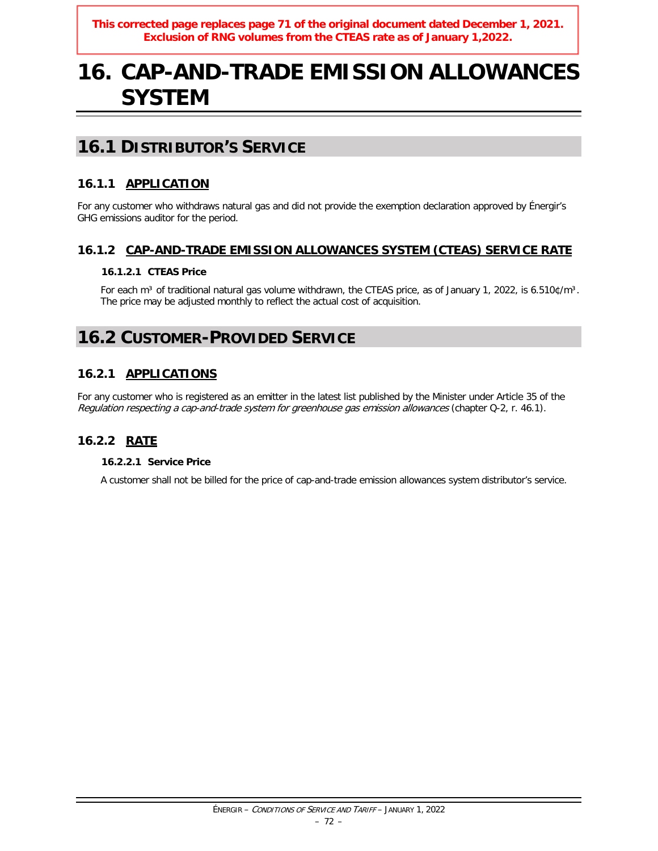**This corrected page replaces page 71 of the original document dated December 1, 2021. Exclusion of RNG volumes from the CTEAS rate as of January 1,2022.**

## **16. CAP-AND-TRADE EMISSION ALLOWANCES SYSTEM**

### **16.1 DISTRIBUTOR'S SERVICE**

#### **16.1.1 APPLICATION**

For any customer who withdraws natural gas and did not provide the exemption declaration approved by Énergir's GHG emissions auditor for the period.

#### **16.1.2 CAP-AND-TRADE EMISSION ALLOWANCES SYSTEM (CTEAS) SERVICE RATE**

#### **16.1.2.1 CTEAS Price**

For each m<sup>3</sup> of traditional natural gas volume withdrawn, the CTEAS price, as of January 1, 2022, is 6.510¢/m<sup>3</sup>. The price may be adjusted monthly to reflect the actual cost of acquisition.

## **16.2 CUSTOMER-PROVIDED SERVICE**

#### **16.2.1 APPLICATIONS**

For any customer who is registered as an emitter in the latest list published by the Minister under Article 35 of the Regulation respecting a cap-and-trade system for greenhouse gas emission allowances (chapter Q-2, r. 46.1).

#### **16.2.2 RATE**

#### **16.2.2.1 Service Price**

A customer shall not be billed for the price of cap-and-trade emission allowances system distributor's service.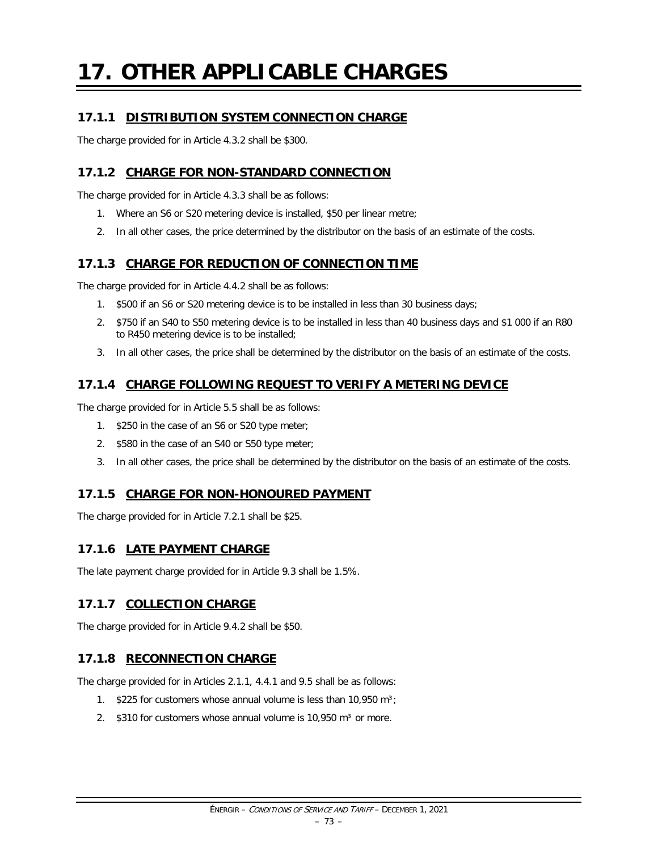# **17. OTHER APPLICABLE CHARGES**

#### **17.1.1 DISTRIBUTION SYSTEM CONNECTION CHARGE**

The charge provided for in Article 4.3.2 shall be \$300.

#### **17.1.2 CHARGE FOR NON-STANDARD CONNECTION**

The charge provided for in Article 4.3.3 shall be as follows:

- 1. Where an S6 or S20 metering device is installed, \$50 per linear metre;
- 2. In all other cases, the price determined by the distributor on the basis of an estimate of the costs.

#### **17.1.3 CHARGE FOR REDUCTION OF CONNECTION TIME**

The charge provided for in Article 4.4.2 shall be as follows:

- 1. \$500 if an S6 or S20 metering device is to be installed in less than 30 business days;
- 2. \$750 if an S40 to S50 metering device is to be installed in less than 40 business days and \$1 000 if an R80 to R450 metering device is to be installed;
- 3. In all other cases, the price shall be determined by the distributor on the basis of an estimate of the costs.

#### **17.1.4 CHARGE FOLLOWING REQUEST TO VERIFY A METERING DEVICE**

The charge provided for in Article 5.5 shall be as follows:

- 1. \$250 in the case of an S6 or S20 type meter;
- 2. \$580 in the case of an S40 or S50 type meter;
- 3. In all other cases, the price shall be determined by the distributor on the basis of an estimate of the costs.

#### **17.1.5 CHARGE FOR NON-HONOURED PAYMENT**

The charge provided for in Article 7.2.1 shall be \$25.

#### **17.1.6 LATE PAYMENT CHARGE**

The late payment charge provided for in Article 9.3 shall be 1.5%.

#### **17.1.7 COLLECTION CHARGE**

The charge provided for in Article 9.4.2 shall be \$50.

#### **17.1.8 RECONNECTION CHARGE**

The charge provided for in Articles 2.1.1, 4.4.1 and 9.5 shall be as follows:

- 1.  $$225$  for customers whose annual volume is less than 10,950 m<sup>3</sup>;
- 2.  $$310$  for customers whose annual volume is 10,950 m<sup>3</sup> or more.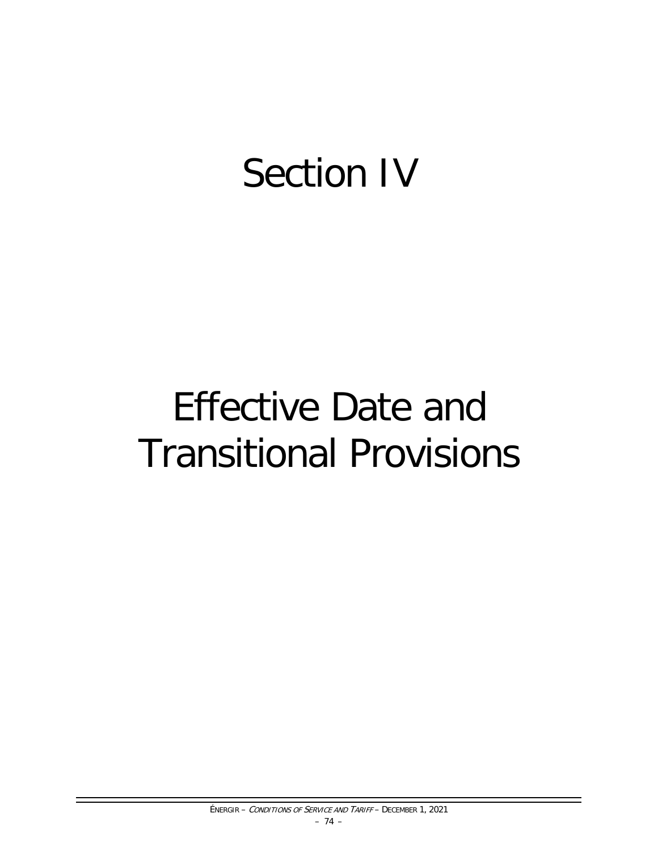# Section IV

# Effective Date and Transitional Provisions